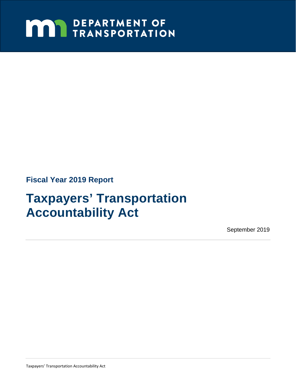# **MAY DEPARTMENT OF TRANSPORTATION**

**Fiscal Year 2019 Report** 

# **Taxpayers' Transportation Accountability Act**

September 2019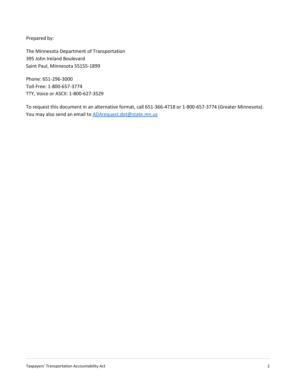Prepared by:

The Minnesota Department of Transportation 395 John Ireland Boulevard Saint Paul, Minnesota 55155-1899

Phone: 651-296-3000 Toll-Free: 1-800-657-3774 TTY, Voice or ASCII: 1-800-627-3529

To request this document in an alternative format, call 651-366-4718 or 1-800-657-3774 (Greater Minnesota). You may also send an email t[o ADArequest.dot@state.mn.us](mailto:ADArequest.dot@state.mn.us)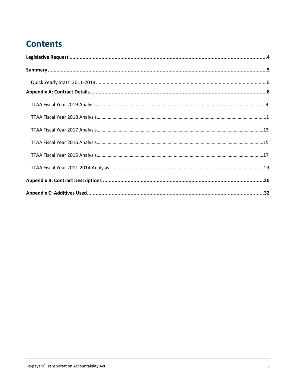# **Contents**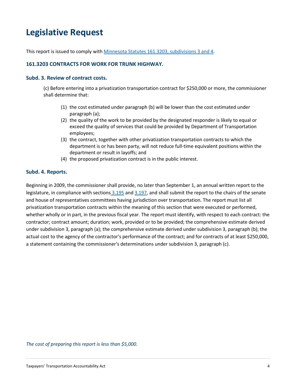# <span id="page-3-0"></span>**Legislative Request**

This report is issued to comply with [Minnesota Statutes 161.3203, subdivisions 3 and 4.](https://www.revisor.mn.gov/statutes/?id=161.3203)

#### **161.3203 CONTRACTS FOR WORK FOR TRUNK HIGHWAY.**

#### **Subd. 3. Review of contract costs.**

(c) Before entering into a privatization transportation contract for \$250,000 or more, the commissioner shall determine that:

- (1) the cost estimated under paragraph (b) will be lower than the cost estimated under paragraph (a);
- (2) the quality of the work to be provided by the designated responder is likely to equal or exceed the quality of services that could be provided by Department of Transportation employees;
- (3) the contract, together with other privatization transportation contracts to which the department is or has been party, will not reduce full-time equivalent positions within the department or result in layoffs; and
- (4) the proposed privatization contract is in the public interest.

#### **Subd. 4. Reports.**

Beginning in 2009, the commissioner shall provide, no later than September 1, an annual written report to the legislature, in compliance with sections [3.195](https://www.revisor.mn.gov/statutes/?id=3.195) and [3.197,](https://www.revisor.mn.gov/statutes/?id=3.197) and shall submit the report to the chairs of the senate and house of representatives committees having jurisdiction over transportation. The report must list all privatization transportation contracts within the meaning of this section that were executed or performed, whether wholly or in part, in the previous fiscal year. The report must identify, with respect to each contract: the contractor; contract amount; duration; work, provided or to be provided; the comprehensive estimate derived under subdivision 3, paragraph (a); the comprehensive estimate derived under subdivision 3, paragraph (b); the actual cost to the agency of the contractor's performance of the contract; and for contracts of at least \$250,000, a statement containing the commissioner's determinations under subdivision 3, paragraph (c).

*The cost of preparing this report is less than \$5,000.*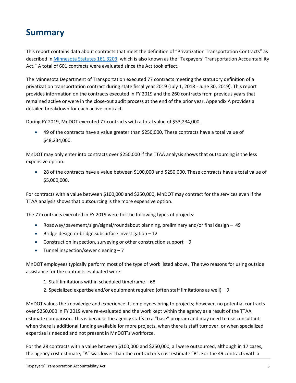## <span id="page-4-0"></span>**Summary**

This report contains data about contracts that meet the definition of "Privatization Transportation Contracts" as described in [Minnesota Statutes 161.3203,](https://www.revisor.mn.gov/statutes/?id=161.3203) which is also known as the "Taxpayers' Transportation Accountability Act." A total of 601 contracts were evaluated since the Act took effect.

The Minnesota Department of Transportation executed 77 contracts meeting the statutory definition of a privatization transportation contract during state fiscal year 2019 (July 1, 2018 - June 30, 2019). This report provides information on the contracts executed in FY 2019 and the 260 contracts from previous years that remained active or were in the close-out audit process at the end of the prior year. Appendix A provides a detailed breakdown for each active contract.

During FY 2019, MnDOT executed 77 contracts with a total value of \$53,234,000.

• 49 of the contracts have a value greater than \$250,000. These contracts have a total value of \$48,234,000.

MnDOT may only enter into contracts over \$250,000 if the TTAA analysis shows that outsourcing is the less expensive option.

• 28 of the contracts have a value between \$100,000 and \$250,000. These contracts have a total value of \$5,000,000.

For contracts with a value between \$100,000 and \$250,000, MnDOT may contract for the services even if the TTAA analysis shows that outsourcing is the more expensive option.

The 77 contracts executed in FY 2019 were for the following types of projects:

- Roadway/pavement/sign/signal/roundabout planning, preliminary and/or final design 49
- Bridge design or bridge subsurface investigation 12
- Construction inspection, surveying or other construction support 9
- Tunnel inspection/sewer cleaning 7

MnDOT employees typically perform most of the type of work listed above. The two reasons for using outside assistance for the contracts evaluated were:

- 1. Staff limitations within scheduled timeframe 68
- 2. Specialized expertise and/or equipment required (often staff limitations as well) 9

MnDOT values the knowledge and experience its employees bring to projects; however, no potential contracts over \$250,000 in FY 2019 were re-evaluated and the work kept within the agency as a result of the TTAA estimate comparison. This is because the agency staffs to a "base" program and may need to use consultants when there is additional funding available for more projects, when there is staff turnover, or when specialized expertise is needed and not present in MnDOT's workforce.

For the 28 contracts with a value between \$100,000 and \$250,000, all were outsourced, although in 17 cases, the agency cost estimate, "A" was lower than the contractor's cost estimate "B". For the 49 contracts with a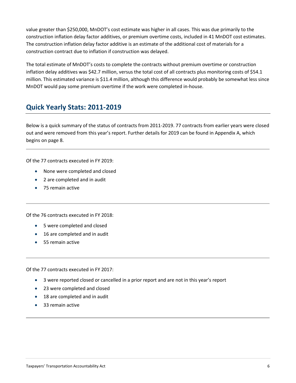value greater than \$250,000, MnDOT's cost estimate was higher in all cases. This was due primarily to the construction inflation delay factor additives, or premium overtime costs, included in 41 MnDOT cost estimates. The construction inflation delay factor additive is an estimate of the additional cost of materials for a construction contract due to inflation if construction was delayed.

The total estimate of MnDOT's costs to complete the contracts without premium overtime or construction inflation delay additives was \$42.7 million, versus the total cost of all contracts plus monitoring costs of \$54.1 million. This estimated variance is \$11.4 million, although this difference would probably be somewhat less since MnDOT would pay some premium overtime if the work were completed in-house.

### <span id="page-5-0"></span>**Quick Yearly Stats: 2011-2019**

Below is a quick summary of the status of contracts from 2011-2019. 77 contracts from earlier years were closed out and were removed from this year's report. Further details for 2019 can be found in Appendix A, which begins on page 8.

Of the 77 contracts executed in FY 2019:

- None were completed and closed
- 2 are completed and in audit
- 75 remain active

Of the 76 contracts executed in FY 2018:

- 5 were completed and closed
- 16 are completed and in audit
- 55 remain active

Of the 77 contracts executed in FY 2017:

- 3 were reported closed or cancelled in a prior report and are not in this year's report
- 23 were completed and closed
- 18 are completed and in audit
- 33 remain active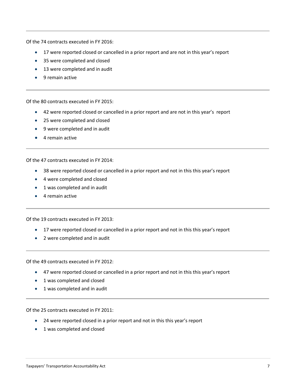Of the 74 contracts executed in FY 2016:

- 17 were reported closed or cancelled in a prior report and are not in this year's report
- 35 were completed and closed
- 13 were completed and in audit
- 9 remain active

Of the 80 contracts executed in FY 2015:

- 42 were reported closed or cancelled in a prior report and are not in this year's report
- 25 were completed and closed
- 9 were completed and in audit
- 4 remain active

Of the 47 contracts executed in FY 2014:

- 38 were reported closed or cancelled in a prior report and not in this this year's report
- 4 were completed and closed
- 1 was completed and in audit
- 4 remain active

Of the 19 contracts executed in FY 2013:

- 17 were reported closed or cancelled in a prior report and not in this this year's report
- 2 were completed and in audit

Of the 49 contracts executed in FY 2012:

- 47 were reported closed or cancelled in a prior report and not in this this year's report
- 1 was completed and closed
- 1 was completed and in audit

Of the 25 contracts executed in FY 2011:

- 24 were reported closed in a prior report and not in this this year's report
- 1 was completed and closed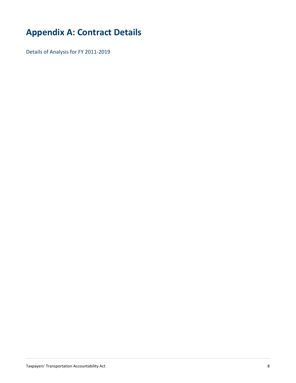# <span id="page-7-0"></span>**Appendix A: Contract Details**

Details of Analysis for FY 2011-2019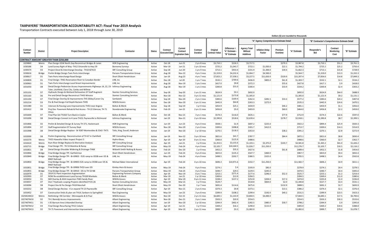#### **TAXPAYERS' TRANSPORTATION ACCOUNTABILITY ACT: Fiscal Year 2019 Analysis**

Transportation Contracts executed between July 1, 2018 through June 30, 2019

|                    |                |                                                                                                                                           |                                     |                  |                           |                                               |                                 |                            |                                              |                                                    |                                          |                     | Dollars (\$) are rounded to thousands |                                                |                                |                    |
|--------------------|----------------|-------------------------------------------------------------------------------------------------------------------------------------------|-------------------------------------|------------------|---------------------------|-----------------------------------------------|---------------------------------|----------------------------|----------------------------------------------|----------------------------------------------------|------------------------------------------|---------------------|---------------------------------------|------------------------------------------------|--------------------------------|--------------------|
|                    |                |                                                                                                                                           |                                     |                  |                           |                                               |                                 |                            |                                              |                                                    | "A" Agency Comprehensive Estimate Detail |                     |                                       | "B" Contractor's Comprehensive Estimate Detail |                                |                    |
| Contract<br>Number | District       | <b>Project Description</b>                                                                                                                | Contractor                          | <b>Status</b>    | Contract<br>Executed Date | Current<br>Contract<br><b>Expiration Date</b> | Contract<br>Duration            | Original<br>Contract Value | Difference =<br>"A" Estimate<br>"B" Estimate | <b>Agency Total</b><br>Without<br><b>Additives</b> | <b>Inflation Delay</b><br>Factor         | Premium<br>Overtime | "A" Estimate                          | Responder's<br>Bid                             | Contract<br>Monitoring<br>Cost | "B" Estimate       |
|                    |                | <b>CONTRACT AMOUNT GREATER THAN \$250,000</b>                                                                                             |                                     |                  |                           |                                               |                                 |                            |                                              |                                                    |                                          |                     |                                       |                                                |                                |                    |
| 1029860            | Metro          | Plan Design I35W North Gap Reconstruct Bridges & Lanes                                                                                    | <b>HDR Engineering</b>              | Active           | Oct-18                    | Jun-21                                        | 2 yrs 8 mos                     | \$3,710.1                  | \$226.5                                      | \$3,717.5                                          |                                          | \$270.3             | \$3,987.8                             | \$3,710.1                                      | \$51.2                         | \$3,761.3          |
| 1030186            | D <sub>4</sub> | Land Survey Right of Way -TH12 Ortonville to Hwy 59                                                                                       | Bonnema Surveys                     | Active           | Mar-19                    | Jan-21                                        | 1 yrs 10 mos                    | \$725.2                    | \$1,043.7                                    | \$722.1                                            | \$1,050.0                                | \$22.1              | \$1,794.2                             | \$725.2                                        | \$25.2                         | \$750.4            |
| 1030574            | D <sub>3</sub> | Project Devel & Interchange Develop - TH10 &TH23                                                                                          | SRF Consulting Group                | Active           | Sep-18                    | Jun-20                                        | 1 yrs 9 mos                     | \$713.1                    | \$933.4                                      | \$331.9                                            | \$1,300.0                                | \$30.4              | \$1,662.3                             | \$713.1                                        | \$15.8                         | \$728.9            |
| 1030616            | Bridge         | Prelim Bridge Design-Twin Ports Interchange                                                                                               | Parsons Transportation Group        | Active           | Aug-18                    | Nov-22                                        | 4 yrs 3 mos                     | \$1,319.0                  | \$4,232.4                                    | \$1,064.7                                          | \$4,500.0                                |                     | \$5,564.7                             | \$1,319.0                                      | \$13.3                         | \$1,332.3          |
| 1030617            | D1             | Twin Ports Interchange Road Design                                                                                                        | Short Elliott Hendrickson           | Active           | Jan-19                    | Aug-23                                        | 4 yrs 7 mos                     | \$7,823.2                  | \$7,358.1                                    | \$3,227.5                                          | \$11,650.0                               | \$329.9             | \$15,207.4                            | \$7,834.6                                      | \$14.8                         | \$7,849.3          |
| 1030839            | D1             | Final Design -TH61 Reservation River to Canadian Border                                                                                   | LHB, Inc                            | Active           | Dec-18                    | Jul-20                                        | 1 yrs 7 mos                     | \$532.1                    | \$769.6                                      | \$436.9                                            | \$805.0                                  | \$61.8              | \$1,303.7                             | \$532.1                                        | \$2.1                          | \$534.2            |
| 1030963            | D <sub>1</sub> | Twin Ports Interchange Local Street Improvements                                                                                          | LHB, Inc                            | Active           | Aug-18                    | Nov-19                                        | 1 yrs 3 mos                     | \$417.0                    | \$9.8                                        | \$372.3                                            |                                          | \$55.6              | \$427.8                               | \$417.1                                        | \$.9                           | \$418.0            |
| 1031050            | D8             | Detail Design Pedestrian Access Improvements-Highways 14, 22, 23- Isthmus Engineering<br>Tyler, Litchfield, Clara City, Canby and Willmar |                                     | Active           | Aug-18                    | <b>Nov-19</b>                                 | 1 yrs 3 mos                     | \$300.8                    | \$31.0                                       | \$300.4                                            |                                          | \$33.9              | \$334.2                               | \$300.8                                        | \$2.4                          | \$303.2            |
| 1031101            | D7             | Hydraulic Design & Wetland Delineation D7 Staff Augment                                                                                   | <b>Stantec Consulting Services</b>  | Active           | Sep-18                    | Sep-20                                        | 1 yrs 11 mos                    | \$624.9                    | \$3.1                                        | \$692.0                                            |                                          |                     | \$692.0                               | \$624.9                                        | \$64.0                         | \$688.9            |
| 1031163            | D6             | Pre and Detail Design Reconstruct TH43-Winona                                                                                             | <b>Stantec Consulting Services</b>  | Active           | <b>Nov-18</b>             | <b>Nov-22</b>                                 | 3 yrs 11 mos                    | \$1,121.9                  | \$173.8                                      | \$1,305.0                                          |                                          |                     | \$1,305.0                             | \$1,121.9                                      | \$9.2                          | \$1,131.1          |
| 1031194            | D7             | Final Design Overlay & Improvements-TH5 Sibley/Carver Cty                                                                                 | Sambatek                            | Active           | Sep-18                    | Nov-20                                        | 2 yrs 2 mos                     | \$383.6                    | \$169.4                                      | \$262.4                                            | \$281.5                                  | \$33.3              | \$577.2                               | \$383.6                                        | \$24.2                         | \$407.8            |
| 1031214            | D <sub>3</sub> | Pre & final Design-Full Depth Reclaim TH95                                                                                                | WSB & Assocs                        | Active           | Dec-18                    | Nov-20                                        | 1 yrs 11 mos                    | \$445.9                    | \$64.8                                       | \$263.3                                            | \$272.0                                  |                     | \$535.3                               | \$445.9                                        | \$24.6                         | \$470.5            |
| 1031380            | D1             | Intersect & Passing Lane Improvements-TH53 near Angora                                                                                    | <b>Bolton &amp; Menk</b>            | Active           | Sep-18                    | Sep-19                                        | 1 yr 0 mos                      | \$454.9                    | \$25.1                                       | \$434.9                                            |                                          | \$46.2              | \$481.1                               | \$454.9                                        | \$1.1                          | \$456.0            |
| 1031412            | D8             | Proj Dev Pavement Rehab & Ped Access - TH 22 Glencoe, TH 71<br>Olivia                                                                     | Stonebrooke Engineering             | Active           | Feb-19                    | Jan-22                                        | 2 yrs 11 mos                    | \$456.8                    | \$5.0                                        | \$403.9                                            |                                          | \$60.0              | \$464.0                               | \$456.8                                        | \$2.2                          | \$459.0            |
| 1031600            | D7             | Final Plan Set TH263 Turn-Back in Ceylon                                                                                                  | <b>Bolton &amp; Menk</b>            | Active           | Oct-18                    | <b>Nov-21</b>                                 | 3 yrs 1 mos                     | \$574.3                    | \$116.0                                      | \$635.1                                            |                                          | \$77.9              | \$712.9                               | \$574.3                                        | \$22.6                         | \$597.0            |
| 1031696            | D8             | Detail Design Convert to 4 Lane-TH23; Paynesville to Richmond                                                                             | <b>Isthmus Engineering</b>          | Active           | Jan-19                    | <b>Nov-21</b>                                 | 2 yrs 10 mos                    | \$2,390.8                  | \$518.6                                      | \$2,639.4                                          |                                          | \$278.7             | \$2,918.1                             | \$2,390.8                                      | \$8.7                          | \$2,399.5          |
| 1031866            | D <sub>2</sub> | Prelim & Detailed Design & Survey TH 371, Hackensack                                                                                      | <b>HDR Engineering</b>              | Active           | Jun-19                    | Jun-23                                        | 4 yrs 0 mos                     | \$928.1                    | \$1.9                                        | \$697.2                                            | \$225.0                                  |                     | \$922.2                               | \$894.4                                        | \$25.9                         | \$920.3            |
| 1031894            | D7             | <b>Staff Augmentation D7 Survey Dept</b>                                                                                                  | WSB & Assocs                        | Active           | <b>Nov-18</b>             | <b>Nov-20</b>                                 | 2 yrs 0 mos                     | \$300.6                    | \$398.8                                      | \$301.7                                            | \$412.0                                  |                     | \$713.7                               | \$300.6                                        | \$14.3                         | \$314.9            |
| 1031998            | D8             | Detail Design Bridge Replace - Br 9287-Montevideo & 5543 -TH71                                                                            | Toltz, King, Duvall, Anderson       | Active           | Jan-19                    | Nov-20                                        | 1 yr 10 mos                     | \$270.1                    | \$118.3                                      | \$353.0                                            |                                          | \$38.2              | \$391.2                               | \$270.1                                        | \$2.8                          | \$272.9            |
| 1032000            | D8             | Prelim Engineering - Reconstruction of TH 67 in Clarkfield                                                                                | <b>SRF Consulting Group</b>         | Active           | Jan-19                    | <b>Nov-22</b>                                 | 3 yrs 10 mos                    | \$821.6                    | \$41.7                                       | \$787.7                                            |                                          | \$84.4              | \$872.1                               | \$821.6                                        | \$8.8                          | \$830.4            |
| 1032570            | Metro          | TH55 Hiawatha Video Inspect Project 3                                                                                                     | Hydro-Klean,                        | Active           | Apr-19                    | Apr-20                                        | 0 yrs 11 mos                    | \$360.0                    | \$125.9                                      | \$488.6                                            |                                          |                     | \$488.6                               | \$360.0                                        | \$2.7                          | \$362.7            |
| 1032610            | Metro          | Rum River Bridge Replace & Alternative Analysis                                                                                           | <b>SRF Consulting Group</b>         | Active           | Apr-19                    | Jan-21                                        | 1 yr 8 mos                      | \$1,353.5                  | \$3,155.6                                    | \$1,103.1                                          | \$3,375.0                                | \$103.7             | \$4,581.8                             | \$1,365.2                                      | \$61.0                         | \$1,426.2          |
| 1032715            | Bridge         | Final Design TPI - TH 53 Mainline & Ramp                                                                                                  | <b>SRF Consulting Group</b>         | Active           | $May-19$                  | Feb-24                                        | 4 yrs 9 mos                     | \$2,105.7                  | \$10,160.5                                   | \$1,026.7                                          | \$11,250.0                               |                     | \$12,276.7                            | \$2,105.7                                      | \$10.5                         | \$2,116.2          |
| 1032821            | D <sub>8</sub> | Detail Design Shoulder Widening & Drainage-TH68                                                                                           | Widseth Smith Nolting & Assocs      | Active           | Feb-19                    | <b>Dec-20</b>                                 | 1 yr 9 mos                      | \$452.2                    | \$35.3                                       | \$427.6                                            |                                          | \$61.8              | \$489.4                               | \$452.2                                        | \$1.8                          | \$454.0            |
| 1032846            | Bridge         | Final Bridge Design TPI- Garfield Ave                                                                                                     | Short Elliott Hendrickson           | Active           | Jun-19                    | Feb-24                                        | 4 yrs 8 mos                     | \$823.0                    | \$135.3                                      | \$507.7                                            | \$460.0                                  |                     | \$967.7                               | \$823.0                                        | \$9.4                          | \$832.4            |
| 1032849            | Bridge         | Final Bridge Design TPI - Br 69903 - 1535 ramp to 135SB over 135 &<br><b>BNSF Railroad</b>                                                | LHB, Inc.                           | Active           | May-19                    | Feb-24                                        | 4 yrs 9 mos                     | \$498.5                    | \$202.7                                      | \$380.5                                            | \$325.0                                  |                     | \$705.5                               | \$498.5                                        | \$4.4                          | \$502.8            |
| 1032850            | Bridge         | Final Bridge Design TPI - Br 69905 I535 ramp to I35NB over I35 &<br><b>BNSF Railroad</b>                                                  | Michael Baker International         | Active           | Apr-19                    | Feb-24                                        | 4 yrs 10 mos                    | \$606.3                    | \$10,971.6                                   | \$332.7                                            | \$11,250.0                               |                     | \$11,582.7                            | \$606.2                                        | \$4.9                          | \$611.1            |
| 1032851            | Bridge         | Final Bridge Design TPI - Br 69906-TH53 over I35                                                                                          | Kimley-Horn & Assocs                | Active           | May-19                    | Feb-24                                        | 4 yrs 9 mos                     | \$274.1                    | \$.4                                         | \$193.9                                            | \$85.0                                   |                     | \$278.9                               | \$274.1                                        | \$4.4                          | \$278.5            |
| 1032855            | <b>Bridge</b>  | Final Bridge Design TPI - Br 69910 - I35 to TH 53 NB                                                                                      | Parsons Transportation Group        | Active           | May-19                    | Feb-24                                        | 4 yrs 9 mos                     | \$440.7                    | \$29.5                                       | \$229.5                                            | \$245.0                                  |                     | \$474.5                               | \$440.7                                        | \$4.4                          | \$445.0            |
| 1032979            | D1             | 2019 D1 Plant Inspection Augmentation                                                                                                     | <b>Engineering Partners Company</b> | Active           | Apr-19                    | <b>Nov-19</b>                                 | 0 yrs 7 mos                     | \$253.1<br>\$369.6         | \$271.4<br>\$13.9                            | \$177.4<br>\$394.5                                 | \$296.0                                  | \$52.3              | \$525.7<br>\$394.5                    | \$253.1<br>\$369.6                             | \$1.2<br>\$11.0                | \$254.4<br>\$380.6 |
| 1032993<br>1033054 | D7<br>D1       | ROW Re-establishment-Land Survey-TH169 Mankato<br>Mill Overlay & ADA Inspection-TH65 Sandy River                                          | Bolton & Menk<br>WSB & Assocs       | Active<br>Active | Mar-19<br>Apr-19          | Jan-21<br>Mar-20                              | $1$ yr $10$ mos<br>0 yrs 11 mos | \$338.2                    | \$137.2                                      | \$252.8                                            | \$204.0                                  | \$17.3              | \$474.0                               | \$335.8                                        | \$1.0                          | \$336.8            |
| 1033057            | D7             | Dist 7 Hydraulic scoping-Projects identified FY25-26                                                                                      | <b>Stantec Consulting Services</b>  | Active           | May-19                    | Mar-21                                        | 1 yr 9 mos                      | \$529.7                    |                                              | \$518.8                                            | \$820.0                                  | \$2.0               | \$1,340.8                             | \$527.7                                        | \$3.4                          | \$531.1            |
| 1033096            | D8             | Project Dev & Pre Design-TH19 Marshall                                                                                                    | Short Elliott Hendrickson           | Active           | May-19                    | <b>Dec-20</b>                                 | 1 yr 7 mos                      | \$691.4                    | \$114.6                                      | \$675.6                                            |                                          | \$132.9             | \$808.5                               | \$691.3                                        | \$2.7                          | \$693.9            |
| 1033252            | D8             | Detail Design Review - 4 Ln expand TH 23 Paynesville                                                                                      | <b>SRF Consulting Group</b>         | Active           | Apr-19                    | Nov-21                                        | 2 yrs 6 mos                     | \$374.3                    | \$9.8                                        | \$373.1                                            |                                          | \$13.1              | \$386.2                               | \$374.3                                        | \$2.1                          | \$376.4            |
| 1033452            | D7             | Construction limits & plan set-TH14; Sanborn to Springfield                                                                               | Rani Engineering                    | Active           | $May-19$                  | Jan-23                                        | 3 yrs 8 mos                     | \$399.9                    | \$108.2                                      | \$299.4                                            | \$192.0                                  | \$40.2              | \$531.5                               | \$399.9                                        | \$23.5                         | \$423.3            |
| 1025814W22         | Metro          | Rethinking I-94 Corridor - Minneapolis & St Paul                                                                                          | WSB & Assocs                        | Active           | <b>Nov-18</b>             | Oct-21                                        | 2 yrs 11 mos                    | \$6,683.1                  | \$1,143.9                                    | \$3,844.5                                          | \$4,000.0                                |                     | \$7,844.5                             | \$6,683.1                                      | \$17.5                         | \$6,700.6          |
| 1027407W10         | D <sub>2</sub> | TH 2 Bemidji Access Improvements                                                                                                          | <b>Alliant Engineering</b>          | Active           | <b>Nov-18</b>             | Dec-21                                        | 3 yrs 1 mos                     | \$503.3                    | \$20.9                                       | \$554.5                                            |                                          |                     | \$554.5                               | \$503.3                                        | \$30.3                         | \$533.6            |
| 1027407W11         | D1             | I-35 Barnum Area Unbonded Overlay                                                                                                         | <b>Alliant Engineering</b>          | Active           | Jan-19                    | Nov-20                                        | 1 yr 10 mos                     | \$394.9                    | \$402.4                                      | \$282.5                                            | \$485.0                                  | \$30.7              | \$798.2                               | \$394.9                                        | \$.9                           | \$395.8            |
| 1027407W12         | D <sub>3</sub> | Final Design Resurfacing-TH12 Cokato                                                                                                      | <b>Alliant Engineering</b>          | Active           | Apr-19                    | $Jan-21$                                      | 1 yr 9 mos                      | \$369.2                    | \$16.1                                       | \$290.0                                            | \$115.0                                  |                     | \$405.0                               | \$369.2                                        | \$19.6                         | \$388.8            |
| 1027407W13         | D <sub>2</sub> | TH 71 Pavement and Intersection Improvement                                                                                               | <b>Alliant Engineering</b>          | Active           | Apr-19                    | Mar-22                                        | 2 yrs 11 mos                    | \$999.7                    | \$3.3                                        | \$1,082.0                                          |                                          |                     | \$1,082.0                             | \$999.7                                        | \$79.0                         | \$1,078.7          |
|                    |                |                                                                                                                                           |                                     |                  |                           |                                               |                                 |                            |                                              |                                                    |                                          |                     |                                       |                                                |                                |                    |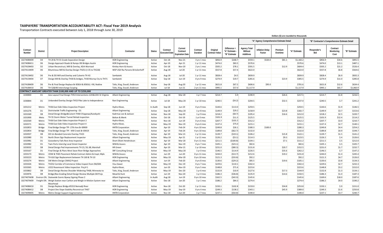#### **TAXPAYERS' TRANSPORTATION ACCOUNTABILITY ACT: Fiscal Year 2019 Analysis**

Transportation Contracts executed between July 1, 2018 through June 30, 2019

|                    |                 |                                                                                    |                                  |               |                                  |                                               |                      |                                   |                                              |                                                    |                                          |                     | Dollars (\$) are rounded to thousands |                                                |                                |              |
|--------------------|-----------------|------------------------------------------------------------------------------------|----------------------------------|---------------|----------------------------------|-----------------------------------------------|----------------------|-----------------------------------|----------------------------------------------|----------------------------------------------------|------------------------------------------|---------------------|---------------------------------------|------------------------------------------------|--------------------------------|--------------|
|                    |                 |                                                                                    |                                  |               |                                  |                                               |                      |                                   |                                              |                                                    | "A" Agency Comprehensive Estimate Detail |                     |                                       | "B" Contractor's Comprehensive Estimate Detail |                                |              |
| Contract<br>Number | <b>District</b> | <b>Project Description</b>                                                         | Contractor                       | <b>Status</b> | Contract<br><b>Executed Date</b> | Current<br>Contract<br><b>Expiration Date</b> | Contract<br>Duration | Original<br><b>Contract Value</b> | Difference =<br>"A" Estimate<br>"B" Estimate | <b>Agency Total</b><br>Without<br><b>Additives</b> | nflation Delay<br>Factor                 | Premium<br>Overtime | "A" Estimate                          | Responder's<br>Bid                             | Contract<br>Monitoring<br>Cost | "B" Estimate |
| 1027408W09         | D4              | TH 29 & TH 55 Grade Separation Design                                              | <b>HDR Engineering</b>           | Active        | Oct-18                           | Nov-21                                        | 3 yrs 1 mos          | \$856.9                           | \$268.7                                      | \$559.1                                            | \$520.0                                  | \$81.1              | \$1,160.2                             | \$856.9                                        | \$34.6                         | \$891.5      |
| 1027408W11         | D6              | Design Approach Roads & Ramps 190 Bridges Austin                                   | <b>HDR</b> Engineering           | Active        | Apr-19                           | Apr-21                                        | $1$ yr $11$ mos      | \$474.0                           | \$83.5                                       | \$570.6                                            |                                          |                     | \$570.6                               | \$474.0                                        | \$13.1                         | \$487.1      |
| 1027410W03         | D <sub>2</sub>  | Urban Reconstruct, Mill & Overlay, ADA-Warroad                                     | Kimley-Horn & Assocs             | Active        | Oct-18                           | <b>Nov-20</b>                                 | 2 yrs 1 mos          | \$505.2                           | \$78.1                                       | \$591.5                                            |                                          | \$12.9              | \$604.4                               | \$505.2                                        | \$21.2                         | \$526.4      |
| 1027411W09         | D6              | Bituminous Mill & Overlay Design-TH251 (I-35 to TH218)                             | WSP USA fka Parsons Brinckerhoff | Active        | Aug-18                           | Jul-20                                        | 1 yr 11 mos          | \$557.8                           | \$57.4                                       | \$622.0                                            |                                          |                     | \$622.0                               | \$557.8                                        | \$6.8                          | \$564.6      |
| 1027413W02         | D6              | Pre & DD Mill and Overlay and Culverts-TH 43                                       | Sambatek                         | Active        | Aug-18                           | Jul-20                                        | 1 yr 11 mos          | \$828.4                           | \$4.5                                        | \$839.9                                            |                                          |                     | \$839.9                               | \$828.4                                        | \$6.9                          | \$835.3      |
| 1027413W04         | D7              | Design Mill & Overlay-TH30 & bridges, TH30 Murray Cty to TH71                      | Sambatek                         | Active        | $Sep-18$                         | Jun-19                                        | 0 yrs 9 mos          | \$274.9                           | \$19.7                                       | \$281.6                                            |                                          | \$23.9              | \$305.5                               | \$274.9                                        | \$11.0                         | \$285.8      |
| 1027418W09         | D6              | Pre & Final Design Replace Br 85814 & 85816; I-90, Nodine                          | Toltz, King, Duvall, Anderson    | Active        | $Sep-18$                         | Aug-20                                        | 1 yr 11 mos          | \$621.8                           | \$67.2                                       | \$606.6                                            | \$95.0                                   |                     | \$701.6                               | \$621.8                                        | \$12.6                         | \$634.4      |
| 1027418W10         | D <sub>6</sub>  | TH 52&190 Interchange Scoping                                                      | Toltz, King, Duvall, Anderson    | Active        | Jul-18                           | Jun-21                                        | 2 yrs 11 mos         | \$995.1                           | \$57.0                                       | \$1,117.9                                          |                                          |                     | \$1,117.9                             | \$995.1                                        | \$65.7                         | \$1,060.9    |
|                    |                 | CONTRACT AMOUNT GREATER THAN \$100,000 AND UP TO \$250,000                         |                                  |               |                                  |                                               |                      |                                   |                                              |                                                    |                                          |                     |                                       |                                                |                                |              |
| 1030840            | D1              | Geo Layout Final Design TH53 Intersections-12th&13th St Virginia                   | <b>Alliant Engineering</b>       | Active        | Aug-18                           | Mar-20                                        | 1 yr 7 mos           | \$214.7                           | 5.9                                          | \$190.9                                            |                                          | \$26.6              | \$217.5                               | \$214.7                                        | \$1.8                          | \$216.5      |
| 1030844            | D1              | Unbonded Overlay Design-TH53 Pike Lake to Independence                             | Rani Engineering                 | Active        | Jul-18                           | May-20                                        | 1 yr 10 mos          | \$240.5                           | (54.2)                                       | \$204.5                                            |                                          | \$32.5              | \$237.0                               | \$240.5                                        | \$.7                           | \$241.2      |
| 1031212            | Metro           | TH36 East Side Video Inspection Project                                            | Hydro-Klean,                     | In Audit      | Sep-18                           | Jun-19                                        | 0 yrs 9 mos          | \$144.6                           | \$113.0                                      | \$259.5                                            |                                          |                     | \$259.5                               | \$144.6                                        | \$1.9                          | \$146.5      |
| 1031276            | D1              | Districtwide Traffic Engineering - D1                                              | <b>Alliant Engineering</b>       | Active        | Sep-18                           | May-20                                        | 1 yr 8 mos           | \$149.9                           | \$29.2                                       | \$158.9                                            |                                          | \$23.8              | \$182.7                               | \$149.9                                        | \$3.7                          | \$153.6      |
| 1031569            | D8              | Detail Design Bridge&Culvert-TH40 Chippewa/Kandiyohi                               | Kadrmas Lee & Jackson            | Active        | <b>Nov-18</b>                    | Sep-20                                        | 1 yr 9 mos           | \$218.2                           | (58.7)                                       | \$195.4                                            |                                          | \$16.6              | \$212.0                               | \$218.2                                        | \$2.5                          | \$220.7      |
| 1031900            | Meto            | TH 55 Storm Water Tunnel Rehab Inspection                                          | Bolton & Menk                    | Active        | Oct-18                           | Oct-19                                        | 1 yr 0 mos           | \$101.9                           | \$11.3                                       | \$125.5                                            |                                          |                     | \$125.5                               | \$101.9                                        | \$12.4                         | \$114.2      |
| 1032569            | Metro           | TH36 East Side Video Inspection-Project 2                                          | Hydro-Klean,                     | Active        | <b>Nov-18</b>                    | Jun-19                                        | 0 yrs 6 mos          | \$207.7                           | \$101.5                                      | \$312.2                                            |                                          |                     | \$312.2                               | \$207.7                                        | \$3.0                          | \$210.7      |
| 1032571            | Metro           | TH36 East Side Video Inspection Project 4                                          | Hydro-Klean,                     | Active        | May-19                           | Nov-19                                        | 0 yrs 6 mos          | \$137.4                           | \$75.0                                       | \$215.1                                            |                                          |                     | \$215.1                               | \$137.4                                        | \$2.7                          | \$140.1      |
| 1032853            | <b>Bridge</b>   | Final Bridge Design TPI -27th Ave Br 69909                                         | <b>HNTB Corporation</b>          | Active        | Apr-19                           | Feb-24                                        | 4 yrs 10 mos         | \$249.8                           | \$26.1                                       | \$180.3                                            | \$100.0                                  |                     | \$280.3                               | \$249.8                                        | \$4.4                          | \$254.2      |
| 1032854            | <b>Bridge</b>   | Final Bridge Design TPI - Mill Creek Br 69X19                                      | Toltz, King, Duvall, Anderson    | Active        | Apr-19                           | Feb-24                                        | 4 yrs 10 mos         | \$189.8                           | (562.7)                                      | \$132.0                                            |                                          |                     | \$132.0                               | \$189.8                                        | \$4.9                          | \$194.7      |
| 1032937            | D8              | DD Un-Bonded Concrete Overlay-TH23                                                 | Toltz, King, Duvall, Anderson    | Active        | Apr-19                           | Mar-21                                        | $1$ yr $11$ mos      | \$139.7                           | (519.1)                                      | \$106.2                                            |                                          | \$15.8              | \$122.1                               | \$139.7                                        | \$1.5                          | \$141.2      |
| 1032980            | D1              | North Shore Sign Replacement Inspector                                             | <b>Alliant Engineering</b>       | Active        | May-19                           | Apr-21                                        | 1 yr 11 mos          | \$126.2                           | (53.1)                                       | \$114.3                                            |                                          | \$9.3               | \$123.5                               | \$126.2                                        | \$.4                           | \$126.6      |
| 1032981            | D1              | Gooseberry Falls Rest Area Inspector                                               | Short Elliott Hendrickson        | Active        | Apr-19                           | Mar-20                                        | 0 yrs 11 mos         | \$211.5                           | (5100.8)                                     | \$104.1                                            |                                          | \$7.1               | \$111.2                               | \$211.5                                        | \$.5                           | \$212.0      |
| 1032982            | D1              | Twin Ports Interchg Local Street Inspector                                         | WSB & Assocs                     | Active        | Apr-19                           | Nov-19                                        | 0 yrs 7 mos          | \$105.1                           | (523.1)                                      | \$82.6                                             |                                          |                     | \$82.6                                | \$105.1                                        | \$.5                           | \$105.7      |
| 1033032            | D8              | Detail Design Ped Improvements TH 23, 59, 68; Marshall                             | <b>HR</b> Green                  | Active        | Apr-19                           | Mar-21                                        | 1 yr 10 mos          | \$231.0                           | $($ \$80.3)                                  | \$131.8                                            |                                          | \$20.7              | \$152.5                               | \$231.0                                        | \$1.7                          | \$232.7      |
| 1033167            | D1              | Final Design & Plans West Swan River Bridge Approaches                             | <b>SRF Consulting Group</b>      | Active        | May-19                           | May-20                                        | 1 yr 0 mos           | \$146.5                           | \$114.9                                      | \$226.5                                            |                                          | \$35.6              | \$262.2                               | \$146.5                                        | \$.7                           | \$147.2      |
| 1033173            | Metro           | I35W & TH65 Pavement Rehab Contract Admin & Inspt; Mpls                            | <b>WSB &amp; Assocs</b>          | Active        | Jun-19                           | Jun-20                                        | 0 yrs 11 mos         | \$244.0                           | (513.7)                                      | \$212.6                                            |                                          | \$19.2              | \$231.8                               | \$244.0                                        | \$1.4                          | \$245.4      |
| 1033223            | Metro           | TH 610 Sign Replacement between TH 169 & TH 10                                     | <b>HDR Engineering</b>           | Active        | $May-19$                         | Mar-20                                        | 0 yrs 10 mos         | \$121.3                           | (533.8)                                      | \$92.2                                             |                                          |                     | \$92.2                                | \$121.3                                        | \$4.7                          | \$126.0      |
| 1033274            | Metro           | SW Metro Design CMAQ Project                                                       | <b>Alliant Engineering</b>       | Active        | Jun-19                           | Feb-20                                        | 0 yrs 8 mos          | \$130.6                           | (529.2)                                      | \$85.5                                             |                                          | \$19.6              | \$105.1                               | \$130.6                                        | \$3.8                          | \$134.3      |
| 1033326            | Metro           | TH252 Corridor of Commerce Video Inspect from I94/694                              | Visu-Sewer                       | Active        | $May-19$                         | Dec-19                                        | 0 yrs 7 mos          | \$229.6                           | \$110.1                                      | \$342.4                                            |                                          |                     | \$342.4                               | \$229.6                                        | \$2.7                          | \$232.3      |
| 1033365            | Metro           | US52 Rosemount Video Inspection Proj #1                                            | Hydro-Klean,                     | Active        | Jun-19                           | <b>Nov-19</b>                                 | 0 yrs 5 mos          | \$148.8                           | \$71.6                                       | \$223.6                                            |                                          |                     | \$223.6                               | \$148.8                                        | \$3.2                          | \$152.0      |
| 1033862            | D8              | Detail Design Review Shoulder Widening-TH68; Minneota to                           | Toltz, King, Duvall, Anderson    | Active        | $May-19$                         | <b>Dec-20</b>                                 | $1$ yr 6 mos         | \$132.8                           | \$10.9                                       | \$127.6                                            |                                          | \$17.3              | \$144.9                               | \$132.8                                        | \$1.3                          | \$134.1      |
| 1033976            | D8              | Bridge/Box Grading Detail Design Review-Multiple D8 Projs                          | Mead & Hunt                      | Active        | Jun-19                           | <b>Nov-20</b>                                 | 1 yr 4 mos           | \$186.3                           | ( \$36.8)                                    | \$135.9                                            |                                          | \$14.6              | \$150.5                               | \$186.3                                        | \$1.0                          | \$187.3      |
| 1027407W08         |                 | Environ Ofc Statewide Scenic Byway Signing Phase 2                                 | <b>Alliant Engineering</b>       | In Audit      | Aug-18                           | Jun-19                                        | 0 yrs 10 mos         | \$162.5                           | (542.0)                                      | \$145.6                                            |                                          |                     | \$145.6                               | \$169.6                                        | \$18.0                         | \$187.6      |
| 1027407W09         |                 | Freight Ofc Weigh Station near Carlton and Weigh-in-Motion System near<br>Moorhead | <b>Alliant Engineering</b>       | Active        | Dec-18                           | Jan-20                                        | 1 yr 1 mos           | \$186.2                           | \$84.3                                       | \$274.4                                            |                                          |                     | \$274.4                               | \$186.2                                        | \$4.0                          | \$190.2      |
| 1027408W10         | D1              | Design Replace Bridge #5553 Nemadji River                                          | <b>HDR Engineering</b>           | Active        | <b>Nov-18</b>                    | Oct-20                                        | $1$ yr $11$ mos      | \$150.1                           | \$102.8                                      | \$219.0                                            |                                          | \$34.8              | \$253.8                               | \$150.1                                        | \$.9                           | \$151.0      |
| 1027408W12         | D <sub>8</sub>  | Project Dev Slope Stability Reconstruct TH67                                       | <b>HDR Engineering</b>           | Active        | May-19                           | Sep-19                                        | 0 yrs 4 mos          | \$249.3                           | \$138.2                                      | \$343.1                                            |                                          | \$45.9              | \$389.0                               | \$249.3                                        | \$1.6                          | \$250.8      |
| 1027409W05         | Metro           | Metro Design Support Augmentation                                                  | <b>HNTB Corporation</b>          | Active        | Nov-18                           | <b>Jun-20</b>                                 | 1 yr 7 mos           | \$237.1                           | (550.8)                                      | \$190.0                                            |                                          |                     | \$190.0                               | \$237.1                                        | \$3.7                          | \$240.7      |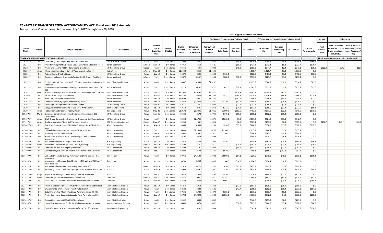#### **TAXPAYERS' TRANSPORTATION ACCOUNTABILITY ACT: Fiscal Year 2018 Analysis**

Transportation Contracts executed between July 1, 2017 through June 30, 2018

|                      |                                  |                                                                                                                        |                                                                |                    |                                                  |                             |                               |                                              |                                             |                                          |                     | Dollars (\$) are rounded to thousands |                           |                                                |                      |                               |                         |                                                                                                                                  |          |
|----------------------|----------------------------------|------------------------------------------------------------------------------------------------------------------------|----------------------------------------------------------------|--------------------|--------------------------------------------------|-----------------------------|-------------------------------|----------------------------------------------|---------------------------------------------|------------------------------------------|---------------------|---------------------------------------|---------------------------|------------------------------------------------|----------------------|-------------------------------|-------------------------|----------------------------------------------------------------------------------------------------------------------------------|----------|
|                      |                                  |                                                                                                                        |                                                                |                    |                                                  |                             |                               |                                              |                                             | "A" Agency Comprehensive Estimate Detail |                     |                                       |                           | "B" Contractor's Comprehensive Estimate Detail |                      |                               | <b>Actuals</b>          | <b>Differences</b>                                                                                                               |          |
| Contract<br>Number   | District                         | <b>Project Description</b>                                                                                             | Contractor                                                     | <b>Status</b>      | Current<br>Contract<br><b>Expiration</b><br>Date | Contract<br>Duration        | Original<br>Contract<br>Value | Difference =<br>"A" Estimate<br>"B" Estimate | Agency Total<br>Without<br><b>Additives</b> | <b>Inflation</b><br><b>Delay Factor</b>  | Premiun<br>Overtime | "A" Estimate                          | Responder's<br><b>Bid</b> | Contract<br>Monitoring<br>Cost                 | "B" Estimate         | <b>Total of</b><br>Amendment: | Final<br>Amount<br>Paid | Vote 2 Actual to Note 2 Actual to<br>Estimate A (Final Estimate B (Final \$<br>plus monitoring minus Responder's<br>minus Est A) | Bid)     |
|                      |                                  | CONTRACT AMOUNT GREATER THAN \$250,000                                                                                 |                                                                |                    |                                                  |                             |                               |                                              |                                             |                                          |                     |                                       |                           |                                                |                      |                               |                         | ) indicates final amount paid < estimated                                                                                        |          |
| 1025959              | D1                               | Detail Design, Proj Mgmt Hwy 53 International Falls                                                                    | Kadrmas Lee & Jackson                                          | Active             | Jul-20                                           | 3 yrs 0 mos                 | \$766.9                       | \$80.3                                       | \$458.3                                     | \$312.0                                  | \$58.2              | \$828.5                               | \$743.6                   | \$4.6                                          | \$748.1              | \$490.4                       |                         |                                                                                                                                  |          |
| 1027727              | D8                               | Project Development & Detailed Design Downtown Litchfield -TH 12                                                       | <b>Bolton and Menk</b>                                         | In Audit           | Mar-19                                           | 1 yr 8 mos                  | \$371.4                       | \$46.6                                       | \$358.3                                     |                                          | \$66.0              | \$424.3                               | \$371.4                   | \$6.3                                          | \$377.7              | \$170.7                       |                         |                                                                                                                                  |          |
| 1027957              | D8                               | Prelim Engineering TH23 Cottonwood to Granite Falls                                                                    | <b>SRF Consulting Group</b>                                    | Closed             | Jun-18                                           | 0 yrs 10 mos                | \$344.7                       | \$4.7                                        | \$303.0                                     |                                          | \$48.8              | \$351.8                               | \$344.7                   | \$2.4                                          | \$347.1              | \$39.8                        | \$360.3                 | \$10.9                                                                                                                           | \$15.6   |
| 1028187              | Metro                            | Metro-wide Storm Sewer Culvert Video Inspection Project                                                                | HydroKlean                                                     | In Audit           | May-19                                           | 1 yr 9 mos                  | \$1,542.5                     | \$35.6<br>\$30.3                             | \$1,568.7                                   |                                          |                     | \$1,568.7                             | \$1,529.7                 | \$3.3                                          | \$1,533.0            | \$.0                          |                         |                                                                                                                                  |          |
| 1028644<br>1028677   | D <sub>3</sub><br>D <sub>3</sub> | Retime District 3 Traffic Signals<br>Construction Inspect & Materials Testing, Mill & Overlay Rockford                 | <b>SRF Consulting Group</b><br><b>Bolton and Menk</b>          | Active<br>In Audit | Nov-19                                           | 1 yr 5 mos                  | \$487.3<br>\$287.9            | \$215.7                                      | \$360.8<br>\$214.2                          | \$160.0<br>\$280.0                       | \$18.8              | \$520.8<br>\$513.0                    | \$487.3<br>\$287.7        | \$3.2<br>\$9.6                                 | \$490.5<br>\$297.4   | \$10.6                        |                         |                                                                                                                                  |          |
|                      |                                  |                                                                                                                        |                                                                |                    | Feb-19                                           | 0 yrs 10 mos                |                               |                                              |                                             |                                          |                     |                                       |                           |                                                |                      | \$.0                          |                         |                                                                                                                                  |          |
| 1029379              | D <sub>6</sub>                   | Prelimin & Detail Design - US63 & I-90 Interchange Ramps & Approach Short Elliott Hendrickson<br>Roadways              |                                                                | Active             | Jun-20                                           | 2 yrs 4 mos                 | \$904.5                       | \$104.8                                      | \$1,019.5                                   |                                          |                     | \$1,019.5                             | \$904.5                   | \$10.1                                         | \$914.7              | \$81.0                        |                         |                                                                                                                                  |          |
| 1029393              | D8                               | Project Development & Prelim Design - Downtown Sacred Heart, TH<br>212                                                 | <b>Bolton and Menk</b>                                         | Active             | Feb-21                                           | 2 yrs 11 mos                | \$711.6                       | \$625.9                                      | \$571.5                                     | \$692.0                                  | \$78.1              | \$1,341.6                             | \$711.9                   | \$3.8                                          | \$715.7              | \$23.0                        |                         |                                                                                                                                  |          |
| 1029542              | Metro                            | Preliminary Design Services, I-494 Project - Bloomington TH77-TH100                                                    | Short Elliott Hendrickson                                      | Active             | Sep-19                                           | 1 yr 6 mos                  | \$4,105.3                     | \$1,029.8                                    | \$4,822.2                                   |                                          | \$374.9             | \$5,197.1                             | \$4,105.2                 | \$62.1                                         | \$4,167.3            | \$.0                          |                         |                                                                                                                                  |          |
| 1029605              | D <sub>4</sub>                   | TH 87 2 Plans Design - near Frazee                                                                                     | Short Elliott Hendrickson                                      | Active             | Nov-22                                           | 4 yrs 9 mos                 | \$1,476.5                     | \$562.0                                      | \$1,136.8                                   | \$828.0                                  | \$163.5             | \$2,128.4                             | \$1,476.5                 | \$89.9                                         | \$1,566.4            | \$223.7                       |                         |                                                                                                                                  |          |
| 1029757              | D7                               | Final Design Plan Set TH60 Overlay                                                                                     | <b>Bolton and Menk</b>                                         | Active             | Dec-20                                           | 2 yrs 8 mos                 | \$1,049.8                     | \$200.7                                      | \$1,138.4                                   |                                          | \$162.5             | \$1,300.9                             | \$1,049.8                 | \$50.5                                         | \$1,100.2            | \$27.0                        |                         |                                                                                                                                  |          |
| 1030139              | D7                               | Construction Surveying-Concrete Overlay TH60                                                                           | <b>Bolton and Menk</b>                                         | Active             | Dec-19                                           | 1 yr 8 mos                  | \$386.6                       | \$1,687.5                                    | \$334.2                                     | \$1,710.0                                | \$61.2              | \$2,105.4                             | \$389.6                   | \$28.3                                         | \$418.0              | \$.0                          |                         |                                                                                                                                  |          |
| 1030428              | D8                               | Pre Design & Design Intersection-New London                                                                            | <b>SRF Consulting Group</b>                                    | Active             | Mar-21                                           | 2 yrs 10 mos                | \$266.3                       | \$77.3                                       | \$309.6                                     |                                          | \$37.8              | \$347.4                               | \$266.3                   | \$3.8                                          | \$270.1              | \$.0                          |                         |                                                                                                                                  |          |
| 1030567              | D <sub>3</sub><br>Metro          | Design Pavement Resurfacing-TH210 Crow Wing County                                                                     | Isthmus Engineering                                            | Active             | Nov-19                                           | 1 yr 5 mos                  | \$256.5<br>\$2,017.6          | \$240.1<br>\$1,444.3                         | \$231.5<br>\$1,741.2                        | \$272.0<br>\$1,600.0                     | \$14.2<br>\$152.6   | \$517.8<br>\$3,493.8                  | \$256.5<br>\$2,017.6      | \$21.2<br>\$32.0                               | \$277.6<br>\$2,049.6 | \$50.4<br>\$576.9             |                         |                                                                                                                                  |          |
| 1030650<br>05910W06  | Multi                            | I-35W Stormwater Storage Facility Design<br>Statewide Construction Administration and Inspection of IDIQ               | <b>Barr Engineering</b><br><b>SRF Consulting Group</b>         | Active<br>Active   | May-21<br>Mar-21                                 | 2 yrs 11 mos<br>3 yrs 6 mos | \$532.1                       | \$57.8                                       | \$374.1                                     | \$175.0                                  | \$59.9              | \$609.1                               | \$532.1                   | \$19.2                                         | \$551.3              | \$.0                          |                         |                                                                                                                                  |          |
|                      |                                  | Delineators                                                                                                            |                                                                |                    |                                                  |                             |                               |                                              | \$447.7                                     |                                          |                     |                                       |                           |                                                |                      |                               |                         |                                                                                                                                  |          |
| 05910W07<br>05911W01 | Metro<br>Metro                   | High Bridge Construction Engineering & Mendota Staff Augmentation                                                      | <b>SRF Consulting Group</b><br><b>HDR Construction Control</b> | Active<br>Closed   | Jun-19<br>May-17                                 | 1 yr 9 mos<br>1 yr 11 mos   | \$924.8<br>\$299.6            | \$2,174.3<br>\$3.1                           | \$306.6                                     | \$2,660.0                                | \$9.2<br>\$2.5      | \$3,117.0<br>\$309.1                  | \$924.8<br>\$299.6        | \$17.8<br>\$6.3                                | \$942.7<br>\$305.9   | \$.0<br>\$.0                  | \$257.7                 | (\$45.1)                                                                                                                         | (\$42.0) |
| 1027407W03           | D7                               | Staff Augmentation Metro Soil/Pavement Sampling<br>Restricted Crossing Project Modifying 3 Intersections - TH60, Heron | <b>Alliant Engineering</b>                                     | Active             | <b>Nov-19</b>                                    | 2 yrs 3 mos                 | \$356.2                       | \$100.8                                      | \$223.6                                     | \$210.0                                  | \$35.2              | \$468.7                               | \$356.2                   | \$11.7                                         | \$368.0              | \$117.6                       |                         |                                                                                                                                  |          |
| 1027407W04           | D7                               | Lake<br>Unbonded Concrete Overlay Planset - TH60, St. James                                                            | <b>Alliant Engineering</b>                                     | Active             | Oct-19                                           | 2 yrs 1 mos                 | \$644.4                       | \$2,160.0                                    | \$475.7                                     | \$2,380.0                                |                     | \$2,855.7                             | \$644.4                   | \$51.3                                         | \$695.7              | \$.0                          |                         |                                                                                                                                  |          |
| 1027407W05           | D <sub>2</sub>                   | Pre Design Plans - TH75, Hallock                                                                                       | <b>Alliant Engineering</b>                                     | Active             | Jan-20                                           | 1 yr 8 mos                  | \$365.0                       | \$105.5                                      | \$292.1                                     | \$208.0                                  |                     | \$500.1                               | \$365.0                   | \$29.5                                         | \$394.5              | \$.0                          |                         |                                                                                                                                  |          |
| 1027407W07           | D <sub>6</sub>                   | Roundabout Preliminary and Detail Design - TH57 and TH60<br>Wanamingo                                                  | <b>Alliant Engineering</b>                                     | Active             | $May-20$                                         | $1$ yr $11$ mos             | \$510.0                       | \$32.6                                       | \$549.6                                     |                                          |                     | \$549.6                               | \$510.0                   | \$6.9                                          | \$516.9              | \$.0                          |                         |                                                                                                                                  |          |
| 1027408W03           | D <sub>3</sub>                   | Mill and Overlay Detail Design -TH55, Buffalo                                                                          | <b>HDR Engineering</b>                                         | Active             | Dec-19                                           | 2 yrs 0 mos                 | \$367.5                       | \$152.0                                      | \$199.3                                     | \$336.0                                  |                     | \$535.3                               | \$367.5                   | \$15.9                                         | \$383.3              | \$59.3                        |                         |                                                                                                                                  |          |
| 1027408W04           | Metro                            | Alternative Corridor Design Study - TH316, Hastings                                                                    | <b>HDR Engineering</b>                                         | In Audit           | <b>Nov-19</b>                                    | 1 yr 11 mos                 | \$270.9                       | \$13.1                                       | \$281.7                                     |                                          | \$25.7              | \$307.4                               | \$270.9                   | \$23.4                                         | \$294.3              | \$39.9                        |                         |                                                                                                                                  |          |
| 1027409W02           | D7                               | Detail Design Hwy 30 Bridge Replacement                                                                                | <b>HNTB Corporation</b>                                        | Active             | Dec-19                                           | 2 yrs 3 mos                 | \$349.8                       | \$159.7                                      | \$490.6                                     |                                          | \$50.9              | \$541.5                               | \$349.8                   | \$32.1                                         | \$381.9              | \$.0                          |                         |                                                                                                                                  |          |
| 1027409W03           | D <sub>4</sub>                   | Geometric Layout & Design Road Improvements-TH12, Ortonville                                                           | <b>HNTB Corporation</b>                                        | Active             | Dec-21                                           | 3 yrs 8 mos                 | \$888.5                       | \$357.8                                      | \$569.1                                     | \$840.0                                  |                     | \$1,409.1                             | \$888.5                   | \$162.8                                        | \$1,051.3            | \$.0                          |                         |                                                                                                                                  |          |
| 1027410W01           | D <sub>3</sub>                   | Unbonded Concrete Overlay Preliminary and Final Design - 194,<br>Monticello                                            | Kimley Horn                                                    | Active             | Jun-19                                           | 1 yr 9 mos                  | \$776.1                       | \$4,410.6                                    | \$372.5                                     | \$4,800.0                                | \$54.1              | \$5,226.6                             | \$776.1                   | \$40.0                                         | \$816.1              | \$115.4                       |                         |                                                                                                                                  |          |
| 1027410W02           | D <sub>2</sub>                   | Intersection and Regrade Detail Design - MN Hwy 1 and US Hwy 59,<br><b>Thief River Falls</b>                           | Kimley Horn                                                    | Active             | Dec-20                                           | 3 yrs 3 mos                 | \$874.4                       | \$136.0                                      | \$830.7                                     | \$180.0                                  | \$14.2              | \$1,024.9                             | \$874.4                   | \$14.5                                         | \$889.0              | \$.0                          |                         |                                                                                                                                  |          |
| 1027411W01           | D1                               | Mill and Overlay Detailed Design - Big Sandy to TH 200                                                                 | WSP USA                                                        | In Audit           | Mar-19                                           | 1 yr 7 mos                  | \$297.6                       | \$377.9                                      | \$173.9                                     | \$476.0                                  | \$27.2              | \$677.2                               | \$297.6                   | \$1.6                                          | \$299.3              | \$.0                          |                         |                                                                                                                                  |          |
| 1027411W04           | D7                               | Final Design Plans - TH99 Overlay/Improvemts Mn River Br to CSAH 38 WSP USA                                            |                                                                | Active             | Nov-19                                           | 2 yrs 0 mos                 | \$590.9                       | \$339.1                                      | \$394.7                                     | \$516.0                                  | \$42.8              | \$953.5                               | \$590.9                   | \$23.5                                         | \$614.4              | \$48.6                        |                         |                                                                                                                                  |          |
| 1027411W06           | Bridge                           | Prelim & Final Design - TH 694 Bridges over TH 94 Oakdale                                                              | WSP USA                                                        | Active             | Jun-19                                           | 1 yr 4 mos                  | \$922.4                       | \$108.4                                      | \$519.5                                     | \$510.0                                  |                     | \$1,029.5                             | \$900.1                   | \$21.0                                         | \$921.1              | \$.0                          |                         |                                                                                                                                  |          |
| 1027413W01           | Metro                            | Detail Design I-35W Pavement Rehab Roseville                                                                           | Sambatek                                                       | In Audit           | Jun-18                                           | 0 yrs 11 mos                | \$887.0                       | \$994.2                                      | \$781.7                                     | \$1,183.0                                |                     | \$1,964.7                             | \$887.0                   | \$83.4                                         | \$970.4              | \$87.9                        |                         |                                                                                                                                  |          |
| 1027413W03           | D7                               | Plans Engineer - 2 Mill & Overlay Proj New Richmond & Gaylord                                                          | Sambatek                                                       | Active             | Mar-20                                           | 1 yr 10 mos                 | \$348.8                       | \$843.0                                      | \$317.0                                     | \$904.0                                  |                     | \$1,221.0                             | \$348.8                   | \$29.2                                         | \$378.0              | \$168.3                       |                         |                                                                                                                                  |          |
| 1027414W02           | D <sub>2</sub>                   | Prelim & Detail Design Reconstruct MN 75 in Hendrum and Halstad                                                        | Short Elliott Hendrickson                                      | Active             | Nov-19                                           | 1 yr 5 mos                  | \$525.0                       | \$106.9                                      | \$644.8                                     |                                          | \$13.0              | \$657.8                               | \$525.0                   | \$25.9                                         | \$550.9              | \$.0                          |                         |                                                                                                                                  |          |
| 1027414W03           | D7                               | Environmental Work - Hwy 14 New Ulm to Nicollet                                                                        | Short Elliott Hendrickson                                      | Active             | Jun-20                                           | 2 yrs 9 mos                 | \$262.0                       | \$28.5                                       | \$262.2                                     |                                          | \$43.7              | \$305.8                               | \$262.0                   | \$15.4                                         | \$277.3              | \$187.9                       |                         |                                                                                                                                  |          |
| 1027414W04           | D <sub>6</sub>                   | Detail Design, Proj Mgmt 4 Rest Area Parking Facilities - SE MN                                                        | Short Elliott Hendrickson                                      | Active             | Feb-20                                           | 1 yr 11 mos                 | \$763.7                       | \$198.0                                      | \$587.9                                     | \$383.6                                  |                     | \$971.5                               | \$763.7                   | \$9.8                                          | \$773.5              | \$.0                          |                         |                                                                                                                                  |          |
| 1027414W06           | D <sub>1</sub>                   | Prelim Design and Geometric Layouts - Twin Ports Interchg I-535                                                        | Short Elliott Hendrickson                                      | Active             | Nov-19                                           | 1 yr 9 mos                  | \$372.8                       | \$4,939.8                                    | \$262.8                                     | \$5,026.0                                | \$27.7              | \$5,316.6                             | \$372.8                   | \$4.0                                          | \$376.8              | \$285.8                       |                         |                                                                                                                                  |          |
| 1027414W07           | D <sub>6</sub>                   | Concept Development I90 & US52 Interchange                                                                             | Short Elliot Hendrickson                                       | Active             | Jun-20                                           | 2 yrs 0 mos                 | \$259.3                       | \$84.8                                       | \$346.7                                     |                                          |                     | \$346.7                               | \$259.3                   | \$2.6                                          | \$261.8              | \$.0                          |                         |                                                                                                                                  |          |
| 1027416W01           | D7                               | Hydraulics, Stormwater, Traffic Data Collection - various projects                                                     | <b>Stantec Consulting Services</b>                             | Active             | Jun-19                                           | 1 yr 10 mos                 | \$664.8                       | \$47.6                                       | \$689.1                                     |                                          | \$30.6              | \$719.8                               | \$664.8                   | \$7.4                                          | \$672.2              | \$24.5                        |                         |                                                                                                                                  |          |
| 1027417W03           | D <sub>2</sub>                   | Design Services - ADA Improve & Resurfacing TH 1 & 75 Warren                                                           | Stonebrooke Engineering                                        | Active             | Dec-20                                           | 3 yrs 2 mos                 | \$341.1                       | \$13.9                                       | \$360.4                                     |                                          | \$1.0               | \$361.4                               | \$341.1                   | \$6.5                                          | \$347.6              | \$150.5                       |                         |                                                                                                                                  |          |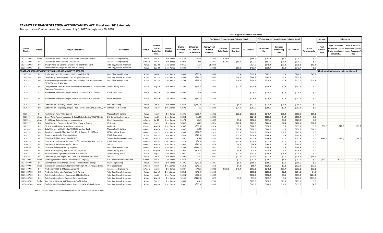#### **TAXPAYERS' TRANSPORTATION ACCOUNTABILITY ACT: Fiscal Year 2018 Analysis**

Transportation Contracts executed between July 1, 2017 through June 30, 2018

|                    |                |                                                                                                                     |                                      |               |                                                  |                                  |                               |                                             |                                                    |                                          |                     | Dollars (\$) are rounded to thousands |                    |                                                |              |                                      |                         |                                            |                                                                                                                       |
|--------------------|----------------|---------------------------------------------------------------------------------------------------------------------|--------------------------------------|---------------|--------------------------------------------------|----------------------------------|-------------------------------|---------------------------------------------|----------------------------------------------------|------------------------------------------|---------------------|---------------------------------------|--------------------|------------------------------------------------|--------------|--------------------------------------|-------------------------|--------------------------------------------|-----------------------------------------------------------------------------------------------------------------------|
|                    |                |                                                                                                                     |                                      |               |                                                  |                                  |                               |                                             |                                                    | "A" Agency Comprehensive Estimate Detail |                     |                                       |                    | "B" Contractor's Comprehensive Estimate Detail |              |                                      | <b>Actuals</b>          |                                            | <b>Differences</b>                                                                                                    |
| Contract<br>Number | District       | <b>Project Description</b>                                                                                          | Contractor                           | <b>Status</b> | Current<br>Contract<br><b>Expiratior</b><br>Date | Contract<br>Duration             | Original<br>Contract<br>Value | Difference:<br>"A" Estimate<br>"B" Estimate | <b>Agency Total</b><br>Without<br><b>Additives</b> | <b>Inflation</b><br><b>Delay Factor</b>  | Premium<br>Overtime | "A" Estimate                          | Responder's<br>Bid | Contract<br>Monitoring<br>Cost                 | "B" Estimate | <b>Total of</b><br><b>Amendments</b> | Final<br>Amount<br>Paid | minus Est A)                               | Note 2 Actual to Note 2 Actual to<br>Stimate A (Final Estimate B (Final)<br>plus monitoring minus Responder's<br>Bid) |
| 1027417W04         | Metro          | Final Design Plans - TH13 to TH19 Scott County Reclamation                                                          | Stonebrooke Engineering              | Active        | Jun-19                                           | 1 yr 6 mos                       | \$713.6                       | \$276.5                                     | \$597.5                                            | \$389.4                                  |                     | \$986.9                               | \$701.4            | \$9.1                                          | \$710.5      | \$.0                                 |                         |                                            |                                                                                                                       |
| 1027417W05         | D7             | Final Design Plans Mankato Levee TH169                                                                              | Stonebrooke Engineering              | In Audit      | Jun-19                                           | 1 yr 4 mos                       | \$507.0                       | \$107.5                                     | \$427.2                                            | \$120.0                                  | \$86.7              | \$633.9                               | \$507.0            | \$19.4                                         | \$526.5      | \$.0                                 |                         |                                            |                                                                                                                       |
| 1027418W02         | D7             | Design Plans-190 Concrete Overlay - Fairmont/Blue Earth                                                             | Toltz, King, Duvall, Anderson        | Active        | Nov-20                                           | 3 yrs 1 mos                      | \$946.3                       | \$56.4                                      | \$1,034.5                                          |                                          |                     | \$1,034.5                             | \$946.3            | \$31.8                                         | \$978.1      | \$51.2                               |                         |                                            |                                                                                                                       |
| 1027418W05         | D <sub>1</sub> | Sandstone Area Design-TH 123, Mill & Overlay                                                                        | Toltz, King, Duvall, Anderson        | Active        | <b>Nov-20</b>                                    | 2 yrs 7 mos                      | \$340.1                       | \$121.1                                     | \$408.8                                            |                                          | \$55.0              | \$463.7                               | \$338.7            | \$3.9                                          | \$342.7      | 5.0                                  |                         |                                            |                                                                                                                       |
|                    |                | CONTRACT AMOUNT GREATER THAN \$100,000 AND UP TO \$250,000                                                          |                                      |               |                                                  |                                  |                               |                                             |                                                    |                                          |                     |                                       |                    |                                                |              |                                      |                         | () indicates final amount paid < estimated |                                                                                                                       |
| 1027568            | D1             | Traffic Study and Geo Layout - London Road -T.H. 61                                                                 | Short Elliott Hendrickson            | Active        | Jan-20                                           | 2 yrs 5 mos                      | \$205.0                       | (593.8)                                     | \$106.8                                            |                                          | \$5.4               | \$112.1                               | \$205.0            | 5.9                                            | \$206.0      | \$45.9                               |                         |                                            |                                                                                                                       |
| 1028240            | D <sub>8</sub> | Detail Design & Geo Layout - Two Bridges Pipestone                                                                  | Toltz, King, Duvall, Anderson        | Active        | Dec-19                                           | 2 yrs 3 mos                      | \$249.6                       | (511.7)                                     | \$206.7                                            |                                          | \$34.1              | \$240.8                               | \$249.6            | \$2.8                                          | \$252.5      | \$.0                                 |                         |                                            |                                                                                                                       |
| 1028241            | D8             | Project Development & Detailed Design Intersection Improvements -<br>CR90/37th Ave & 41st Ave                       | Short Elliott Hendrickson            | Active        | Dec-19                                           | 2 yrs 4 mos                      | \$210.6                       | (553.4)                                     | \$142.1                                            |                                          | \$16.5              | \$158.6                               | \$210.2            | \$1.9                                          | \$212.0      | \$15.1                               |                         |                                            |                                                                                                                       |
| 1028716            | D <sub>8</sub> | Design Review Team-Hutchinson Downtown Reconstruct & Denver Ave SRF Consulting Group<br><b>Pavement Reconstruct</b> |                                      | Active        | Aug-19                                           | 1 yr 9 mos                       | \$139.3                       | (526.4)                                     | \$98.0                                             |                                          | \$17.7              | \$115.7                               | \$139.3            | \$2.8                                          | \$142.2      | \$.0                                 |                         |                                            |                                                                                                                       |
| 1028842            | D7             | Plan Review and Quality Mgmt Services on various 2018 projects.                                                     | WSB & Associates                     | Active        | Nov-19                                           | 2 vrs 0 mos                      | \$230.9                       | \$1.4                                       | \$239.6                                            |                                          |                     | \$239.6                               | \$230.9            | \$7.3                                          | \$238.2      | \$.0                                 |                         |                                            |                                                                                                                       |
| 1028885            | D7             | Plan Review and Quality Mgmt Services on various 2018 projects.                                                     | <b>Bolton and Menk</b>               | Active        | <b>Nov-19</b>                                    | 2 yrs 0 mos                      | \$229.9                       | (510.4)                                     | \$226.8                                            |                                          |                     | \$226.8                               | \$229.9            | \$7.3                                          | \$237.2      | \$.0                                 |                         |                                            |                                                                                                                       |
| 1029266            | D <sub>3</sub> | Detail Design TH6 Emily Mill and Overlay                                                                            | Rani Engineering                     | Active        | Oct-19                                           | 1 yr 8 mos                       | \$234.4                       | (5117.2)                                    | \$132.3                                            |                                          | \$5.2               | \$137.5                               | \$234.3            | \$20.4                                         | \$254.7      | 5.0                                  |                         |                                            |                                                                                                                       |
| 1029286            | D8             | Detail Design - Replacing Bridges - 2 on Hwy 67 near Echo, 1 on Hwy 40 Kadrmas Lee & Jackson                        |                                      | Active        | Sep-19                                           | 1 yr 10 mos                      | \$250.0                       | \$1.2                                       | \$229.5                                            |                                          | \$24.0              | \$253.5                               | \$250.0            | \$2.4                                          | \$252.3      | \$.0                                 |                         |                                            |                                                                                                                       |
| 1029433            | D4             | Final Design Plans TH 55-Barrett                                                                                    | Widseth Smith Nolting                | Active        | Feb-20                                           | 1 <sub>yr</sub> 9 <sub>mos</sub> | \$149.7                       | (556.7)                                     | \$103.2                                            |                                          | \$20.1              | \$123.3                               | \$149.7            | \$30.3                                         | \$180.0      | \$56.1                               |                         |                                            |                                                                                                                       |
| 1029472            | Metro          | Storm Water Tunnel Inspection & Detail Rehab Design-TH55/28th St                                                    | <b>CNA Consulting Engineers</b>      | Active        | <b>Jun-20</b>                                    | 2 yrs 4 mos                      | \$106.0                       | \$113.9                                     | \$224.3                                            |                                          |                     | \$224.3                               | \$106.0            | \$4.4                                          | \$110.4      | \$.0                                 |                         |                                            |                                                                                                                       |
| 1029541            | Metro          | TH 55 Signal Optimization - 44 Intersections                                                                        | <b>Alliant Engineering</b>           | In Audit      | Jul-18                                           | 0 yrs 8 mos                      | \$117.6                       | \$31.1                                      | \$143.5                                            |                                          | \$9.1               | \$152.5                               | \$117.6            | \$3.8                                          | \$121.4      | \$.0                                 |                         |                                            |                                                                                                                       |
| 1029577            | D <sub>8</sub> | Detail Design - Pavement Rehab TH 14 - Tracy to Revere                                                              | <b>HR</b> Green                      | In Audit      | Feb-19                                           | $1$ yr $1$ mos                   | \$204.1                       | \$63.3                                      | \$242.4                                            |                                          | \$27.4              | \$269.8                               | \$204.1            | \$2.4                                          | \$206.5      | \$10.2                               |                         |                                            |                                                                                                                       |
| 1029597            | D <sub>1</sub> | D1 Districtwide Grading And Base Inspectors                                                                         | Sambatek,                            | Closed        | Nov-18                                           | 0 yrs 7 mos                      | \$158.5                       | (550.3)                                     | \$101.4                                            |                                          | \$7.3               | \$108.8                               | \$158.5            | \$.5                                           | \$159.1      | \$.0                                 | \$86.7                  | (S21.6)                                    | (S71.9)                                                                                                               |
| 1029607            | D8             | Detail Design - Mill & Overlay TH 75/68 Ivanhoe-Canby                                                               | Widseth Smith Nolting                | In Audit      | Nov-18                                           | 0 yrs 10 mos                     | \$248.7                       | \$19.5                                      | \$242.6                                            |                                          | \$27.4              | \$270.0                               | \$248.7            | \$1.9                                          | \$250.6      | \$26.0                               |                         |                                            |                                                                                                                       |
| 1029759            | D <sub>3</sub> | Construct Inspect & Materials Test -Mill & Overlay TH 23 Mora                                                       | <b>SRF Consulting Group</b>          | In Audit      | Feb-19                                           | 0 yrs 9 mos                      | \$236.8                       | (547.7)                                     | \$182.5                                            |                                          | \$17.3              | \$199.9                               | \$236.8            | \$10.7                                         | \$247.6      | \$.0                                 |                         |                                            |                                                                                                                       |
| 1029772            | D <sub>1</sub> | Bridge Inspectors for D1A -South Area                                                                               | WSB & Associates                     | Active        | Sep-19                                           | 1 vr 5 mos                       | \$244.4                       | (570.5)                                     | \$162.3                                            |                                          | \$12.4              | \$174.8                               | \$244.4            | 5.9                                            | \$245.3      | \$.0                                 |                         |                                            |                                                                                                                       |
| 1029773            | D <sub>1</sub> | District-wide Plant Inspections 2018-D1                                                                             | <b>Engineering Parners Company</b>   | Closed        | Nov-18                                           | 0 yrs 7 mos                      | \$246.2                       | \$29.8                                      | \$233.4                                            |                                          | \$43.8              | \$277.2                               | \$246.2            | \$1.1                                          | \$247.3      | 5.0                                  | \$192.3                 | (S83.8)                                    | (\$54.0)                                                                                                              |
| 1030539            | D <sub>1</sub> | Contract Administration Reduced Conflict Intersection-New London                                                    | WSB & Associates                     | In Audit      | Apr-19                                           | 0 yrs 11 mos                     | \$221.8                       | (54.3)                                      | \$186.7                                            |                                          | \$31.8              | \$218.5                               | \$221.8            | \$1.1                                          | \$222.9      | \$.0                                 |                         |                                            |                                                                                                                       |
| 1030679            | D <sub>1</sub> | Grading and Base Inspector-TH 1 Project                                                                             | LHB, Inc.                            | In Audit      | Nov-18                                           | 0 vrs 7 mos                      | \$168.9                       | (575.4)                                     | \$87.6                                             |                                          | \$6.5               | \$94.1                                | \$168.9            | \$.5                                           | \$169.5      | \$.0                                 |                         |                                            |                                                                                                                       |
| 1030680            | D <sub>1</sub> | District-wide Bridge Painting Inspector                                                                             | Short Elliott Hendrickson            | In Audit      | Nov-18                                           | 0 yrs 7 mos                      | \$189.4                       | ( \$116.7)                                  | \$68.2                                             |                                          | \$5.0               | \$73.2                                | \$189.4            | \$.5                                           | \$189.9      | \$.0                                 |                         |                                            |                                                                                                                       |
| 1030681            | D <sub>1</sub> | Two Harbors Lighting, Signals and ADA Inspector                                                                     | <b>SRF Consulting Group</b>          | Active        | May-19                                           | 1 yr 0 mos                       | \$195.3                       | (545.2)                                     | \$68.4                                             |                                          | \$4.9               | \$73.4                                | \$118.2            | \$.4                                           | \$118.6      | \$.0                                 |                         |                                            |                                                                                                                       |
| 1030748            | D7             | Final Plans Four Signal Projects with ADA Work - D7                                                                 | <b>SRF Consulting Group</b>          | Active        | Aug-21                                           | 3 vrs 2 mos                      | \$208.7                       | \$17.1                                      | \$220.1                                            |                                          | \$22.4              | \$242.6                               | \$208.7            | \$16.8                                         | \$225.5      | \$.0                                 |                         |                                            |                                                                                                                       |
| 1030794            | D1             | Detail Design, Proj Mgmt TH 53 Overlay & Anchor Lk Rest Area                                                        | LHB, Inc                             | Active        | Oct-19                                           | 1 yr 4 mos                       | \$180.3                       | \$56.3                                      | \$202.3                                            |                                          | \$32.2              | \$234.5                               | \$177.2            | \$1.1                                          | \$178.3      | \$58.9                               |                         |                                            |                                                                                                                       |
| 05911W05           | Metro          | Staff Augmentation Metro Soil/Pavement Sampling                                                                     | <b>HDR Construction Control Corp</b> | Closed        | Jun-19                                           | 2 yrs 1 mos                      | \$246.6                       | \$4.7                                       | \$255.1                                            |                                          | \$2.5               | \$257.7                               | \$246.6            | \$6.3                                          | \$252.9      | \$.0                                 | \$122.1                 | (\$129.2)                                  | (\$124.5)                                                                                                             |
| 1027407W06         | D <sub>1</sub> | Geometric and Interchange Layouts - Twin Ports Interchange                                                          | <b>Alliant Engineering</b>           | Active        | Jun-19                                           | 1 vr 0 mos                       | \$149.1                       | (549.8)                                     | \$100.7                                            |                                          | \$6.2               | \$106.9                               | \$155.5            | \$1.1                                          | \$156.6      | \$.0                                 |                         |                                            |                                                                                                                       |
| 1027409W01         | Metro          | Intersection Concept Development Pre Design -TH12, Independence                                                     | <b>HNTB Corporation</b>              | In Audit      | Jun-19                                           | 1 yr 11 mos                      | \$125.0                       | (546.5)                                     | \$81.6                                             |                                          | \$4.1               | \$85.7                                | \$125.0            | \$7.3                                          | \$132.3      | \$13.9                               |                         |                                            |                                                                                                                       |
| 1027417W01         | D <sub>4</sub> | Pre Design TH 59 & 29 Passing Lanes-D4                                                                              | Stonebrooke Engineering              | In Audit      | Sep-18                                           | 1 yr 0 mos                       | \$248.4                       | \$701.1                                     | \$202.8                                            | \$720.0                                  | \$40.4              | \$963.2                               | \$248.4            | \$13.7                                         | \$262.1      | \$12.1                               |                         |                                            |                                                                                                                       |
| 1027418W03         | $_{\rm CO}$    | Pre Design Fuller Lake Rest Area Truck Parking                                                                      | Toltz, King, Duvall, Anderson        | Active        | Nov-19                                           | 1 yr 11 mos                      | \$201.8                       | (548.9)                                     | \$155.1                                            |                                          |                     | \$155.1                               | \$201.8            | \$2.3                                          | \$204.1      | \$4.8                                |                         |                                            |                                                                                                                       |
| 1027418W04         | D <sub>1</sub> | Twin Ports Interchange, Conceptual RR Bridge Plans                                                                  | Toltz, King, Duvall, Anderson        | Active        | <b>Jun-20</b>                                    | 2 yrs 7 mos                      | \$192.2                       | (556.4)                                     | \$138.9                                            |                                          |                     | \$138.9                               | \$192.2            | \$3.1                                          | \$195.3      | \$284.4                              |                         |                                            |                                                                                                                       |
| 1027418W06         | D <sub>1</sub> | Twin Ports Interchange Drainage Structure Design                                                                    | Toltz, King, Duvall, Andersor        | Active        | <b>Nov-19</b>                                    | 1 yr 6 mos                       | \$215.7                       | (5124.8)                                    | \$82.5                                             |                                          | \$9.0               | \$91.5                                | \$215.7            | \$.5                                           | \$216.3      | \$173.9                              |                         |                                            |                                                                                                                       |
| 1027418W07         | Traffic        | Sign, Signal, Lighting Staff Augment - Traffic Office                                                               | Toltz, King, Duvall, Anderson        | Active        | Oct-19                                           | 1 yr 5 mos                       | \$230.0                       | \$15.1                                      | \$275.0                                            |                                          |                     | \$275.0                               | \$230.0            | \$29.9                                         | \$259.9      | \$.0                                 |                         |                                            |                                                                                                                       |
| 1027418W08         | Metro          | Final Plans Mill Overlay & Water Resources I-494 S St Paul-Eagan                                                    | Toltz, King, Duvall, Anderson        | Active        | Aug-20                                           | 2 yrs 2 mos                      | \$188.1                       | (589.8)                                     | \$109.2                                            |                                          |                     | \$109.2                               | \$188.1            | \$10.9                                         | \$199.0      | \$4.5                                |                         |                                            |                                                                                                                       |
|                    |                | Note 1: Contracts under \$100,000 are exempt from this law and are therefore not included                           |                                      |               |                                                  |                                  |                               |                                             |                                                    |                                          |                     |                                       |                    |                                                |              |                                      |                         |                                            |                                                                                                                       |
|                    |                |                                                                                                                     |                                      |               |                                                  |                                  |                               |                                             |                                                    |                                          |                     |                                       |                    |                                                |              |                                      |                         |                                            |                                                                                                                       |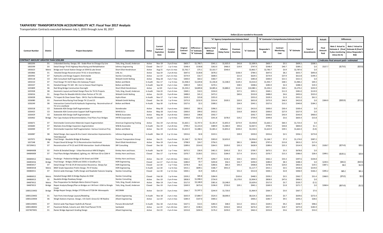#### **TAXPAYERS' TRANSPORTATION ACCOUNTABILITY ACT: Fiscal Year 2017 Analysis**

Transportation Contracts executed between July 1, 2016 through June 30, 2017

|                                               |                 |                                                                                                                       |                                                        |                    |                                                  |                           |                               |                                            |                                                    |                                          |                     | Dollars (\$) are rounded to thousands |                    |                                                |                    |                               |                         |                                                                         |                                                                          |
|-----------------------------------------------|-----------------|-----------------------------------------------------------------------------------------------------------------------|--------------------------------------------------------|--------------------|--------------------------------------------------|---------------------------|-------------------------------|--------------------------------------------|----------------------------------------------------|------------------------------------------|---------------------|---------------------------------------|--------------------|------------------------------------------------|--------------------|-------------------------------|-------------------------|-------------------------------------------------------------------------|--------------------------------------------------------------------------|
|                                               |                 |                                                                                                                       |                                                        |                    |                                                  |                           |                               |                                            |                                                    | "A" Agency Comprehensive Estimate Detail |                     |                                       |                    | "B" Contractor's Comprehensive Estimate Detail |                    |                               | <b>Actuals</b>          |                                                                         | <b>Differences</b>                                                       |
| <b>Contract Number</b>                        | <b>District</b> | <b>Project Description</b>                                                                                            | Contractor                                             | <b>Status</b>      | Current<br>Contract<br><b>Expiration</b><br>Date | Contract<br>Duration      | Original<br>Contract<br>Value | Difference :<br>A" Estimate<br>"B" Estimat | <b>Agency Total</b><br>Without<br><b>Additives</b> | Inflation<br>Delay Factor                | Premium<br>Overtime | "A" Estimate                          | Responder'<br>Bid  | Contract<br>Monitoring<br>Cost                 | "B" Estimate       | <b>Total of</b><br>Amendments | Final<br>Amount<br>Paid | Note 2 Actual to<br>stimate A (Final<br>plus monitoring<br>minus Est A) | Note 2 Actual to<br><b>Estimate B (Final</b><br>minus Responder'<br>Bid) |
| <b>CONTRACT AMOUNT GREATER THAN \$250,000</b> |                 |                                                                                                                       |                                                        |                    |                                                  |                           |                               |                                            |                                                    |                                          |                     |                                       |                    |                                                |                    |                               |                         | () indicates final amount paid < estimated                              |                                                                          |
| 1002293                                       | D1              | Unbonded Overlay Design, 135 - Snake River to Chisago Cty Line                                                        | Toltz, King, Duvall, Anderson                          | Active             | Nov-19                                           | 3 yrs 0 mos               | \$603.7                       | \$1,700.7                                  | \$341.1                                            | \$1,925.0                                | \$43.8              | \$2,309.9                             | \$603.7            | \$5.5                                          | \$609.2            | \$208.5                       |                         |                                                                         |                                                                          |
| 1002599                                       | D <sub>3</sub>  | Detail Design TH 65 Highway Resurfacing and Rehabilitation                                                            | <b>Isthmus Engineering</b>                             | Closed             | Dec-17                                           | 1 yr 5 mos                | \$548.4                       | \$158.8                                    | \$262.0                                            | \$466.0                                  | \$19.9              | \$747.9                               | \$548.4            | \$40.7                                         | \$589.1            | \$.0                          | \$527.7                 | (\$179.5)                                                               | (\$20.8)                                                                 |
| 1002623                                       | Metro           | Bridge and Transit Station Design at I35W & Lake Street                                                               | Short Elliot Hendrickson                               | Active             | Aug-21                                           | 4 yrs 11 mos              | \$2,762.7                     | \$75.1                                     | \$2,322.7                                          | \$540.0                                  |                     | \$2,862.7                             | \$2,783.7          | \$3.9                                          | \$2,787.6          | 5.0                           |                         |                                                                         |                                                                          |
| 1002866                                       | D <sub>1</sub>  | Detailed Design Reconstruction TH 61 in Grand Marais                                                                  | LHB, Inc.                                              | Active             | $Sep-19$                                         | 2 yrs 8 mos               | \$647.6                       | \$128.8                                    | \$678.2                                            |                                          | \$106.4             | \$784.5                               | \$647.6            | \$8.2                                          | \$655.7            | \$695.8                       |                         |                                                                         |                                                                          |
| 1002942                                       | D7              | Hydraulics and Design Support, Districtwide                                                                           | <b>Stantec Consulting</b>                              | Active             | Jun-19                                           | vrs 11 mos                | \$574.9                       | \$16.7                                     | \$608.5                                            |                                          | \$21.0              | \$629.5                               | \$574.9            | \$37.9                                         | \$612.8            | \$199.3                       |                         |                                                                         |                                                                          |
| 1003118                                       | $\rm CO$        | ADA Consultant Staff Augmentation - Design                                                                            | Widseth Smith Nolting                                  | Active             | May-20                                           | 3 yrs 7 mos               | \$300.0                       | \$64.2                                     | \$360.7                                            |                                          | \$25.1              | \$385.8                               | \$300.0            | \$21.5                                         | \$321.5            | \$.0                          |                         |                                                                         |                                                                          |
| 1003210                                       | D7              | Final Design TH 14/15 New Ulm Gateway Project                                                                         | Bolton and Menk                                        | In Audit           | Dec-17                                           | 1 yr 4 mos                | \$1,938.4                     | \$1,029.8                                  | \$1,336.8                                          | \$1,548.0                                | \$129.3             | \$3,014.0                             | \$1,935.7          | \$48.5                                         | \$1,984.2          | \$49.3                        |                         |                                                                         |                                                                          |
| 1003337                                       | D1              | Detailed Design TH 169 - Mt. Iron to Hoover Road Virginia                                                             | <b>Bolton and Menk</b>                                 | In Audit           | Sep-18                                           | 2 yrs 1 mos               | \$285.9                       | \$20.3                                     | \$270.1                                            |                                          | \$38.5              | \$308.6                               | \$285.9            | \$2.4                                          | \$288.3            | \$19.3                        |                         |                                                                         |                                                                          |
| 1025809                                       | D <sub>6</sub>  | Red Wing Bridge Construction Oversight                                                                                | Short Elliott Hendrickson                              | Active             | <b>Jul-20</b>                                    | 3 yrs 2 mos               | \$5,250.2                     | \$4,809.8                                  | \$4,085.6                                          | \$5,880.0                                | \$114.5             | \$10,080.1                            | \$5,250.2          | \$20.1                                         | \$5,270.2          | \$235.9                       |                         |                                                                         |                                                                          |
| 1025928<br>1026016                            | D8<br>D1        | Geometric Layout and Detail Design Plans for TH 91 Projects<br>Design Plans for Biwabik ADA & Urban Portion of TH 135 | Toltz, King, Duvall, Anderson<br>Widseth Smith Nolting | In Audit           | Feb-19                                           | 2 yrs 4 mos               | \$369.1                       | \$10.5<br>\$41.2                           | \$334.0                                            |                                          | \$57.5              | \$391.5                               | \$369.1            | \$11.9                                         | \$381.0            | \$119.9                       |                         |                                                                         |                                                                          |
| 1026028                                       | Metro           |                                                                                                                       |                                                        | Active             | Oct-20                                           | 3 yrs 8 mos<br>1 yr 1 mos | \$488.0<br>\$329.3            | \$23.8                                     | \$473.2<br>\$355.0                                 |                                          | \$60.6              | \$533.8<br>\$355.0                    | \$488.0<br>\$329.3 | \$4.6<br>\$1.9                                 | \$492.6<br>\$331.2 | \$525.0<br>\$61.5             |                         |                                                                         |                                                                          |
| 1026080                                       | D <sub>3</sub>  | TV Inspect & Clean Sewer Pipes - 194 St. Paul to Minneapolis<br>Pavement Resurfacing Final Design TH 12 and 25        | Hydro Klean<br>Widseth Smith Nolting                   | In Audit<br>Closed | Nov-17<br>Dec-18                                 | 1 yr 9 mos                | \$375.9                       | \$232.9                                    | \$314.4                                            | \$320.5                                  | \$20.9              | \$655.8                               | \$375.9            | \$46.9                                         | \$422.8            | \$.0                          | \$304.9                 | (\$303.9)                                                               | (S71.0)                                                                  |
| 1026249                                       | D8              | Intersection Control Eval & Hydraulic Engineering - Reconstruction of<br>TH 12 in Litchfield                          | <b>Bolton and Menk</b>                                 | In Audit           | Sep-18                                           | 1 yr 8 mos                | \$327.6                       | \$2.3                                      | \$308.2                                            |                                          | \$34.9              | \$343.1                               | \$327.6            | \$13.2                                         | \$340.8            | \$184.2                       |                         |                                                                         |                                                                          |
| 1026318                                       | CO              | Statewide ADA Design Staff Augmentation                                                                               | Stonebrooke                                            | Active             | $May-20$                                         | 3 yrs 6 mos               | \$300.0                       | \$82.6                                     | \$396.5                                            |                                          | \$16.5              | \$413.0                               | \$300.0            | \$30.4                                         | \$330.4            | 5.0                           |                         |                                                                         |                                                                          |
| 1026425                                       | CO              | Statewide ADA Construction Support Staff Augmentation                                                                 | WHKS & Co                                              | Active             | May-20                                           | 3 yrs 5 mos               | \$300.0                       | \$99.0                                     | \$410.2                                            |                                          | \$16.8              | \$426.9                               | \$300.0            | \$27.9                                         | \$327.9            | \$.0                          |                         |                                                                         |                                                                          |
| 1026429                                       | co              | Statewide ADA Design Staff Augmentation                                                                               | <b>WSB &amp; Associates</b>                            | Active             | May-20                                           | 3 yrs 8 mos               | \$500.0                       | \$48.8                                     | \$592.7                                            |                                          |                     | \$592.7                               | \$500.0            | \$43.9                                         | \$543.9            | \$900.0                       |                         |                                                                         |                                                                          |
| 1026462                                       | Bridge          | Pier Caps Analysis & Recommendation, Final Plans-Four Bridges                                                         | <b>HNTB Corporation</b>                                | In Audit           | Jun-18                                           | 1 vr 0 mos                | \$599.8                       | \$135.6                                    | \$341.8                                            | \$378.0                                  | \$19.2              | \$739.0                               | \$599.8            | \$3.6                                          | \$603.4            | \$15.8                        |                         |                                                                         |                                                                          |
| 1026671                                       | D7              | Districtwide Construction Materials Inspect Augmentation                                                              | <b>American Engineering Testing</b>                    | Active             | Dec-19                                           | 2 yrs 10 mos              | \$1,663.1                     | \$1,707.4                                  | \$1,301.9                                          | \$1,855.0                                | \$273.9             | \$3,430.8                             | \$1,663.1          | \$60.3\$                                       | \$1,723.4          | \$.0                          |                         |                                                                         |                                                                          |
| 1026683                                       | D7              | Mankato Area Bridge Inspectors Augmentation                                                                           | WSB & Associates                                       | In Audit           | Dec-19                                           | 2 yrs 8 mos               | \$799.2                       | \$1,223.4                                  | \$489.9                                            | \$1,484.0                                | \$93.6              | \$2,067.5                             | \$799.2            | \$44.8                                         | \$844.0            | \$1.1                         |                         |                                                                         |                                                                          |
| 1026949                                       | D7              | Districtwide Inspection Staff Augmentation -Various Construct Proj                                                    | <b>Bolton and Menk</b>                                 | Active             | Dec-19                                           | 2 yrs 8 mos               | \$1,622.9                     | \$1,488.1                                  | \$1,065.2                                          | \$1,855.0                                | \$230.4             | \$3,150.5                             | \$1,622.9          | \$39.5                                         | \$1,662.4          | (5.0)                         |                         |                                                                         |                                                                          |
| 1026987                                       | D8              | Detail Design, Geo Layout & Env Coord -Intersection Improvements -<br>TH23 Marshall                                   | <b>Isthmus Engineering</b>                             | In Audit           | Mar-19                                           | yr 11 mos                 | \$353.6                       | \$2.8                                      | \$319.1                                            |                                          | \$39.9              | \$359.0                               | \$353.6            | \$2.5                                          | \$356.1            | \$273.8                       |                         |                                                                         |                                                                          |
| 1027071                                       | Bridge          | Final Design - Baudette Bridge & Roadway                                                                              | Parsons Transporation Group                            | Active             | Dec-21                                           | 4 yrs 9 mos               | \$1,166.7                     | \$1,782.0                                  | \$303.0                                            | \$2,653.0                                |                     | \$2,956.0                             | \$1,166.7          | \$7.3                                          | \$1,174.0          | \$387.2                       |                         |                                                                         |                                                                          |
| 1027248                                       | D <sub>8</sub>  | Project Devel & Design TH 15 Reconstruction Hutchinson                                                                | Short Elliott Hendrickson                              | Active             | Nov-19                                           | 2 yrs 5 mos               | \$798.9                       | \$24.7                                     | \$756.5                                            |                                          | \$81.5              | \$838.0                               | \$797.4            | \$15.8                                         | \$813.2            | \$17.4                        |                         |                                                                         |                                                                          |
| 03729W11                                      | D7              | Reconstruction of TH 22 and CR 90 Intersection- South of Mankato                                                      | <b>SRF Consulting</b>                                  | Closed             | Dec-18                                           | 1 yr 9 mos                | \$289.6                       | \$314.0                                    | \$264.5                                            | \$329.0                                  | \$35.3              | \$628.9                               | \$289.6            | \$25.3                                         | \$314.9            | \$39.1                        | \$328.7                 | (\$274.9)                                                               | \$39.                                                                    |
| 04484W08                                      | D <sub>2</sub>  | Prelim & Detailed Design - Urban Reconstruct MN 92 Bagley                                                             | Kimley Horn and Assoc.                                 | In Audit           | Sep-18                                           | 1 yr 7 mos                | \$675.5                       | \$30.9                                     | \$461.5                                            | \$245.0                                  | \$3.3               | \$709.7                               | \$675.5            | \$3.3                                          | \$678.8            | 5.0                           |                         |                                                                         |                                                                          |
| 04484W09                                      | D7              | Final Plans-Bridges Rehabbed, Lighting, etc-190 from SD to CSAH 4                                                     | Kimley Horn and Assoc.                                 | Closed             | Dec-17                                           | 1 yr 4 mos                | \$370.7                       | \$128.5                                    | \$313.1                                            | \$184.0                                  | \$17.4              | \$514.5                               | \$370.7            | \$15.3                                         | \$386.0            | \$28.4                        | \$399.1                 | (\$100.1)                                                               | \$28.4                                                                   |
| 04484W12                                      | Metro           | Predesign - Pedestrian Bridge at 5th Street and I35W                                                                  | Kimley Horn and Assoc.                                 | Active             | Dec-19                                           | yrs 10 mos                | \$362.2                       | \$61.9                                     | \$290.7                                            | \$134.4                                  | \$34.5              | \$459.5                               | \$362.2            | \$35.4                                         | \$397.6            | \$104.8                       |                         |                                                                         |                                                                          |
| 04485W16                                      | Bridge          | Final Design - Bridges 25020 and 25031 in Goodhue Cty                                                                 | <b>HDR Engineering</b>                                 | Closed             | $Jun-17$                                         | ) yrs 11 mos              | \$280.0                       | \$5.7<br>\$6.5                             | \$204.8                                            | \$56.5                                   | \$32.7              | \$294.0                               | \$280.0            | \$8.3                                          | \$288.3            | \$.0                          | \$239.5                 | (\$46.2)                                                                | (\$40.5                                                                  |
| 04485W17<br>04485W18                          | D7<br>Metro     | Detail Design TH 4 & CR 29 Intersection Reconstruc. Sleepy Eye<br>BNSF Grade Separation Prelim Design, TH 47 Anoka    | <b>HDR Engineering</b><br><b>HDR Engineering</b>       | Closed             | Jun-18<br>$Jun-18$                               | 1 yr 7 mos<br>1 yr 6 mos  | \$378.4                       | \$699.1                                    | \$280.6                                            | \$85.0                                   | \$43.3              | \$408.8<br>\$1,117.7                  | \$378.4            | \$24.0                                         | \$402.4<br>\$418.6 | \$19.5                        | \$387.1                 | \$6.0                                                                   | \$12.                                                                    |
| 04486W11                                      | D7              | District-wide Drainage, Traffic Design and Roadside Features Scoping                                                  | <b>Stantec Consulting</b>                              | In Audit<br>Closed | Jun-18                                           | 1 yr 11 mos               | \$415.1<br>\$304.1            | \$5.9                                      | \$186.7<br>\$281.4                                 | \$931.0                                  | \$31.4              | \$312.8                               | \$415.1<br>\$304.1 | \$3.5<br>\$2.8                                 | \$306.9            | \$219.0<br>\$166.2            | \$395.2                 | \$85.2                                                                  | \$91.                                                                    |
| 04486W12                                      | Metro           | Detailed Design 86th St Bridge Replace & I35W                                                                         | <b>Stantec Consulting</b>                              | Closed             | Feb-18                                           | 1 yr 6 mos                | \$359.2                       | \$85.8                                     | \$284.9                                            |                                          | \$163.6             | \$448.5                               | \$359.2            | \$3.5                                          | \$362.7            | \$31.4                        | \$368.5                 | (S76.5)                                                                 | \$9.3                                                                    |
| 04486W13                                      | D <sub>2</sub>  | Baudette Bridge Roadway Design                                                                                        | <b>Stantec Consulting</b>                              | Active             | Dec-19                                           | 2 yrs 9 mos               | \$858.9                       | \$1,998.3                                  | \$734.9                                            |                                          | \$2,170.0           | \$2,904.9                             | \$858.9            | \$47.6                                         | \$906.5            | \$.0                          |                         |                                                                         |                                                                          |
| 04487W12                                      | Metro           | Plan Preparation for Multiple Metro District Projects                                                                 | Toltz, King, Duvall, Anderson                          | Active             | Mar-19                                           | 2 yrs 7 mos               | \$517.0                       | \$3,108.9                                  | \$381.6                                            | \$3,248.0                                |                     | \$3,629.6                             | \$517.0            | \$3.7                                          | \$520.7            | (5.1)                         |                         |                                                                         |                                                                          |
| 04487W13                                      | <b>Bridge</b>   | Repair Analysis/Design/Plan on Bridges on I-94 from I-35W to Shingle<br>Creek                                         | Toltz, King, Duvall, Anderson                          | Closed             | <b>Dec-19</b>                                    | 3 yrs 3 mos               | \$269.9                       | \$673.4                                    | \$196.0                                            | \$720.0                                  | \$29.1              | \$945.1                               | \$269.9            | \$1.8                                          | \$271.7            | \$.0                          | \$268.4                 | (\$674.9)                                                               | (\$1.5                                                                   |
| 1000121W02                                    | Bridge          | Bridge Repair Design, Bridge 27727B and 27728 I94 Minneapolis                                                         | AECOMM                                                 | Active             | Oct-19                                           | 3 yrs 3 mos               | \$364.7                       | \$1,597.2                                  | \$244.9                                            | \$1,720.0                                |                     | \$1,964.9                             | \$364.7            | \$3.0                                          | \$367.7            | \$7.6                         |                         |                                                                         |                                                                          |
| 1000122W02                                    | D <sub>1</sub>  | Twin Ports Interchange Layouts/Modeling                                                                               | <b>Alliant Engineering</b>                             | In Audit           | <b>Nov-18</b>                                    | 2 yrs 1 mos               | \$635.9                       | \$7,884.7                                  | \$524.3                                            | \$8,000.0                                |                     | \$8.524.3                             | \$635.9            | \$3.7                                          | \$639.6            | \$272.4                       |                         |                                                                         |                                                                          |
| 1000122W04                                    | D <sub>6</sub>  | Weigh Stations Improve. Design, I-35 Clark's Grove & I-90 Nodine                                                      | <b>Alliant Engineering</b>                             | Active             | Jun-19                                           | 2 yrs 2 mos               | \$284.4                       | \$107.0                                    | \$400.2                                            |                                          |                     | \$400.2                               | \$283.7            | \$9.5                                          | \$293.2            | \$28.6                        |                         |                                                                         |                                                                          |
| 1000124W01                                    | D7              | District-wide Pipe Repair Hydinfra & Planset                                                                          | Parsons Brinckerhoft                                   | In Audit           | Dec-18                                           | 2 vrs 4 mos               | \$327.5                       | \$13.5                                     | \$283.3                                            | \$48.0                                   | \$21.0              | \$352.2                               | \$329.5            | \$9.2                                          | \$338.7            | \$98.6                        |                         |                                                                         |                                                                          |
| 1000128W02                                    | D7              | Pavement Rehab, Culverts and ADA Final Planset-TH 91                                                                  | Sambatek                                               | Active             | Jun-19                                           | 2 yrs 10 mos              | \$457.2                       | \$198.5                                    | \$278.5                                            | \$350.0                                  | \$45.8              | \$674.4                               | \$457.2            | \$18.7                                         | \$475.9            | \$185.9                       |                         |                                                                         |                                                                          |
| 1027407W01                                    | D1              | Ranier Bridge Approach Grading Design                                                                                 | <b>Alliant Engineering</b>                             | Active             | Oct-19                                           | 2 yrs 4 mos               | \$253.8                       | \$204.9                                    | \$176.2                                            | \$259.0                                  | \$27.1              | \$462.4                               | \$253.8            | \$3.6                                          | \$257.4            | \$53.0                        |                         |                                                                         |                                                                          |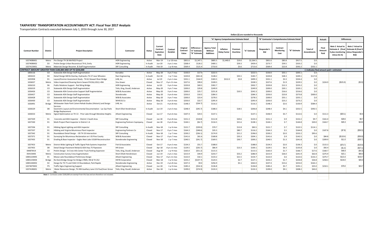#### **TAXPAYERS' TRANSPORTATION ACCOUNTABILITY ACT: Fiscal Year 2017 Analysis**

Transportation Contracts executed between July 1, 2016 through June 30, 2017

|                        |                |                                                                                        |                                      |               |                                                  |                      |                               |                                           |                                                    |                                          |                     | Dollars (\$) are rounded to thousands |                          |                                                |              |                                      |                         |                                                              |                                                                                             |
|------------------------|----------------|----------------------------------------------------------------------------------------|--------------------------------------|---------------|--------------------------------------------------|----------------------|-------------------------------|-------------------------------------------|----------------------------------------------------|------------------------------------------|---------------------|---------------------------------------|--------------------------|------------------------------------------------|--------------|--------------------------------------|-------------------------|--------------------------------------------------------------|---------------------------------------------------------------------------------------------|
|                        |                |                                                                                        |                                      |               |                                                  |                      |                               |                                           |                                                    | "A" Agency Comprehensive Estimate Detail |                     |                                       |                          | "B" Contractor's Comprehensive Estimate Detail |              |                                      | <b>Actuals</b>          |                                                              | <b>Differences</b>                                                                          |
| <b>Contract Number</b> | District       | <b>Project Description</b>                                                             | Contractor                           | <b>Status</b> | Current<br>Contract<br><b>Expiration</b><br>Date | Contract<br>Duration | Original<br>Contract<br>Value | Difference<br>A" Estimate<br>'B" Estimate | <b>Agency Total</b><br>Without<br><b>Additives</b> | Inflation<br><b>Delay Factor</b>         | Premium<br>Overtime | "A" Estimate                          | Responder'<br><b>Bid</b> | Contract<br>Monitoring<br>Cost                 | "B" Estimate | <b>Total of</b><br><b>Amendments</b> | Final<br>Amount<br>Paid | Note 2 Actual to<br><b>Estimate A</b> (Final<br>minus Est A) | Note 2 Actual to<br><b>Estimate B (Final )</b><br>plus monitoring minus Responder's<br>Bid) |
| 1027408W01             |                | Metro Pre-Design TH 36 MnPASS Project                                                  | <b>HDR</b> Engineering               | Active        | Mar-19                                           | 1 vr 10 mos          | \$831.6                       | \$1.347.1                                 | \$805.5                                            | \$1,440.0                                | \$19.0              | \$2,264.5                             | \$831.6                  | \$85.8                                         | \$917.5      | \$.0                                 |                         |                                                              |                                                                                             |
| 1027408W02             | D <sub>3</sub> | Prelim Design Urban Reconstruct TH 6, Emily                                            | <b>HDR Engineering</b>               | In Audit      | Jun-20                                           | 3 yrs 1 mos          | \$268.4                       | \$126.2                                   | \$400.1                                            |                                          | \$59.3              | \$459.4                               | \$273.7                  | \$59.5                                         | \$333.2      | \$.0                                 |                         |                                                              |                                                                                             |
| 1027415W01             | Metro          | Materials Design Recomm. & Staff Augmentation                                          | <b>SRF Consulting</b>                | In Audit      | Feb-19                                           | 1 yr 8 mos           | \$569.4                       | \$121.4                                   | \$710.0                                            |                                          | \$3.6               | \$713.6                               | \$569.4                  | \$22.8                                         | \$592.2      | \$332.1                              |                         |                                                              |                                                                                             |
|                        |                | CONTRACT AMOUNT GREATER THAN \$100.000 AND UP TO \$250.000                             |                                      |               |                                                  |                      |                               |                                           |                                                    |                                          |                     |                                       |                          |                                                |              |                                      |                         | () indicates final amount paid < estimated                   |                                                                                             |
| 1003116                | CO             | Statewide ADA Design Staff Augmentation                                                | Karvakko                             | Active        | $May-20$                                         | 3 yrs 7 mos          | \$150.0                       | \$17.4                                    | \$222.5                                            |                                          |                     | \$222.5                               | \$150.0                  | \$55.1                                         | \$205.1      | \$.0                                 |                         |                                                              |                                                                                             |
| 1003223                | D <sub>4</sub> | Detail Design Mill & Overlay, Hydraulics TH 27 near Wheaton                            | Rani Engineering                     | In Audit      | Oct-18                                           | 1 yr 7 mos           | \$220.8                       | $($ \$65.4) $ $                           | \$148.2                                            |                                          | \$35.5              | \$183.7                               | \$220.8                  | \$28.3                                         | \$249.1      | \$117.8                              |                         |                                                              |                                                                                             |
| 1025958                | D <sub>1</sub> | Layout/Environ Assessment Study - TH 61 Stewart River Bridge                           | LHB, Inc.                            | Active        | Jul-19                                           | 2 yrs 1 mos          | \$331.1                       | \$164.9                                   | \$183.5                                            | \$312.0                                  | \$3.8               | \$499.3                               | \$331.1                  | \$3.3                                          | \$334.4      | \$.0                                 |                         |                                                              |                                                                                             |
| 1026027                | Metro          | Video Inspection/Cleaning Storm SewersTH156,US52,I-494                                 | Visu-Sewer                           | Closed        | <b>Nov-17</b>                                    | 0 yrs 11 mos         | \$227.6                       | \$99.0                                    | \$328.5                                            |                                          |                     | \$328.5                               | \$227.6                  | \$1.9                                          | \$229.5      | \$.0                                 | \$224.9                 | (\$101.6)                                                    | (\$2.6)                                                                                     |
| 1026210                | D <sub>6</sub> | Public Relations Support - Red Wing Bridge                                             | <b>HDR</b> Engineering               | Active        | <b>Jul-20</b>                                    | 3 yrs 3 mos          | \$220.8                       | \$69.5                                    | \$302.7                                            |                                          |                     | \$302.7                               | \$220.8                  | \$12.3                                         | \$233.2      | \$.0                                 |                         |                                                              |                                                                                             |
| 1026319                | CO             | Statewide ADA Design Staff Augmentation                                                | Toltz, King, Duvall, Anderson        | Active        | $May-20$                                         | 3 yrs 7 mos          | \$200.0                       | \$29.8                                    | \$249.9                                            |                                          |                     | \$249.9                               | \$200.0                  | \$20.1                                         | \$220.1      | \$.0                                 |                         |                                                              |                                                                                             |
| 1026426                | CO             | Statewide ADA Construction Support Staff Augmentation                                  | <b>WSB &amp; Associates</b>          | Active        | $May-20$                                         | 3 yrs 5 mos          | \$200.0                       | \$25.7                                    | \$231.8                                            |                                          | \$10.5              | \$242.3                               | \$200.0                  | \$16.6                                         | \$216.6      | \$.0                                 |                         |                                                              |                                                                                             |
| 1026427                | CO             | Statewide ADA Design Staff Augmentation                                                | Stonebrooke                          | Active        | May-20                                           | 3 yrs 6 mos          | \$250.0                       | \$10.5                                    | \$284.3                                            |                                          |                     | \$284.3                               | \$250.0                  | \$23.8                                         | \$273.8      | \$300.0                              |                         |                                                              |                                                                                             |
| 1026428                | CO             | Statewide ADA Design Staff Augmentation                                                | <b>WSB &amp; Associates</b>          | Active        | $May-20$                                         | 3 yrs 7 mos          | \$200.0                       | \$23.4                                    | \$278.5                                            |                                          |                     | \$278.5                               | \$200.0                  | \$55.1                                         | \$255.1      | \$.0                                 |                         |                                                              |                                                                                             |
| 1026430                | CO             | Statewide ADA Design Staff Augmentation                                                | WHKS & Co                            | Active        | $May-20$                                         | 3 yrs 6 mos          | \$250.0                       | \$22.7                                    | \$295.9                                            |                                          |                     | \$295.9                               | \$250.0                  | \$23.2                                         | \$273.2      | \$.0                                 |                         |                                                              |                                                                                             |
| 1026491                | Bridge         | Whitewater State Park Culvert Rehab Studies (Historic) and Design<br><b>Services</b>   | LHB, Inc.                            | Active        | Oct-21                                           | 4 yrs 8 mos          | \$148.3                       | (534.7)                                   | \$116.2                                            |                                          |                     | \$116.2                               | \$148.3                  | \$2.6                                          | \$150.9      | \$584.4                              |                         |                                                              |                                                                                             |
| 1026529                | D <sub>8</sub> | Geometric Layout and Environmental Documentation - Lac Qui Parle<br>Bridge Replacement | Short Elliot Hendrickson             | In Audit      | Jun-19                                           | 2 yrs 5 mos          | \$248.4                       | (545.7)                                   | \$188.3                                            |                                          | \$18.5              | \$206.8                               | \$248.4                  | \$4.1                                          | \$252.5      | \$392.5                              |                         |                                                              |                                                                                             |
| 1026553                | Metro          | Signal Optimization on TH 13 - Prior Lake through Mendota Heights                      | <b>Alliant Engineering</b>           | Closed        | Jun-17                                           | 0 yrs 6 mos          | \$107.4                       | \$24.5                                    | \$137.1                                            |                                          |                     | \$137.1                               | \$106.9                  | \$5.7                                          | \$112.6      | \$.0                                 | \$111.3                 | (S20.1)                                                      | \$4.4                                                                                       |
| 1027329                | D <sub>1</sub> | Concrete and ADA Inspector - District 1 South Area                                     | <b>SRF Consulting</b>                | Closed        | Jan-18                                           | 0 yrs 8 mos          | \$151.3                       | (518.8)                                   | \$112.8                                            |                                          | \$20.6              | \$133.3                               | \$151.3                  | \$.9                                           | \$152.2      | \$9.7                                | \$161.0                 | \$28.6                                                       | \$9.7                                                                                       |
| 1027330                | D1             | Multi-Project Plant Inspector in District 1 A                                          | <b>Engineering Partners Copmpany</b> | Closed        | Jan-18                                           | 0 yrs 9 mos          | \$144.1                       | (56.7)                                    | \$116.5                                            |                                          | \$21.6              | \$138.1                               | \$144.1                  | \$.7                                           | \$144.8      | \$20.0                               | \$163.7                 | \$26.3                                                       | \$19.6                                                                                      |
| 1027336                | D <sub>1</sub> | Hibbing Signal Lighting and ADA Inspector                                              | <b>SRF Consulting</b>                | In Audit      | Nov-18                                           | 1 yr 6 mos           | \$121.7                       | (539.0)                                   | \$70.7                                             |                                          | \$12.8              | \$83.5                                | \$121.7                  | \$.7                                           | \$122.5      | \$114.1                              |                         |                                                              |                                                                                             |
| 1027337                | D <sub>1</sub> | Hibbing and Virginia Bituminous Plant Inspector                                        | <b>Engineering Partners Co</b>       | Closed        | Nov-17                                           | 0 yrs 7 mos          | \$164.3                       | (548.6)                                   | \$35.5                                             |                                          | \$80.7              | \$116.2                               | \$164.3                  | \$.5                                           | \$164.8      | \$.0                                 | \$107.8                 | (\$7.8)                                                      | (S56.5)                                                                                     |
| 1027342                | D1             | Roundabout Detail Design - I35 TH 33 Intersection                                      | <b>SRF Consulting</b>                | In Audit      | Nov-18                                           | 1 yr 7 mos           | \$230.2                       | (536.1)                                   | \$174.9                                            |                                          | \$21.2              | \$196.0                               | \$230.2                  | \$2.0                                          | \$232.2      | \$95.6                               |                         |                                                              |                                                                                             |
| 1027371                | D <sub>1</sub> | Surveying for Bituminous Reclamation on I-35 Pine County                               | <b>WSB &amp; Associates</b>          | Closed        | Nov-17                                           | 0 yrs 7 mos          | \$141.6                       | \$61.6                                    | \$168.8                                            |                                          | \$35.3              | \$204.1                               | \$141.6                  | \$.9                                           | \$142.5      | \$.0                                 | \$84.8                  | (\$118.4)                                                    | (\$56.8)                                                                                    |
| 1027435                | D1             | Grading & Base Inspector - Eagles Nest Lake US169 Reconstruction                       | Stonebrooke Engineering              | Closed        | Nov-18                                           | 1 yr 7 mos           | \$240.5                       | (541.7)                                   | \$169.5                                            |                                          | \$30.7              | \$200.2                               | \$240.5                  | \$1.3                                          | \$241.8      | \$.0                                 | \$209.9                 | \$11.0                                                       | (\$30.7)                                                                                    |
| 1027453                | Metro          | District-Wide Lighting & Traffic Signal Pole Systems Inspection                        | Fish & Associaties                   | Closed        | Oct-17                                           | 0 yrs 5 mos          | \$134.3                       | \$51.7                                    | \$188.0                                            |                                          |                     | \$188.0                               | \$134.3                  | \$2.0                                          | \$136.3      | \$.0                                 | \$115.3                 | (S70.7)                                                      | (\$19.0)                                                                                    |
| 1027455                | D <sub>8</sub> | Detail Design Pavement Rehab & ADA Hwy 75 Pipestone                                    | <b>HR</b> Green                      | Closed        | Apr-18                                           | rs 11 mos            | \$129.5                       | (535.7)                                   | \$86.9                                             |                                          | \$13.3              | \$100.1                               | \$129.5                  | \$6.3                                          | \$135.8      | \$.0                                 | \$92.4                  | (\$1.4)                                                      | (S37.1)                                                                                     |
| 04487W14               | CO             | Prelim Design - St Croix Info Center Truck Parking Expansion                           | Toltz, King, Duvall, Anderson        | Closed        | Aug-18                                           | 1 yr 9 mos           | \$165.0                       | (551.2)                                   | \$115.5                                            |                                          |                     | \$115.5                               | \$165.0                  | \$1.7                                          | \$166.7      | \$17.6                               | \$160.7                 | \$46.9                                                       | (\$4.3)                                                                                     |
| 05915W05               | Metro          | <b>Construction Survey Crew Augmentation</b>                                           | Short Elliott Hendrickson            | Closed        | Jun-19                                           | 2 yrs 1 mos          | \$215.9                       | \$44.9                                    | \$233.7                                            |                                          | \$53.2              | \$286.9                               | \$215.9                  | \$26.0                                         | \$241.9      | \$62.8                               | \$275.9                 | \$15.1                                                       | \$60.0                                                                                      |
| 1000122W05             | D1             | Moose Lake Roundabout Preliminary Design                                               | <b>Alliant Engineering</b>           | Closed        | Nov-17                                           | yrs 11 mos           | \$122.0                       | \$32.1                                    | \$133.2                                            |                                          | \$21.5              | \$154.7                               | \$122.0                  | \$.6                                           | \$122.6      | \$132.2                              | \$275.7                 | \$121.6                                                      | \$153.7                                                                                     |
| 1000123W04             | Bridge         | Re-Deck Bridge Design for Bridge 27805, 194 & TH 252                                   | <b>HNTB Corporation</b>              | Closed        | Mar-18                                           | 1 yr 6 mos           | \$233.2                       | (5107.7)                                  | \$124.5                                            |                                          | \$2.7               | \$127.1                               | \$233.2                  | \$1.7                                          | \$234.8      | \$26.8                               | \$258.3                 | \$134.0                                                      | \$26.3                                                                                      |
| 1000126W02             | D <sub>2</sub> | Design for TH 71 and CSAH 15 Roundabout, Park Rapids                                   | Stonebrooke Engineering              | Active        | Dec-19                                           | 2 yrs 8 mos          | \$237.4                       | \$9.0                                     | \$256.9                                            |                                          | \$5.1               | \$262.0                               | \$237.4                  | \$15.6                                         | \$253.0      | \$162.2                              |                         |                                                              |                                                                                             |
| 1027407W02             | <b>ITS</b>     | <b>Traffic Signs Engineering Support</b>                                               | <b>Alliant Engineering</b>           | Closed        | Jun-18                                           | 1 yr 0 mos           | \$185.4                       | (554.3)                                   | \$136.8                                            |                                          |                     | \$136.8                               | \$185.4                  | \$5.7                                          | \$191.1      | \$25.0                               | \$210.1                 | \$79.0                                                       | \$24.7                                                                                      |
| 1027418W01             | Metro          | Water Resources Design, TH 494 Auxillary Lane-S St Paul/Inver Grove<br>Hts             | Toltz, King, Duvall, Anderson        | Active        | Dec-18                                           | 1 yr 6 mos           | \$199.0                       | (574.9)                                   | \$133.3                                            |                                          |                     | \$133.3                               | \$199.0                  | \$9.1                                          | \$208.2      | \$43.0                               |                         |                                                              |                                                                                             |

*Note 1* : Contracts under \$100,000 are exempt from this law and are therefore not included.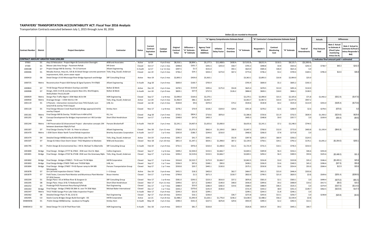#### **TAXPAYERS' TRANSPORTATION ACCOUNTABILITY ACT: Fiscal Year 2016 Analysis**

Transportation Contracts executed between July 1, 2015 through June 30, 2016

|                        |                  |                                                                                                                                          |                                                 |                  |                                          |                             |                               |                                              |                                                    |                                          |                     | Dollars (\$) are rounded to thousands |                    |                                                |                    |                                      |                             |                                                                                |                                                                      |
|------------------------|------------------|------------------------------------------------------------------------------------------------------------------------------------------|-------------------------------------------------|------------------|------------------------------------------|-----------------------------|-------------------------------|----------------------------------------------|----------------------------------------------------|------------------------------------------|---------------------|---------------------------------------|--------------------|------------------------------------------------|--------------------|--------------------------------------|-----------------------------|--------------------------------------------------------------------------------|----------------------------------------------------------------------|
|                        |                  |                                                                                                                                          |                                                 |                  |                                          |                             |                               |                                              |                                                    | "A" Agency Comprehensive Estimate Detail |                     |                                       |                    | "B" Contractor's Comprehensive Estimate Detail |                    |                                      | <b>Actuals</b>              |                                                                                | <b>Differences</b>                                                   |
| <b>Contract Number</b> | <b>District</b>  | <b>Project Description</b>                                                                                                               | Contractor                                      | <b>Status</b>    | Current<br>Contract<br>xpiratior<br>Date | Contract<br>Duration        | Original<br>Contract<br>Value | Difference =<br>"A" Estimate<br>"B" Estimate | <b>Agency Total</b><br>Without<br><b>Additives</b> | Inflation<br>Delay Factor                | Premium<br>Overtime | "A" Estimate                          | Responder's<br>Bid | Contract<br>Monitoring<br>Cost                 | "B" Estimate       | <b>Total of</b><br><b>Amendments</b> | <b>Final Amount</b><br>Paid | Note 2 Actual<br>to Estimate /<br>(Final \$ plus<br>monitoring<br>minus Est A) | Note 2 Actual to<br>stimate B (Final \$<br>ninus Responder's<br>Bid) |
|                        |                  | <b>CONTRACT AMOUNT GREATER THAN \$250,000</b>                                                                                            |                                                 |                  |                                          |                             |                               |                                              |                                                    |                                          |                     |                                       |                    |                                                |                    |                                      |                             | () indicates final amount paid < estimated                                     |                                                                      |
| 07003                  | D1               | Hwy 53 Relocation - Project Mgmt & Construction Oversight                                                                                | <b>WSB</b> and Associates                       | Active           | Jul-19                                   | 4 yrs 0 mos                 | \$8,316.1                     | \$8,894.1                                    | \$5,177.3                                          | \$11,408.0                               | \$430.4             | \$17,015.8                            | \$8,011.4          | \$110.2                                        | \$8,121.7          | (52, 200.4)                          |                             |                                                                                |                                                                      |
| 07300                  | D1               | Moose Lake Area Design - Pavement Rehab                                                                                                  | <b>HR</b> Green                                 | Closed           | Oct-17                                   | 2 yrs 1 mos                 | \$498.8                       | \$201.7                                      | \$391.5                                            | \$255.0                                  | \$58.7              | \$705.3                               | \$498.8            | \$4.8                                          | \$503.6            | \$242.3                              | \$738.7                     | \$40.3                                                                         | \$242.0                                                              |
| 1000188                | D7               | Project Design Mill & Overlay - TH 15 Fairmont                                                                                           | <b>Alliant Engineering</b>                      | In Audit         | Jul-17                                   | 1 yr 11 mos                 | \$497.5                       | \$1.5                                        | \$531.0                                            |                                          | \$92.1              | \$623.0                               | \$585.6            | \$36.0                                         | \$621.6            | \$.0                                 |                             |                                                                                |                                                                      |
| 1000406                | D <sub>1</sub>   | Mesaba Avenue, Hwys 61, 535 & 35 Detail Design concrete pavement   Toltz, King, Duvall, Anderson<br>improvement, ADA, storm sewer repair |                                                 | Closed           | $Jan-19$                                 | 3 yrs 5 mos                 | \$746.2                       | \$24.1                                       | \$433.3                                            | \$273.0                                  | \$67.2              | \$773.6                               | \$746.2            | \$3.2                                          | \$749.4            | \$169.1                              | \$785.0                     | \$14.6                                                                         | \$38.8                                                               |
| 1000410                | D6               | Detail Design US 63 Mississippi River Bridge Approach and Bridge                                                                         | <b>SRF Consulting Group</b>                     | Active           | Nov-19                                   | 4 yrs 2 mos                 | \$2,893.3                     | \$459.0                                      | \$3,363.1                                          |                                          |                     | \$3,363.1                             | \$2,893.3          | \$10.8                                         | \$2,904.0          | \$25.0                               |                             |                                                                                |                                                                      |
| 1000725                | Metro            | Reconstruction Project ADA Ramps & Signal Systems TH 47&65                                                                               | <b>Alliant Engineering</b>                      | In Audit         | Aug-18                                   | 3 yrs 0 mos                 | \$600.0                       | \$100.7                                      | \$705.9                                            |                                          |                     | \$705.9                               | \$600.0            | \$5.2                                          | \$605.2            | \$192.3                              |                             |                                                                                |                                                                      |
| 1000843                | D7               | TH 60 Design Planset Windom Overlays and ADA                                                                                             | <b>Bolton &amp; Menk</b>                        | Active           | Dec-19                                   | 4 yrs 3 mos                 | \$478.5                       | \$133.8                                      | \$395.6                                            | \$175.0                                  | \$54.8              | \$625.4                               | \$478.5            | \$13.0                                         | \$491.6            | \$110.0                              |                             |                                                                                |                                                                      |
| 1000908                | D7               | Design, ADA-3 mill & overlay projects New Ulm, Worthington,<br>Wells/Alden-THs15,59,109                                                  | <b>Bolton &amp; Menk</b>                        | In Audit         | Jun-18                                   | 2 yrs 9 mos                 | \$829.1                       | \$37.9                                       | \$757.9                                            |                                          | \$126.2             | \$884.0                               | \$828.1            | \$18.0                                         | \$846.1            | \$138.5                              |                             |                                                                                |                                                                      |
| 1000929                |                  | Metro Design Plan Traffic Mgmt I-35W Mpls 46 St-I94                                                                                      | <b>HDR</b> Engineering                          | Closed           | Sep-17                                   | 1 yr 8 mos                  | \$2,090.0                     | \$164.6                                      | \$2,270.1                                          |                                          |                     | \$2,270.1                             | \$2,090.0          | \$15.5                                         | \$2,105.6          | \$71.8                               | \$1,942.2                   | (\$312.4)                                                                      | (\$147.8)                                                            |
| 1000930                | Metro            | Drainage Design - I-35W 43rd to I-94                                                                                                     | Toltz, King, Duvall, Anderson                   | Active           | <b>Jun-20</b>                            | 4 yrs 5 mos                 | \$1,966.9                     | \$86.1                                       | \$2,063.7                                          |                                          |                     | \$2,063.7                             | \$1,967.3          | \$10.4                                         | \$1,977.6          | \$937.2                              |                             |                                                                                |                                                                      |
| 1001119                | D1               | 4 Plansets - intersection revision/turn lane TH53 Duluth, turn<br>lane/mill & overlay TH33 Cloquet                                       | LHB, Inc.                                       | Closed           | $Jan-18$                                 | 2 yrs 3 mos                 | \$530.8                       | \$9.6                                        | \$470.4                                            |                                          | \$74.2              | \$544.6                               | \$530.8            | \$4.2                                          | \$535.0            | \$114.9                              | \$355.0                     | (\$185.4)                                                                      | (\$175.8)                                                            |
| 1001120                | D1               | Final Design Mission Creek Road Duluth-Bridge approach/mill &<br>overlay Cloquet                                                         | <b>Kimley Horn</b>                              | Closed           | Nov-17                                   | $1 yr 8 m$ os               | \$278.2                       | \$70.9                                       | \$218.2                                            | \$104.0                                  | \$29.6              | \$351.8                               | \$278.2            | \$2.6                                          | \$280.9            | \$2.6                                | \$278.5                     | (\$70.6)                                                                       | \$3                                                                  |
| 1001181                | Metro            | Final Design Mill & Overlay TH149 From H-494 toTH5                                                                                       | KLJ, Inc                                        | Closed           | Aug-18                                   | 2 yrs 5 mos                 | \$720.1                       | \$854.2                                      | \$710.6                                            | \$876.0                                  |                     | \$1,586.6                             | \$720.6            | \$11.9                                         | \$732.5            | \$630.4                              | \$1,350.2                   | (\$224.6)                                                                      | \$629.6                                                              |
| 1001201                | D <sub>6</sub>   | Concept Development for Bridges Improvement on I-90 Corridor<br>Austin                                                                   | Short Elliot Hendrickson                        | Closed           | Jun-17                                   | 1 yr 8 mos                  | \$348.8                       | \$47.6                                       | \$405.3                                            |                                          |                     | \$405.3                               | \$348.8            | \$9.0                                          | \$357.7            | \$.0                                 | \$339.9                     | (\$56.4)                                                                       | (\$8.8)                                                              |
| 1001244                | Metro            | I-94 Preservation & Enhancement Project - alternative concepts 194<br>between downtown Mpls/St Paul                                      | <b>Parsons Binckerhoff</b>                      | In Audit         | Feb-19                                   | 3 yrs 2 mos                 | \$2,241.1                     | \$4,407.4                                    | \$1,655.6                                          | \$5,000.0                                |                     | \$6,655.6                             | \$2,241.1          | \$7.2                                          | \$2,248.3          | \$744.5                              |                             |                                                                                |                                                                      |
| 1001307                | D7               | Final Design Overlay TH 169 - St. Peter to LeSueur                                                                                       | <b>Alliant Engineering</b>                      | Closed           | Dec-18                                   | 2 yrs 11 mos                | \$760.0                       | \$1,075.3                                    | \$662.4                                            | \$1,104.0                                | \$80.9              | \$1,847.3                             | \$760.0            | \$12.0                                         | \$772.0            | \$403.8                              | \$1,193.4                   | (\$641.9)                                                                      | \$433.4                                                              |
| 1001470                | Metro            | I-35W Storm Water North Tunnel Rehab Inspection                                                                                          | <b>Brierley Associates Corporation</b>          | In Audit         | Jun-17                                   | 1 yr 5 mos                  | \$265.8                       | \$186.7                                      | \$244.6                                            | \$216.0                                  |                     | \$460.6                               | \$266.0            | \$7.8                                          | \$273.8            | \$.0                                 |                             |                                                                                |                                                                      |
| 1001474                | D <sub>4</sub>   | Detailed Design Mill&Overlay & ADA Elbow Lake TH 55                                                                                      | Toltz, King, Duvall, Anderson                   | Active           | Oct-19                                   | 3 yrs 8 mos                 | \$295.3                       | \$41.7                                       | \$345.1                                            |                                          | \$52.8              | \$397.8                               | \$295.3            | \$60.9                                         | \$356.2            | \$124.5                              |                             |                                                                                |                                                                      |
| 1001507                | D7               | Design & Video-Clean Storm Sewer -TH22 Mapleton to Mankato                                                                               | <b>WSB</b> and Associates                       | Closed           | <b>Nov-18</b>                            | 2 yrs 10 mos                | \$851.4                       | \$1,347.1                                    | \$654.1                                            | \$1,398.0                                | \$87.2              | \$2,139.3                             | \$758.1            | \$34.1                                         | \$792.2            | \$176.1                              | \$1,041.2                   | (\$1,064.0)                                                                    | \$283.                                                               |
| 1001795                | D <sub>3</sub>   | Prelim Design & Environmental Doc. I-94 St. Michael To Albertville                                                                       | <b>SRF Consulting Group</b>                     | In Audit         | Feb-19                                   | 2 yrs 9 mos                 | \$731.5                       | \$976.4                                      | \$310.4                                            | \$1,400.0                                | \$11.5              | \$1,721.9                             | \$731.5            | \$14.1                                         | \$745.5            | \$314.3                              |                             |                                                                                |                                                                      |
| 1001800                | Bridge           | Final Design - Bridges 27777 & 27822 - 35W over 31st St. Mpls                                                                            | <b>Collins Engineers</b>                        | Closed           | Sep-17                                   | 1 yr 6 mos                  | \$309.2                       | \$2,504.0                                    | \$153.5                                            | \$2,666.7                                |                     | \$2,820.1                             | \$309.8            | \$6.3                                          | \$316.1            | \$46.6                               | \$355.8                     |                                                                                |                                                                      |
| 1001801                | Bridge           | Final Design - Bridges 27V47 & 27V48 -35W over the Greenway Mpls Toltz, King, Duvall, Anderson                                           |                                                 | Closed           | Sep-17                                   | 1 yr 6 mos                  | \$294.2                       | \$2,519.6                                    | \$153.5                                            | \$2,666.7                                |                     | \$2,820.1                             | \$294.2            | \$6.3                                          | \$300.5            | \$59.6                               | \$325.6                     | (\$2,488.3)                                                                    | \$31.3                                                               |
| 1001802                | Bridge           | Final Design - Bridges 27000/1 - TH 65 over TH 94 Mpls                                                                                   | <b>HNTB Corporation</b>                         | Closed           | Sep-17                                   | 1 yr 6 mos                  | \$316.8                       | \$2,522.7                                    | \$175.9                                            | \$2,666.7                                |                     | \$2,842.5                             | \$316.8            | \$3.0                                          | \$319.8            | \$35.2                               | \$346.4                     | (\$2,493.1)                                                                    | \$29.6                                                               |
| 1001803<br>1001804     | Bridge<br>Bridge | Final Design Bridge 27W05 TH65 over TH35W Mpls<br>Final Design - Bridge 27W07 - TH 65 flyover ramp to I94 WB                             | LHB, Inc<br><b>Parsons Transportation Group</b> | Closed<br>Closed | Sep-17<br>Sep-17                         | 1 yr 7 mos<br>$1 yr 7 m$ os | \$336.9<br>\$550.8            | \$97.6<br>\$20.7                             | \$348.1<br>\$445.1                                 | \$90.0<br>\$130.0                        |                     | \$438.1<br>\$575.1                    | \$336.9<br>\$550.8 | \$3.6<br>\$3.6                                 | \$340.5<br>\$554.4 | \$45.2<br>\$55.0                     | \$396.6<br>\$584.4          | (\$37.9)<br>\$12.9                                                             | \$59.8<br>\$33.6                                                     |
| 1001878                |                  | Minneapolis                                                                                                                              | I + S Group                                     |                  |                                          |                             | \$431.5                       | \$18.3                                       | \$402.0                                            |                                          | \$62.7              | \$464.7                               | \$431.5            | \$15.0                                         | \$446.4            | \$333.6                              |                             |                                                                                |                                                                      |
| 1001879                | D7<br>D7         | On Call Field inspection-District 7 Wide<br>Field Tester, Concrete Plant Monitor and Bituminous Plant Monitor                            | <b>Braun Intertec</b>                           | Active<br>Closed | Dec-19<br>Oct-17                         | 3 yrs 6 mos<br>1 yr 9 mos   | \$799.8                       | \$1.5                                        | \$671.3                                            |                                          | \$150.7             | \$822.0                               | \$799.5            | \$21.0                                         | \$820.5            | (5.0)                                | \$509.6                     | (\$291.4)                                                                      | (\$289.9)                                                            |
| 1002204                | D1               | D7 2016 Season<br>Design Plans I-35 at Willow River & Sturgeon Lk                                                                        | <b>SRF Consulting Group</b>                     | Closed           | Nov-17                                   | 1 yr 8 mos                  | \$581.0                       | \$293.5                                      | \$223.3                                            | \$616.0                                  | \$37.2              | \$876.6                               | \$581.0            | \$2.1                                          | \$583.1            | \$.0                                 | \$499.4                     | (\$375.0)                                                                      | (\$81.5)                                                             |
| 1002205                | D8               | Design Plans -Hwys 19 & 71 Redwood Falls                                                                                                 | Short Elliot Hendrickson                        | Closed           | Mar-17                                   | 0 yrs 11 mos                | \$399.6                       | \$27.2                                       | \$248.0                                            | \$140.0                                  | \$48.0              | \$436.0                               | \$399.6            | \$9.2                                          | \$408.9            | \$19.2                               | \$417.5                     | (S8.0)                                                                         | \$19.                                                                |
| 1002252                | D3               | PredesignTH25 Pavement Resurfacing & Rehab                                                                                               | Rani Engineering                                | Closed           | Dec-17                                   | 1 yr 7 mos                  | \$488.9                       | \$53.0                                       | \$286.9                                            | \$282.0                                  | \$19.6              | \$588.5                               | \$488.9            | \$46.5                                         | \$535.5            | \$.0                                 | \$374.9                     | (\$167.0)                                                                      | (\$114.0                                                             |
| 1002263                | Bridge           | Final Design - Bridge 27W02 EB 28th St. over TH 35W Mpls                                                                                 | Michael Baker International                     | Closed           | Dec-17                                   | 1 yr 7 mos                  | \$343.2                       | \$370.6                                      | \$191.9                                            | \$530.0                                  |                     | \$721.9                               | \$343.2            | \$8.0                                          | \$351.3            | \$149.7                              | \$462.5                     | (\$223.6)                                                                      | \$147.0                                                              |
| 1002347                | Metro            | TH13 TH282 Savage Prior Lake Video Inspection Project                                                                                    |                                                 | In Audit         | Mar-17                                   | 0 yrs 9 mos                 | \$244.3                       | \$52.9                                       | \$299.1                                            |                                          |                     | \$299.1                               | \$244.3            | \$1.8                                          | \$246.1            | \$.0                                 |                             |                                                                                |                                                                      |
| 1002362                | D8               | Detailed Design Plans Th 30, 22 & 55                                                                                                     | Rani Engineering                                | Closed           | Apr-17                                   | 0 yrs 10 mos                | \$243.6                       | \$16.1                                       | \$236.0                                            |                                          | \$36.7              | \$272.8                               | \$243.6            | \$13.1                                         | \$256.7            | \$.0                                 | \$238.8                     | (S20.8)                                                                        | (\$4.8)                                                              |
| 1002405                | CO               | Steele County Bridges Design Build Oversight - I35                                                                                       | <b>HNTB Corporation</b>                         | Active           | $Jan-21$                                 | 4 yrs 8 mos                 | \$2,488.2                     | \$1,093.9                                    | \$1,626.1                                          | \$1,776.0                                | \$236.2             | \$3,638.3                             | \$2,488.2          | \$56.2                                         | \$2,544.4          | (5.0)                                |                             |                                                                                |                                                                      |
| 04484W06               | D1               | Prelim Design Mill&Overlay - Jacobson to Pengilly                                                                                        | Kimley Horn                                     | In Audit         | May-19                                   | 3 yrs 3 mos                 | \$390.3                       | \$541.4                                      | \$227.5                                            | \$676.8                                  | \$29.6              | \$933.9                               | \$390.3            | \$2.2                                          | \$392.5            | \$13.1                               |                             |                                                                                |                                                                      |
| 04485W13               | D <sub>2</sub>   | Detail Design TH 1 & 59 Thief River Falls                                                                                                | <b>HDR Engineering</b>                          | In Audit         | Dec-18                                   | 2 yrs 9 mos                 | \$435.9                       | \$81.7                                       | \$526.8                                            |                                          |                     | \$526.8                               | \$435.9            | \$9.2                                          | \$445.1            | \$40.7                               |                             |                                                                                |                                                                      |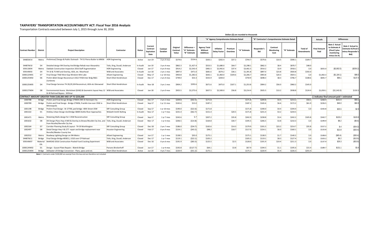#### **TAXPAYERS' TRANSPORTATION ACCOUNTABILITY ACT: Fiscal Year 2016 Analysis**

Transportation Contracts executed between July 1, 2015 through June 30, 2016

|                        |                 |                                                                                                                                        |                               |               |                                                  |                         |                               |                                             |                                                    |                                          |                     | Dollars (\$) are rounded to thousands |             |                                                |              |                                      |                            |                                                                              |                                                                             |
|------------------------|-----------------|----------------------------------------------------------------------------------------------------------------------------------------|-------------------------------|---------------|--------------------------------------------------|-------------------------|-------------------------------|---------------------------------------------|----------------------------------------------------|------------------------------------------|---------------------|---------------------------------------|-------------|------------------------------------------------|--------------|--------------------------------------|----------------------------|------------------------------------------------------------------------------|-----------------------------------------------------------------------------|
|                        |                 |                                                                                                                                        |                               |               |                                                  |                         |                               |                                             |                                                    | "A" Agency Comprehensive Estimate Detail |                     |                                       |             | "B" Contractor's Comprehensive Estimate Detail |              |                                      | <b>Actuals</b>             |                                                                              | <b>Differences</b>                                                          |
| <b>Contract Number</b> | <b>District</b> | <b>Project Description</b>                                                                                                             | Contractor                    | <b>Status</b> | Current<br>Contract<br><b>Expiration</b><br>Date | Contract<br>Duration    | Original<br>Contract<br>Value | Difference:<br>'A" Estimate<br>"B" Estimate | <b>Agency Total</b><br>Without<br><b>Additives</b> | Inflation<br><b>Delay Factor</b>         | Premium<br>Overtime | 'A" Estimate                          | Responder's | Contract<br>Monitoring<br>Cost                 | "B" Estimate | <b>Total of</b><br><b>Amendments</b> | <b>Final Amoun</b><br>Paid | Note 2 Actual<br>to Estimate<br>(Final \$ plus<br>monitoring<br>minus Est A) | Vote 2 Actual to<br><b>Estimate B (Final :</b><br>ninus Responder's<br>Bid) |
| 04485W14               |                 | Metro Preliminary Design & Public Outreach - TH 51 Pierce Butler to MN36                                                               | <b>HDR</b> Engineering        | Active        | Jun-19                                           | 3 yrs 4 mos             | \$579.6                       | \$154.6                                     | \$505.1                                            | \$202.4                                  | \$37.2              | \$744.7                               | \$579.6     | \$10.5                                         | \$590.1      | \$109.7                              |                            |                                                                              |                                                                             |
| 04487W10               | D4              | Detailed design I94 Overlay And Bridge Rehab near Alexandria                                                                           | Toltz, King, Duvall, Anderson | In Audit      | Jan-19                                           | 3 yrs 4 mos             | \$862.3                       | \$1,427.4                                   | \$553.5                                            | \$1,680.0                                | \$64.7              | \$2,298.1                             | \$862.3     | \$8.4                                          | \$870.7      | \$48.0                               |                            |                                                                              |                                                                             |
| 05911W04               | Metro           | Oakdale Construction Inspection 2016 Staff Augmentation                                                                                | <b>HDR</b> Engineering        | Closed        | $Jan-17$                                         | 0 yrs 9 mos             | \$914.2                       | \$2,543.4                                   | \$481.5                                            | \$2,942.6                                | \$37.4              | \$3,461.5                             | \$914.2     | \$3.9                                          | \$918.1      | \$.0                                 | \$655.0                    | (\$2,802.5)                                                                  | (\$259.2)                                                                   |
| 05914W03               | D <sub>4</sub>  | TH 10 & 75 Mill and Overlay, ADA, etc. Moorhead                                                                                        | <b>WSB</b> and Associates     | In Audit      | Jun-18                                           | 2 yrs 1 mos             | \$897.0                       | \$471.0                                     | \$681.6                                            | \$674.2                                  | \$36.1              | \$1,391.8                             | \$897.0     | \$23.8                                         | \$920.8      | \$192.0                              |                            |                                                                              |                                                                             |
| 1000122W01             | D7              | Final Design Th60 West Gap Windom-Mnt Lake                                                                                             | <b>Alliant Engineering</b>    | Closed        | $Mav-17$                                         | 1 yr 10 mos             | \$903.8                       | \$1,282.6                                   | \$642.1                                            | \$1,460.0                                | \$104.6             | \$2,206.7                             | \$903.8     | \$20.3                                         | \$924.1      | \$.0                                 | \$1,002.3                  | (\$1,184.1)                                                                  | \$98.                                                                       |
| 1000125W02             | D <sub>6</sub>  | Prelim &Det Design Reconstruct US52-TH58 Inter Brdg 9661<br>Zumbrota                                                                   | Short Elliot Hendrickson      | Closed        | Dec-17                                           | 2 yrs 4 mos             | \$749.0                       | \$53.3                                      | \$555.9                                            | \$204.0                                  |                     | \$759.9                               | \$698.3     | \$8.3                                          | \$706.7      | \$108.6                              | \$835.7                    | \$84.1                                                                       | \$137.                                                                      |
| 1000125W05             | D4              | Final Design Services TH 28,29,104 Reconstruct, ADA etc Glenwood                                                                       | Short Elliot Hendrickson      | In Audit      | Nov-18                                           | 3 yrs 1 mos             | \$904.2                       | \$293.6                                     | \$671.6                                            | \$475.0                                  | \$107.1             | \$1,253.8                             | \$904.2     | \$56.0                                         | \$960.2      | \$145.0                              |                            |                                                                              |                                                                             |
| 1000127W04             | D <sub>8</sub>  | Environmental Assess. Worksheet (EAW) & Geometric layout Hwy 12   WSB and Associates<br>& 40 Railroad Bypass - Willmar                 |                               | Closed        | Jan-18                                           | 2 yrs 0 mos             | \$925.5                       | \$2,275.6                                   | \$657.5                                            | \$2,500.0                                | \$56.8              | \$3,214.4                             | \$925.5     | \$13.2                                         | \$938.8      | \$124.4                              | \$1,059.1                  | (52, 142.0)                                                                  | \$133.                                                                      |
|                        |                 | CONTRACT AMOUNT GREATER THAN \$100.000 AND UP TO \$250.000                                                                             |                               |               |                                                  |                         |                               |                                             |                                                    |                                          |                     |                                       |             |                                                |              |                                      |                            | () indicates final amount paid < estimated                                   |                                                                             |
| 1000788                | Bridge          | Prelim and Final Design Bridge 27W04 24th St Hennepin Cty                                                                              | <b>HDR</b> Engineering        | Closed        | Dec-17                                           | 2 yrs 1 mos             | \$209.8                       | (542.5)                                     | \$171.8                                            |                                          |                     | \$171.8                               | \$209.8     | \$4.4                                          | \$214.2      | \$58.2                               | \$268.9                    | \$101.6                                                                      | \$59.                                                                       |
| 1000789                | Bridge          | Prelim and Final Design - Bridge 27W06, Franklin Ave over 35W in<br>Minneapolis                                                        | Short Elliot Hendrickson      | Closed        | Sep-17                                           | $1$ yr $11$ mos         | \$165.6                       | \$15.0                                      | \$187.2                                            |                                          |                     | \$187.2                               | \$165.6     | \$6.6                                          | \$172.2      | \$61.9                               | \$226.5                    | \$46.0                                                                       | \$60.                                                                       |
| 1001198                | Bridge          | Prelim-Final Design - Br 27700, ped bridge -40th Street-35W                                                                            | <b>SRF Consulting Group</b>   | Closed        | Sep-17                                           | 1 yr 10 mos             | \$190.0                       | (522.6)                                     | \$171.8                                            |                                          |                     | \$171.8                               | \$190.0     | \$4.4                                          | \$194.4      | \$.0                                 | \$192.8                    | \$25.5                                                                       | \$2.9                                                                       |
| 1001322                | D <sub>1</sub>  | Hinkley Urban Design And Bridge 58005 Kettle River Approaches                                                                          | <b>Widseth Smith Nolting</b>  | In Audit      | Nov-17                                           | 1 yr 7 mos              | \$231.4                       | (562.7)                                     | \$151.4                                            |                                          | \$20.5              | \$171.8                               | \$231.4     | \$3.2                                          | \$234.5      |                                      |                            |                                                                              |                                                                             |
| 1001471                | Metro           | Retaining Walls design for I-35W Reconstruction                                                                                        | <b>SRF Consulting Group</b>   | Closed        | Sep-17                                           | 1 yr 7 mos              | \$242.6                       | 5.7                                         | \$207.2                                            |                                          | \$35.8              | \$242.9                               | \$238.8     | \$3.4                                          | \$242.2      | \$105.8                              | \$342.7                    | \$103.2                                                                      | \$103.                                                                      |
| 1001632                | D8              | Dtl Design Plans Hwy 4 Mill & Overlay to Brown/Nicollet Cty line, and Toltz, King, Duvall, Anderson<br>from Nicollet/Renville Cty line |                               | Closed        | Mar-17                                           | $1 \,\mathrm{yr}$ 3 mos | \$206.5                       | (514.8)                                     | \$164.8                                            |                                          | \$30.7              | \$195.5                               | \$206.5     | \$3.8                                          | \$210.3      | 5.0                                  | \$199.9                    | \$8.2                                                                        | (S6.6)                                                                      |
| 1002164                | D7              | Corridor Planning Study & Layout - TH 59 Worthington                                                                                   | <b>SRF Consulting Group</b>   | Closed        | Dec-18                                           | 2 yrs 7 mos             | \$186.0                       | (534.7)                                     | \$165.6                                            |                                          | \$14.3              | \$179.9                               | \$191.5     | \$23.2                                         | \$214.7      | \$35.8                               | \$157.2                    | \$.4                                                                         | (\$34.3)                                                                    |
| 1002497                | D8              | Detail Design Hwy 4 & 277 repair and bridge replacement near<br>Renville/Meeker County line                                            | <b>Houston Engineering</b>    | Closed        | Feb-17                                           | 0 yrs 9 mos             | \$154.1                       | (543.2)                                     | \$98.2                                             |                                          | \$18.7              | \$117.0                               | \$154.1     | \$6.0                                          | \$160.1      | \$.0                                 | \$133.8                    | \$22.8                                                                       | (\$20.4)                                                                    |
| 1002552                | Metro           | Roadway Lighting Design on 194-Metro                                                                                                   | <b>Alliant Engineering</b>    | Closed        | Jun-17                                           | $1$ yr $1$ mos          | \$138.5                       | \$35.0                                      | \$175.1                                            |                                          |                     | \$175.1                               | \$138.5     | \$1.7                                          | \$140.2      | \$.0                                 | \$108.0                    | (\$65.4)                                                                     | (\$30.4)                                                                    |
| 04487W11               | Bridge          | Final Design Bridge #03011, US10 over CP Railroad                                                                                      | Toltz, King, Duvall, Anderson | Closed        | Dec-17                                           | 1 yr 7 mos              | \$119.1                       | (522.1)                                     | \$105.2                                            |                                          |                     | \$105.2                               | \$119.1     | \$8.3                                          | \$127.4      | \$.0                                 | \$103.2                    | \$6.2                                                                        | (\$15.9)                                                                    |
| 05914W07               | Ofc             | Material MnROAD 2016 Construction-Pooled Fund Cracking Experiment                                                                      | <b>WSB</b> and Associates     | Closed        | Dec-16                                           | 0 yrs 6 mos             | \$191.9                       | ( \$83.3)                                   | \$125.5                                            |                                          | \$2.5               | \$128.0                               | \$191.9     | \$19.4                                         | \$211.3      | \$.0                                 | \$137.9                    | \$29.3                                                                       | $($ \$53.9)                                                                 |
| 1000124W02             | D1              | Design - Gusset Plate Repairs - Blatnik Bridge                                                                                         | Parsons Binckerhoff           | Closed        | Jun-17                                           | 1 vr 4 mos              | \$192.8                       | (5127.7)                                    | \$64.1                                             |                                          | \$3.8               | \$67.9                                | \$194.5     | \$1.1                                          | \$195.6      | \$15.4                               | \$189.7                    | \$131.1                                                                      | \$3.4                                                                       |
| 1000125W04             |                 | Bridge Stillwater Lift Bridge Conversion - Plans, specs and est.                                                                       | Short Elliot Hendrickson      | Active        | Jun-20                                           | 4 yrs 7 mos             | \$220.9                       | (551.2)                                     | \$175.1                                            |                                          |                     | \$175.1                               | \$220.9     | \$5.4                                          | \$226.3      | \$255.4                              |                            |                                                                              |                                                                             |

*Note 1* : Contracts under \$100,000 are exempt from this law and are therefore not included.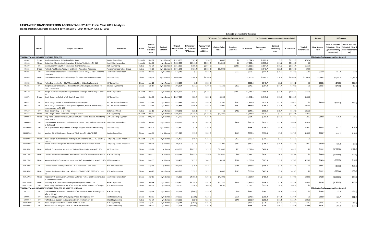#### **TAXPAYERS' TRANSPORTATION ACCOUNTABILITY ACT: Fiscal Year 2015 Analysis**

Transportation Contracts executed between July 1, 2014 through June 30, 2015

|                     |                      |                                                                                                                                                                                                        |                                                        |                    |                                           |                                                                         |                                                       |                                              |                                                    |                                          |                     | Dollars (\$) are rounded to thousands |                        |                                                |                        |                               |                             |                                            |                                                                                                      |
|---------------------|----------------------|--------------------------------------------------------------------------------------------------------------------------------------------------------------------------------------------------------|--------------------------------------------------------|--------------------|-------------------------------------------|-------------------------------------------------------------------------|-------------------------------------------------------|----------------------------------------------|----------------------------------------------------|------------------------------------------|---------------------|---------------------------------------|------------------------|------------------------------------------------|------------------------|-------------------------------|-----------------------------|--------------------------------------------|------------------------------------------------------------------------------------------------------|
|                     |                      |                                                                                                                                                                                                        |                                                        |                    |                                           |                                                                         |                                                       |                                              |                                                    | "A" Agency Comprehensive Estimate Detail |                     |                                       |                        | "B" Contractor's Comprehensive Estimate Detail |                        |                               | <b>Actuals</b>              |                                            | <b>Differences</b>                                                                                   |
|                     | <b>District</b>      | <b>Project Description</b>                                                                                                                                                                             | Contractor                                             | <b>Status</b>      | Current<br>Contract<br>Expiration<br>Date | Contract<br>Duration                                                    | Original<br>`ontract Valu                             | Difference =<br>"A" Estimate<br>"B" Estimate | <b>Agency Total</b><br>Without<br><b>Additives</b> | nflation Delay<br>Factor                 | Premium<br>Overtime | "A" Estimate                          | Responder's<br>Rid     | Contract<br><b>Monitoring</b><br>Cost          | "B" Estimate           | Total of<br><b>Amendments</b> | <b>Final Amount</b><br>Paid | Note 2 Actual to<br>minus Est A)           | Note 2 Actual to<br>Estimate A (Final Estimate B (Final:<br>Splus monitoring minus Responder<br>Bid) |
|                     |                      | <b>CONTRACT AMOUNT GREATER THAN \$250,000</b>                                                                                                                                                          |                                                        |                    |                                           |                                                                         |                                                       |                                              |                                                    |                                          |                     |                                       |                        |                                                |                        |                               |                             | () indicates final amount paid < estimated |                                                                                                      |
| 02047               | Bridge               | Baudette & Ontario Bridge Feasibility Study                                                                                                                                                            | <b>Stantec Consulting</b>                              | In Audit           | Dec-17                                    |                                                                         | 2 yrs 10 mos \$2,915,105                              | \$303.4                                      | \$724.5                                            | \$800.0                                  | \$.0                | \$1,524.5                             | \$1,221.0              | \$.0                                           | \$1,221.0              | \$752.4                       |                             |                                            |                                                                                                      |
| 05118<br>05279      | D <sub>6</sub>       | Metro   Design-Build Contract Administration & Design Verification-TH 610<br>Construction Oversight of Mississippi River Br in Winona                                                                  | Short Elliot Hendrickson                               | In Audit           | Dec-18<br><b>Jul-19</b>                   |                                                                         | 4 yrs 3 mos \$ 3,532,959<br>4 yrs 11 mos \$ 5,814,869 | \$3,541.3<br>\$389.2                         | \$3,050.4<br>\$6,077.5                             | \$4,035.0                                | \$.0<br>\$143.1     | \$7,085.4<br>\$6,220.6                | \$3,533.0<br>\$5,814.9 | \$11.1<br>\$16.5                               | \$3,544.0<br>\$5,831.4 | \$.0<br>\$155.9               |                             |                                            |                                                                                                      |
| 05323               | Bridge               | Prelim & Final Design Roadway and Bridge Relocation Rocheleau                                                                                                                                          | <b>HDR</b> Engineering<br>Parsons Transportation Group | Active<br>Active   | Feb-20                                    |                                                                         | 4 yrs 11 mos \$ 5,941,678                             | \$721.4                                      | \$3,685.3                                          | \$3,000.0                                |                     | \$6,685.3                             | \$5,941.7              | \$22.3                                         | \$5,964.0              | \$92.9                        |                             |                                            |                                                                                                      |
| 05884               | D8                   | Environ Assessment Wksht and Geometric Layout -Hwy 23 New London to<br>Paynesville.                                                                                                                    | Short Elliot Hendrickson                               | Closed             | Dec-16                                    |                                                                         | 2 yrs 5 mos \$ 544,248                                | \$.5                                         | \$518.1                                            |                                          | \$55.3              | \$573.4                               | \$544.2                | \$28.6                                         | \$572.8                | \$58.1                        | \$601.8                     | \$57.0                                     | \$57.5                                                                                               |
| 05985               |                      | Metro Environ Assessment and Prelim Design for I-35W North MNPASS Lanes                                                                                                                                | <b>SRF Consulting</b>                                  | Closed             | Aug-18                                    |                                                                         | 3 yrs 10 mos \$2,084,543                              | \$204.7                                      | \$2,300.4                                          |                                          |                     | \$2,300.4                             | \$2,085.2              | \$10.5                                         | \$2,095.7              | \$1,897.4                     | \$3,946.5                   | \$1,656.5                                  | \$1,861.                                                                                             |
| 05986               |                      | Metro Prelim Engineering for I-35W Minnesota River Bridge Replacement                                                                                                                                  | <b>SRF Consulting</b>                                  | Closed             | Jun-18                                    | $3 \, \text{yrs}$ 7 mos $\frac{2}{3}$                                   | 949,657                                               | \$.2                                         | \$985.6                                            |                                          |                     | \$985.6                               | \$949.7                | \$3.5                                          | \$953.1                | \$.0                          | \$933.6                     | (\$48.6)                                   | (\$16.1                                                                                              |
| 06282               | D <sub>4</sub>       | Design Service for Pavement Rehabilitation & ADA Improvements on TH<br>29,9,12 in Benson                                                                                                               | <b>Isthmus Engineering</b>                             | Closed             | Oct-17                                    | $2 \text{ yrs } 11 \text{ mos }$                                        | 294,154                                               | \$37.6                                       | \$209.3                                            | \$112.0                                  | \$25.2              | \$346.4                               | \$294.2                | \$14.7                                         | \$308.8                | \$.0                          | \$291.7                     | (\$40.0)                                   | (\$2.4)                                                                                              |
| 06429               | D7                   | Design, Build and Project Management and Oversight on Old Hwy 14 and I- HNTB Corporation<br>90                                                                                                         |                                                        | In Audit           | Dec-17                                    |                                                                         | 3 yrs 1 mos \$ 1,876,371                              | \$19.0                                       | \$1,746.0                                          |                                          | \$197.2             | \$1,943.3                             | \$1,889.9              | \$34.4                                         | \$1,924.2              | \$155.5                       |                             |                                            |                                                                                                      |
| 06674               |                      | Bridge Detail Design for Rehab of US Hwy 2 Bridge 9090                                                                                                                                                 | <b>SRF Consulting</b>                                  | In Audit           | Dec-18                                    |                                                                         | 3 yrs 8 mos \$ 1,347,823                              | \$80.7                                       | \$802.1                                            | \$640.0                                  |                     | \$1,442.1                             | \$1,347.8              | \$13.6                                         | \$1,361.4              | \$135.8                       |                             |                                            |                                                                                                      |
| 06832               | D7                   | Detail Design TH 169 St Peter Flood Mitigation Project                                                                                                                                                 | <b>AECOM Technical Services</b>                        | Closed             | Oct-17                                    | $2 \text{ yrs } 9 \text{ mos } 5$                                       | 875,384                                               | \$485.9                                      | \$569.7                                            | \$750.0                                  | \$73.2              | \$1,392.9                             | \$875.4                | \$31.6                                         | \$907.0                | \$.0                          | \$822.0                     | ( \$539.3)                                 | ( \$53.4)                                                                                            |
| 06833               | D7                   | Detail Design for Concrete Overlay on 4 Segments, Median and Drainage<br>Improvements on TH 169                                                                                                        | <b>AECOM Technical Services</b>                        | In Audit           | Oct-17                                    | $2 \text{ yrs } 9 \text{ mos}$ \$                                       | 298,836                                               | \$586.5                                      | \$353.4                                            | \$500.0                                  | \$46.2              | \$899.6                               | \$298.8                | \$14.2                                         | \$313.1                | \$678.4                       |                             |                                            |                                                                                                      |
| 07137               | D7                   | Detail Design Hwy 4 in St James                                                                                                                                                                        | <b>Bolton and Menck</b>                                | Active             | Jun-19                                    | 4 yrs 4 mos $\frac{1}{5}$                                               | 500,271                                               | \$28.1                                       | \$474.9                                            | \$.0                                     | \$72.2              | \$547.1                               | \$500.3                | \$18.7                                         | \$519.0                | \$211.6                       |                             |                                            |                                                                                                      |
| 07316               |                      | Metro Final Design TH 694 Third Lane Lexington to Rice                                                                                                                                                 | <b>HDR</b> Engineering                                 | In Audit           | Dec-17                                    |                                                                         | 2 yrs 8 mos \$2,596,825                               | \$1,315.7                                    | \$2,255.8                                          | \$1,588.0                                |                     | \$3,843.8                             | \$2,521.1              | \$7.0                                          | \$2,528.1              | \$101.3                       |                             | \$70.3                                     | \$81.0                                                                                               |
| 1000079             | Metro                | Prep Plans, Special Provisions, etc Storm Water Tunnel Rehab & Monitoring CNA Consulting Engineers<br>I-35W North                                                                                      |                                                        | Closed             | May-18                                    | $3 \text{ yrs} 0 \text{ mos}$ \$                                        | 261,775                                               | \$10.7                                       | \$284.4                                            |                                          |                     | \$284.4                               | \$261.8                | \$11.9                                         | \$273.7                | \$81.2                        | \$342.5                     |                                            |                                                                                                      |
| 1000094<br>03729W06 | D <sub>8</sub><br>D6 | Environmental Assessment and Geometric Layout - Hwy 23 from Paynesville Short Elliot Hendrickson<br>to Richmond<br>RW Acquisition for Replacement of Bridge & Approaches US 63 Red Wing SRF Consulting |                                                        | In Audit<br>Closed | $\n  lun-19\n$<br>Mar-18                  | $4 \text{ yrs } 0 \text{ mos } 5$<br>$2 \text{ yrs } 11 \text{ mos } 5$ | 670,721<br>258,690                                    | \$62.8<br>\$1.1                              | \$663.3<br>\$268.2                                 |                                          | \$97.6              | \$760.9<br>\$268.2                    | \$670.7<br>\$258.7     | \$27.4<br>\$8.4                                | \$698.1<br>\$267.0     | \$207.4<br>\$193.2            | \$421.5                     | \$161.7                                    | \$162.8                                                                                              |
|                     |                      |                                                                                                                                                                                                        |                                                        |                    |                                           |                                                                         |                                                       |                                              |                                                    |                                          |                     |                                       |                        |                                                |                        |                               |                             |                                            |                                                                                                      |
| 04486W06            | D6                   | Medium Bit. Mill & Overlay Design of TH 42 from TH 14 to TH 247                                                                                                                                        | <b>Stantec Consulting</b>                              | Closed             | Aug-16                                    | $1 \text{ yr} 11 \text{ mos}$ \$                                        | 371,823                                               | \$13.7                                       | \$382.0                                            |                                          | \$11.3              | \$393.3                               | \$371.8                | \$7.8                                          | \$379.6                | \$169.7                       | \$531.7                     | \$146.2                                    | \$159.8                                                                                              |
| 04487W07            |                      | Metro   Detail Design - Turn Lanes and Ped Improvements for SPs 6227-76, 8204-64, Toltz, King, Duvall, Anderson<br>1307-35                                                                             |                                                        | In Audit           | Sep-15                                    | 0 yrs 8 mos $\frac{1}{2}$                                               | 325,499                                               | \$40.7                                       | \$253.5                                            | \$56.0                                   | \$46.2              | \$355.7                               | \$311.5                | \$3.5                                          | \$315.0                | \$.0                          |                             |                                            |                                                                                                      |
| 04487W08            | D <sub>4</sub>       | Prelim & Detail Design and Reconstruction of TH 29 in Parkers Prairie                                                                                                                                  | Toltz, King, Duvall, Anderson                          | Closed             | Dec-16                                    | $1 \text{ yr} 11 \text{ mos}$ \$                                        | 296,505                                               | \$27.5                                       | \$217.3                                            | \$100.0                                  | \$23.1              | \$340.4                               | \$296.5                | \$16.4                                         | \$312.9                | \$94.2                        | \$363.0                     | \$39.0                                     | \$66.5                                                                                               |
| 05910W01            |                      | Metro Bridge & Construction Inspection - Various Metro Projects -any of 7 SPs                                                                                                                          | <b>SRF Consulting</b>                                  | Closed             | Feb-17                                    | 1 yr 9 m 0 s                                                            | 428,838                                               | \$7,095.5                                    | \$172.3                                            | \$7,348.0                                | \$7.1               | \$7,527.4                             | \$428.8                | \$3.0                                          | \$431.8                | \$.0                          | \$251.2                     | (\$7,273.2)                                | (\$177.6)                                                                                            |
| 05911W02            |                      | Metro Construction Inspector various Metro Projs - any of 4 SPs- seasons 2015-16 HDR Engineering                                                                                                       |                                                        | Closed             | Mar-17                                    | $1 \text{ yr} 10 \text{ mos}$ \$                                        | 416,148                                               | \$2,422.9                                    | \$190.3                                            | \$2,645.0                                | \$8.0               | \$2,843.2                             | \$416.1                | \$4.2                                          | \$420.4                | \$.0                          | \$345.6                     | (\$2,493.4)                                | (\$70.6)                                                                                             |
| 05912W02            |                      | Metro Mendota Heights Construction Inspectors Staff Augmentation; any of 15 SPs URS Corporation                                                                                                        |                                                        | Closed             | Mar-17                                    | $1 \text{ yr} 11 \text{ mos}$ \$                                        | 763,496                                               | \$813.8                                      | \$643.6                                            | \$919.2                                  | \$25.8              | \$1,588.6                             | \$763.5                | \$11.3                                         | \$774.8                | \$225.0                       | \$948.6                     | (\$628.7)                                  | \$185.                                                                                               |
| 05914W01            | D <sub>4</sub>       | Contract Admin and Inspection for TH 75 Expansion 2 to 4 lanes                                                                                                                                         | <b>WSB and Associates</b>                              | Closed             | Sep-16                                    | $1 \text{ yr}$ 3 mos $\frac{1}{2}$                                      | 408,275                                               | \$20.2                                       | \$416.0                                            |                                          | \$19.6              | \$435.6                               | \$408.3                | \$7.1                                          | \$415.4                | \$.0                          | \$332.2                     | (\$96.3)                                   | (\$76.1                                                                                              |
| 05914W02            |                      | Metro Construction Inspect & Contract Admin for SPs 8825-540, 6280-379, 1380-                                                                                                                          | <b>WSB</b> and Associates                              | Closed             | Jun-18                                    | $3 \, \text{yrs} \, 0 \, \text{mos}$ \$                                 | 409,278                                               | \$192.5                                      | \$292.9                                            | \$300.0                                  | \$15.9              | \$608.8                               | \$409.3                | \$7.1                                          | \$416.3                | \$.0                          | \$350.3                     | ( \$251.4)                                 | $($ \$59.0)                                                                                          |
| 05915W02            |                      | Metro   Inspection Of Construction Activities, Materials Testing and Documentation   Short Elliot Hendrickson<br>of I-494 Construction                                                                 |                                                        | Closed             | Apr-17                                    | 2 yrs 0 mos $\frac{1}{2}$                                               | 486,205                                               | \$4,106.2                                    | \$297.0                                            | \$4,300.0                                |                     | \$4,597.0                             | \$486.2                | \$4.5                                          | \$490.7                | \$382.0                       | \$712.5                     | ( \$3,879.7)                               | \$226.                                                                                               |
| 1000123W01          |                      | Metro Plan Prep Assistance & Detail Design Staff Augmentation - 7 SPs                                                                                                                                  | <b>HNTB Corporation</b>                                | Closed             | Jun-18                                    | $3 \, \text{yrs} \, 1 \, \text{mos}$ \$                                 | 436,320                                               | \$2,134.4                                    | \$367.1                                            | \$2,148.0                                | \$57.4              | \$2,572.5                             | \$436.3                | \$1.8                                          | \$438.1                | \$303.0                       | \$709.4                     | (\$1,861.3)                                | \$273.                                                                                               |
| 1000127W02          | D <sub>4</sub>       | Detail Design and Resurfacing of TH 59 S from Buffalo River to S of Winger WSB and Associates                                                                                                          |                                                        | Closed             | Dec-17                                    |                                                                         | 2 yrs 7 mos 5 793,010                                 | \$224.3                                      | \$406.2                                            | \$620.0                                  |                     | \$1.026.2                             | \$793.0                | \$8.8                                          | \$801.8                | S.0                           |                             | () indicates final amount paid < estimated |                                                                                                      |
| 07223               | D1                   | CONTRACT AMOUNT GREATER THAN \$100,000 AND UP TO \$250,000<br>Environmental Assessment for Rehab of TH 38 In Itasca City from Pughole                                                                  | <b>HDR</b> Engineering                                 | Closed             | Sep-18                                    | $3 \text{ yrs} 5 \text{ mos}$ \$                                        | 163,129                                               | ( \$26.2)                                    | \$139.2                                            |                                          | \$2.0               | \$141.2                               | \$163.1                | \$4.3                                          | \$167.4                | \$.0                          | \$136.8                     | \$2.0                                      | (\$24.3)                                                                                             |
| 1000015             | D7                   | <b>Lake to Marcel</b>                                                                                                                                                                                  | <b>Stantec Consulting</b>                              | Closed             | Dec-17                                    | $2 \text{ yrs } 8 \text{ mos } 5$                                       | 250,000                                               | (551.9)                                      | \$226.9                                            |                                          | \$15.6              | \$242.6                               | \$250.0                | \$44.4                                         | \$294.4                | \$.0                          | \$238.9                     | \$40.7                                     |                                                                                                      |
| 1000049             | D7                   | Hydraulics Support for various project/plan development-D7<br>Traffic Design Support various project/plan development-D7                                                                               | <b>Alliant Engineering</b>                             | Active             | Jul-19                                    | $4 \, \text{yrs } 3 \, \text{mos}$ \$                                   | 250,000                                               | (51.4)                                       | \$222.6                                            |                                          | \$37.5              | \$260.0                               | \$250.0                | \$11.4                                         | \$261.4                | \$301.0                       |                             |                                            | (\$11.1                                                                                              |
| 04485W09            | D <sub>2</sub>       | Detail Design Reconstruction of TH 2 at Deer River                                                                                                                                                     | <b>HDR</b> Engineering                                 | Closed             | Sep-17                                    | 2 yrs $2 \text{ mos}$ \$                                                | 227,644                                               | (576.1)                                      | \$167.7                                            |                                          |                     | \$167.7                               | \$228.1                | \$15.6                                         | \$243.7                | \$13.7                        | \$219.7                     | \$67.6                                     | (\$8.4)                                                                                              |
| 04486W08            | D <sub>2</sub>       | Reconstruction Design of TH 75 at Climax and Nielsville                                                                                                                                                | <b>Stantec Consulting</b>                              | Closed             | Dec-17                                    | $3 \text{ yrs } 4 \text{ mos } 5$                                       | 238,113                                               | ( \$104.4)                                   | \$163.7                                            |                                          |                     | \$163.7                               | \$238.1                | \$30.0                                         | \$268.1                | \$169.6                       | \$403.1                     | \$269.4                                    | \$165.0                                                                                              |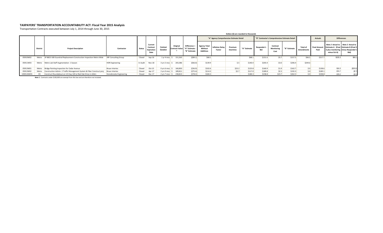#### **TAXPAYERS' TRANSPORTATION ACCOUNTABILITY ACT: Fiscal Year 2015 Analysis**

Transportation Contracts executed between July 1, 2014 through June 30, 2015

|            |                 |                                                                       |                             |          |                                           |                                     |                                   |                                              |                                                    |                                          |                     | Dollars (\$) are rounded to thousands |                    |                                                |              |                       |                |                                                                                                                                                |          |
|------------|-----------------|-----------------------------------------------------------------------|-----------------------------|----------|-------------------------------------------|-------------------------------------|-----------------------------------|----------------------------------------------|----------------------------------------------------|------------------------------------------|---------------------|---------------------------------------|--------------------|------------------------------------------------|--------------|-----------------------|----------------|------------------------------------------------------------------------------------------------------------------------------------------------|----------|
|            |                 |                                                                       |                             |          |                                           |                                     |                                   |                                              |                                                    | "A" Agency Comprehensive Estimate Detail |                     |                                       |                    | "B" Contractor's Comprehensive Estimate Detail |              |                       | <b>Actuals</b> | <b>Differences</b>                                                                                                                             |          |
|            | <b>District</b> | <b>Project Description</b>                                            | Contractor                  | Status   | Current<br>Contract<br>Expiration<br>Date | Contract<br>Duration                | Original<br><b>Contract Value</b> | Difference =<br>"A" Estimate<br>"B" Estimate | <b>Agency Total</b><br>Without<br><b>Additives</b> | <b>Inflation Delay</b><br>Factor         | Premium<br>Overtime | "A" Estimate                          | Responder's<br>Rid | Contract<br><b>Monitoring</b><br>Cost          | "B" Estimate | Total o<br>Amendments | Paid           | Note 2 Actual to Note 2 Actual to<br>Final Amount Estimate A (Final Estimate B (Final S<br>S plus monitoring minus Responder's<br>minus Est A) | Bid)     |
| 05910W02   | Metro           | SP 8825-500 Guardrail Replacement-Construction Inspection Metro Wide  | <b>SRF Consulting Group</b> | Closed   | Sep-16                                    | 1 yr 4 mos S                        | 151,563                           | $($ \$89.1)                                  | \$68.1                                             |                                          |                     | \$68.1                                | \$151.6            | \$5.7                                          | \$157.3      | \$66.2                | \$217.7        | \$155.3                                                                                                                                        | \$66.1   |
| 05911W03   | Metro           | Metro Lab Staff Augmentation- 1 Season                                | <b>HDR</b> Engineering      | In Audit | Nov-18                                    | 3 yrs 5 mos \$                      | 203,386                           | ( \$66.0)                                    | \$139.9                                            |                                          | 5.5                 | \$140.4                               | \$203.4            | \$3.0                                          | \$206.4      | \$244.6               |                |                                                                                                                                                |          |
| 05913W01   |                 | Metro Bridge Painting Inspection for Cedar Avenue                     | Braun Intertec              | Closed   | Oct-15                                    | $0$ yrs 6 mos $\frac{1}{2}$         | 160,850                           | ( \$36.9)                                    | \$102.6                                            |                                          | \$23.2              | \$125.8                               | \$160.9            | \$1.9                                          | \$162.7      | \$.0                  | \$138.6        | \$16.3                                                                                                                                         | (\$20.6) |
| 05913W02   | Metro           | Construction Admin-2 Traffic Management System & Fiber Construct proj | <b>Braun Intertec</b>       | Closed   | Apr-17                                    | 2 vrs 0 mos                         | 189,811                           | (S75.4)                                      | \$114.3                                            |                                          | \$2.7               | \$117.0                               | \$189.8            | \$2.5                                          | \$192.3      | \$.0                  | \$189.1        | \$74.7                                                                                                                                         | (5.7)    |
| 1000126W01 | D <sub>3</sub>  | Construct Roundabout on US Hwy 169 at Red Oak Drive in Aitkin         | Stonebrooke Engineering     | Closed   | Dec-17                                    | $2 \text{ yrs}$ 7 mos $\frac{2}{3}$ | 238,813                           | (578.2)                                      | \$184.3                                            |                                          |                     | \$184.3                               | \$238.8            | \$23.7                                         | \$262.5      | S.0                   | \$238.8        | \$78.2                                                                                                                                         | (5.0)    |

*Note 1* : Contracts under \$100,000 are exempt from this law and are therefore not included.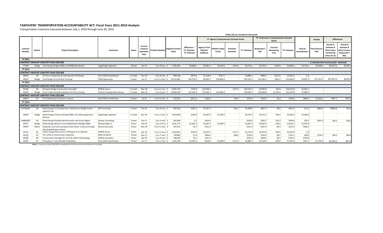#### **TAXPAYERS' TRANSPORTATION ACCOUNTABILITY ACT: Fiscal Years 2011-2014 Analysis**

Transportation Contracts executed between July 1, 2010 through June 30, 2014

|                    |                 |                                                                                                  |                              |               |                                           |                                         |                                  |                                                   |                                             |                                          |                     | Dollars (\$) are rounded to thousands |                                  |                                                          |              |                                      |                                            |                                                                                |                                                                                              |
|--------------------|-----------------|--------------------------------------------------------------------------------------------------|------------------------------|---------------|-------------------------------------------|-----------------------------------------|----------------------------------|---------------------------------------------------|---------------------------------------------|------------------------------------------|---------------------|---------------------------------------|----------------------------------|----------------------------------------------------------|--------------|--------------------------------------|--------------------------------------------|--------------------------------------------------------------------------------|----------------------------------------------------------------------------------------------|
|                    |                 |                                                                                                  |                              |               |                                           |                                         |                                  |                                                   |                                             | "A" Agency Comprehensive Estimate Detail |                     |                                       |                                  | "B" Contractor's Comprehensive Estimate<br><b>Detail</b> |              |                                      | <b>Actuals</b>                             |                                                                                | <b>Differences</b>                                                                           |
| Contract<br>Number | <b>District</b> | <b>Project Description</b>                                                                       | Contractor                   | <b>Status</b> | Current<br>Contract<br>Expiration<br>Date | Contract Duration                       | <b>Original Contrac</b><br>Value | <b>Difference</b><br>"A" Estimate<br>"B" Estimate | Agency Total<br>Without<br><b>Additives</b> | <b>Inflation Dela</b><br>Factor          | Premium<br>Overtime | "A" Estimate                          | <b>Responder's</b><br><b>Bid</b> | Contract<br><b>Monitoring</b><br>Cost                    | "B" Estimate | <b>Total of</b><br><b>Amendments</b> | <b>Final Amoun</b><br>Paid                 | Actual to<br><b>Estimate A</b><br>(Final \$ plus<br>monitoring<br>minus Est A) | <b>Actual to</b><br><b>Estimate B</b><br><b>Final \$ minus</b><br><b>Responder's</b><br>Bid) |
| FY 2011            |                 |                                                                                                  |                              |               |                                           |                                         |                                  |                                                   |                                             |                                          |                     |                                       |                                  |                                                          |              |                                      |                                            |                                                                                |                                                                                              |
|                    |                 | <b>CONTRACT AMOUNT GREATER THAN \$250,000</b>                                                    |                              |               |                                           |                                         |                                  |                                                   |                                             |                                          |                     |                                       |                                  |                                                          |              |                                      | () indicates final amount paid < estimated |                                                                                |                                                                                              |
| 97368              |                 | Bridge Final design Bridges 85801 and 85802 (Dresbach)                                           | Figg Bridge Engineers        | Closed        | Jan-16                                    | $5 \, \text{yrs} \, 0 \, \text{mos}$ \$ | 2,745,914                        | \$3,894.4                                         | \$3,081.2                                   | \$3,518.4                                | \$145.4             | \$6,745.1                             | \$2,745.9                        | \$104.8                                                  | \$2,850.6    | \$2,113.5                            | \$4,698.0                                  | (\$1,942.3)                                                                    | \$1,952.                                                                                     |
| FY 2012            |                 |                                                                                                  |                              |               |                                           |                                         |                                  |                                                   |                                             |                                          |                     |                                       |                                  |                                                          |              |                                      |                                            |                                                                                |                                                                                              |
|                    |                 | CONTRACT AMOUNT GREATER THAN \$250,000                                                           |                              |               |                                           |                                         |                                  |                                                   |                                             |                                          |                     |                                       |                                  |                                                          |              |                                      |                                            |                                                                                |                                                                                              |
| 99830              | D <sub>4</sub>  | TH 29 4 Ln Expansion & Interchg with I 94 Design                                                 | Short Elliot Hendrickson     | In Audit      | Dec-16                                    | 4 yrs 8 mos                             | 909,138                          | \$873.6                                           | \$1,158.4                                   | \$737.7                                  |                     | \$1,896.1                             | \$909.1                          | \$113.4                                                  | \$1,022.5    | 5.0                                  |                                            |                                                                                |                                                                                              |
| 00610              |                 | Bridge Final Design St Croix River Crossing                                                      | <b>HDR</b> Engineering       | Closed        | Jun-17                                    | $4$ yrs 11 mos $\frac{1}{2}$            | 14,215,962                       | \$20,729.2                                        | \$8,392.1                                   | \$26,800.0                               |                     | \$35,192.1                            | \$14,181.5                       | \$281.4                                                  | \$14,463.0   | \$2,997.3                            | \$17,213.3                                 | (\$17,697.4)                                                                   | \$3,031                                                                                      |
| FY 2013            |                 |                                                                                                  |                              |               |                                           |                                         |                                  |                                                   |                                             |                                          |                     |                                       |                                  |                                                          |              |                                      |                                            |                                                                                |                                                                                              |
|                    |                 | <b>CONTRACT AMOUNT GREATER THAN \$250.000</b>                                                    |                              |               |                                           |                                         |                                  |                                                   |                                             |                                          |                     |                                       |                                  |                                                          |              |                                      |                                            |                                                                                |                                                                                              |
| 01366              | D <sub>6</sub>  | Dresbach Bridge Construction Oversight                                                           | <b>WSB &amp; Assocs</b>      | In Audit      | Mar-18                                    | $4 \text{ vrs } 11 \text{ mos } 5$      | 9,995,750                        | 5749.9                                            | \$10,490.5                                  |                                          | \$273.2             | \$10,763.7                            | \$9,995.8                        | \$18.0                                                   | \$10,013.8   | \$2.903.1                            |                                            |                                                                                |                                                                                              |
| 02340              |                 | Bridge Const. Engineering & Inspection St Croix Crossing                                         | Parsons Transportation Group | In Audit      | $May-18$                                  |                                         | 5 yrs 0 mos \$ 10,960,749        | \$12,303.3                                        | \$12,582.7                                  | \$12,000.0                               |                     | \$24,582.7                            | \$10,964.8                       | \$1,314.6                                                | \$12,279.4   | \$7,989.3                            |                                            |                                                                                |                                                                                              |
|                    |                 | <b>CONTRACT AMOUNT GREATER THAN \$250,000</b>                                                    |                              |               |                                           |                                         |                                  |                                                   |                                             |                                          |                     |                                       |                                  |                                                          |              |                                      |                                            |                                                                                |                                                                                              |
| 00879              | D <sub>1</sub>  | TH 53 Relocation Geometric Layouts                                                               | Short Elliot Hendrickson     | Closed        | Jul-16                                    | $3$ yrs 11 mos $\frac{2}{3}$            | 243,931                          | (545.1)                                           | \$185.0                                     |                                          | \$20.4              | \$205.4                               | \$243.9                          | \$6.6                                                    | \$250.6      | \$960.3                              | \$1,036.2                                  | \$837.4                                                                        | \$792.3                                                                                      |
| FY 2014            |                 |                                                                                                  |                              |               |                                           |                                         |                                  |                                                   |                                             |                                          |                     |                                       |                                  |                                                          |              |                                      |                                            |                                                                                |                                                                                              |
|                    |                 | <b>CONTRACT AMOUNT GREATER THAN \$250,000</b>                                                    |                              |               |                                           |                                         |                                  |                                                   |                                             |                                          |                     |                                       |                                  |                                                          |              |                                      |                                            |                                                                                |                                                                                              |
| 03729W01           | D6              | Detail design-US 14 expansion, Owatonna to Dodge Center,<br>segment one                          | <b>SRF Consulting</b>        | Closed        | Oct-16                                    | 3 yrs 0 mos \$                          | 807,540                          | \$282.1                                           | \$1,057.1                                   |                                          | \$41.2              | \$1,098.2                             | \$807.5                          | \$8.6                                                    | \$816.2      | \$14.2                               | \$809.6                                    | (S268.9)                                                                       | \$13.2                                                                                       |
| 04040              | <b>Bridge</b>   | Detail design-Construct Bridge 85851 over Mississippi River,<br>Winona                           | <b>Figg Bridge Engineers</b> | In Audit      | <b>Nov-18</b>                             | $4$ yrs 11 mos $\frac{2}{3}$            | 3,914,998                        | \$190.9                                           | \$2,947.6                                   | \$1,200.0                                |                     | \$4,147.6                             | \$3,913.1                        | \$43.5                                                   | \$3,956.6    | \$2,494.6                            |                                            |                                                                                |                                                                                              |
| 04486W07           | D <sub>4</sub>  | Detail design-Glyndon Reconstruction and Access Mgmt                                             | <b>Stantec Consulting</b>    | Closed        | Oct-17                                    | $3 yrs 4 m 0s$ \$                       | 392,690                          | 5.2                                               | \$418.3                                     |                                          |                     | \$418.3                               | \$392.7                          | \$25.3                                                   | \$418.0      | \$39.1                               | \$425.9                                    | \$32.9                                                                         | \$33.2                                                                                       |
| 04727              | <b>Bridge</b>   | Detail design-Winona Truss Rehabilitation (Bridge 5900)                                          | Michael Baker Jr.            | Active        | Feb-19                                    | $5 \, \text{yrs} \, 0 \, \text{mos}$ \$ | 4,631,773                        | \$1,055.3                                         | \$3,287.5                                   | \$2,400.0                                |                     | \$5,687.5                             | \$4,597.8                        | \$34.4                                                   | \$4,632.2    | \$1,979.9                            |                                            |                                                                                |                                                                                              |
| 04974              | Metro           | Inspection and Tech assistance-Stormwater Tunnel and Large<br><b>Pipe Rehabilitation Project</b> | <b>Brierly Associates</b>    | Active        | May-19                                    | $4 \text{ yrs } 11 \text{ mos } 5$      | 507,321                          | \$5.7                                             | \$521.3                                     |                                          |                     | \$521.3                               | \$507.3                          | \$8.3                                                    | \$515.6      | \$299.1                              |                                            |                                                                                |                                                                                              |
| 05131              |                 | Prelim Design-Reconstruct I-94 Rogers to St. Michael                                             | <b>WSB &amp; Assocs</b>      | Active        | Apr-19                                    | $4$ yrs 11 mos $\frac{2}{3}$            | 2,452,853                        | \$223.0                                           | \$2,550.1                                   |                                          | \$175.7             | \$2,725.9                             | \$2,452.9                        | \$50.0                                                   | \$2,502.9    | \$.0                                 |                                            |                                                                                |                                                                                              |
| 05132              | D7              | TH 5,19 & 22 Construction Inspection                                                             | <b>Bolton &amp; Menk</b>     | Closed        | Nov-17                                    | $3 yrs 7 m 0s$ \$                       | 744,883                          | \$1.8                                             | \$666.4                                     |                                          | \$88.5              | \$754.9                               | \$744.9                          | \$8.2                                                    | \$753.1      | \$60.9                               | \$739.3                                    | (\$6.4)                                                                        | (\$4.6)                                                                                      |
| 05280              | D <sub>6</sub>  | Construction Oversight for US 52 & CSAH 9 Interchange                                            | <b>WSB &amp; Associates</b>  | Active        | Apr-19                                    | 5 yrs 0 mos                             | 408,204                          | \$5.3                                             | \$421.9                                     |                                          |                     | \$421.9                               | \$408.2                          | \$8.3                                                    | \$416.5      | \$146.0                              |                                            |                                                                                |                                                                                              |
| 05307              | D7              | Final plans 4 - lane Nicollet-N Mankato                                                          | Short Elliot Hendrickson     | Closed        | Jun-17                                    | $3 \, \text{yrs} \, 1 \, \text{mos}$ \$ | 1,425,500                        | \$1,432.3                                         | \$918.0                                     | \$1,850.0                                | \$112.2             | \$2,880.1                             | \$1,418.0                        | \$29.8                                                   | \$1,447.8    | \$331.7                              | \$1,750.0                                  | (S1.095.0)                                                                     | \$337.                                                                                       |

*Note 1* : Contracts under \$100,000 are exempt from this law and are therefore not included.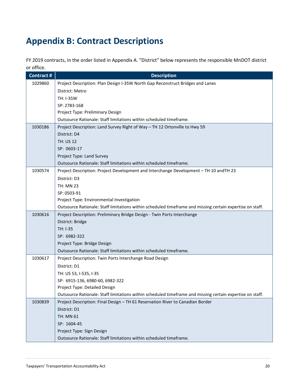# <span id="page-19-0"></span>**Appendix B: Contract Descriptions**

FY 2019 contracts, in the order listed in Appendix A. "District" below represents the responsible MnDOT district or office.

| Contract # | <b>Description</b>                                                                                        |
|------------|-----------------------------------------------------------------------------------------------------------|
| 1029860    | Project Description: Plan Design I-35W North Gap Reconstruct Bridges and Lanes                            |
|            | District: Metro                                                                                           |
|            | TH: I-35W                                                                                                 |
|            | SP: 2783-168                                                                                              |
|            | Project Type: Preliminary Design                                                                          |
|            | Outsource Rationale: Staff limitations within scheduled timeframe.                                        |
| 1030186    | Project Description: Land Survey Right of Way - TH 12 Ortonville to Hwy 59                                |
|            | District: D4                                                                                              |
|            | <b>TH: US 12</b>                                                                                          |
|            | SP: 0603-17                                                                                               |
|            | Project Type: Land Survey                                                                                 |
|            | Outsource Rationale: Staff limitations within scheduled timeframe.                                        |
| 1030574    | Project Description: Project Development and Interchange Development - TH 10 and TH 23                    |
|            | District: D3                                                                                              |
|            | <b>TH: MN 23</b>                                                                                          |
|            | SP: 0503-91                                                                                               |
|            | Project Type: Environmental Investigation                                                                 |
|            | Outsource Rationale: Staff limitations within scheduled timeframe and missing certain expertise on staff. |
| 1030616    | Project Description: Preliminary Bridge Design - Twin Ports Interchange                                   |
|            | District: Bridge                                                                                          |
|            | TH: I-35                                                                                                  |
|            | SP: 6982-322                                                                                              |
|            | Project Type: Bridge Design                                                                               |
|            | Outsource Rationale: Staff limitations within scheduled timeframe.                                        |
| 1030617    | Project Description: Twin Ports Interchange Road Design                                                   |
|            | District: D1                                                                                              |
|            | TH: US 53, I-535, I-35                                                                                    |
|            | SP: 6915-136, 6980-60, 6982-322                                                                           |
|            | Project Type: Detailed Design                                                                             |
|            | Outsource Rationale: Staff limitations within scheduled timeframe and missing certain expertise on staff. |
| 1030839    | Project Description: Final Design - TH 61 Reservation River to Canadian Border                            |
|            | District: D1                                                                                              |
|            | TH: MN 61                                                                                                 |
|            | SP: 1604-45                                                                                               |
|            | Project Type: Sign Design                                                                                 |
|            | Outsource Rationale: Staff limitations within scheduled timeframe.                                        |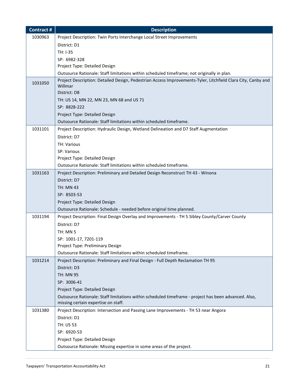| Contract # | <b>Description</b>                                                                                                                          |
|------------|---------------------------------------------------------------------------------------------------------------------------------------------|
| 1030963    | Project Description: Twin Ports Interchange Local Street Improvements                                                                       |
|            | District: D1                                                                                                                                |
|            | TH: I-35                                                                                                                                    |
|            | SP: 6982-328                                                                                                                                |
|            | Project Type: Detailed Design                                                                                                               |
|            | Outsource Rationale: Staff limitations within scheduled timeframe; not originally in plan.                                                  |
| 1031050    | Project Description: Detailed Design, Pedestrian Access Improvements-Tyler, Litchfield Clara City, Canby and<br>Willmar                     |
|            | District: D8                                                                                                                                |
|            | TH: US 14, MN 22, MN 23, MN 68 and US 71                                                                                                    |
|            | SP: 8828-222                                                                                                                                |
|            | Project Type: Detailed Design                                                                                                               |
|            | Outsource Rationale: Staff limitations within scheduled timeframe.                                                                          |
| 1031101    | Project Description: Hydraulic Design, Wetland Delineation and D7 Staff Augmentation                                                        |
|            | District: D7                                                                                                                                |
|            | <b>TH: Various</b>                                                                                                                          |
|            | SP: Various                                                                                                                                 |
|            | Project Type: Detailed Design                                                                                                               |
|            | Outsource Rationale: Staff limitations within scheduled timeframe.                                                                          |
| 1031163    | Project Description: Preliminary and Detailed Design Reconstruct TH 43 - Winona                                                             |
|            | District: D7                                                                                                                                |
|            | <b>TH: MN 43</b>                                                                                                                            |
|            | SP: 8503-53                                                                                                                                 |
|            | Project Type: Detailed Design                                                                                                               |
|            | Outsource Rationale: Schedule - needed before original time planned.                                                                        |
| 1031194    | Project Description: Final Design Overlay and Improvements - TH 5 Sibley County/Carver County                                               |
|            | District: D7                                                                                                                                |
|            | <b>TH: MN 5</b>                                                                                                                             |
|            | SP: 1001-17, 7201-119                                                                                                                       |
|            | Project Type: Preliminary Design                                                                                                            |
|            | Outsource Rationale: Staff limitations within scheduled timeframe.                                                                          |
| 1031214    | Project Description: Preliminary and Final Design - Full Depth Reclamation TH 95                                                            |
|            | District: D3                                                                                                                                |
|            | <b>TH: MN 95</b>                                                                                                                            |
|            | SP: 3006-41                                                                                                                                 |
|            | Project Type: Detailed Design                                                                                                               |
|            | Outsource Rationale: Staff limitations within scheduled timeframe - project has been advanced. Also,<br>missing certain expertise on staff. |
| 1031380    | Project Description: Intersection and Passing Lane Improvements - TH 53 near Angora                                                         |
|            | District: D1                                                                                                                                |
|            | TH: US 53                                                                                                                                   |
|            | SP: 6920-53                                                                                                                                 |
|            | Project Type: Detailed Design                                                                                                               |
|            | Outsource Rationale: Missing expertise in some areas of the project.                                                                        |
|            |                                                                                                                                             |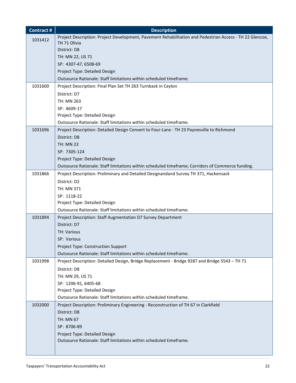| <b>Contract#</b> | <b>Description</b>                                                                                       |
|------------------|----------------------------------------------------------------------------------------------------------|
| 1031412          | Project Description: Project Development, Pavement Rehabilitation and Pedestrian Access - TH 22 Glencoe, |
|                  | TH 71 Olivia                                                                                             |
|                  | District: D8                                                                                             |
|                  | TH: MN 22, US 71                                                                                         |
|                  | SP: 4307-47, 6508-69                                                                                     |
|                  | Project Type: Detailed Design                                                                            |
|                  | Outsource Rationale: Staff limitations within scheduled timeframe.                                       |
| 1031600          | Project Description: Final Plan Set TH 263 Turnback in Ceylon                                            |
|                  | District: D7                                                                                             |
|                  | TH: MN 263                                                                                               |
|                  | SP: 4609-17                                                                                              |
|                  | Project Type: Detailed Design                                                                            |
|                  | Outsource Rationale: Staff limitations within scheduled timeframe.                                       |
| 1031696          | Project Description: Detailed Design Convert to Four-Lane - TH 23 Paynesville to Richmond                |
|                  | District: D8                                                                                             |
|                  | <b>TH: MN 23</b>                                                                                         |
|                  | SP: 7305-124                                                                                             |
|                  | Project Type: Detailed Design                                                                            |
|                  | Outsource Rationale: Staff limitations within scheduled timeframe; Corridors of Commerce funding.        |
| 1031866          | Project Description: Preliminary and Detailed Designandand Survey TH 371, Hackensack                     |
|                  | District: D2                                                                                             |
|                  | TH: MN 371                                                                                               |
|                  | SP: 1118-22                                                                                              |
|                  | Project Type: Detailed Design                                                                            |
|                  | Outsource Rationale: Staff limitations within scheduled timeframe.                                       |
| 1031894          | Project Description: Staff Augmentation D7 Survey Department                                             |
|                  | District: D7                                                                                             |
|                  | <b>TH: Various</b>                                                                                       |
|                  | SP: Various                                                                                              |
|                  | Project Type: Construction Support                                                                       |
|                  | Outsource Rationale: Staff limitations within scheduled timeframe.                                       |
| 1031998          | Project Description: Detailed Design, Bridge Replacement - Bridge 9287 and Bridge 5543 - TH 71           |
|                  | District: D8                                                                                             |
|                  | TH: MN 29, US 71                                                                                         |
|                  | SP: 1206-91, 6405-68                                                                                     |
|                  | Project Type: Detailed Design                                                                            |
|                  | Outsource Rationale: Staff limitations within scheduled timeframe.                                       |
| 1032000          | Project Description: Preliminary Engineering - Reconstruction of TH 67 in Clarkfield                     |
|                  | District: D8                                                                                             |
|                  | <b>TH: MN 67</b>                                                                                         |
|                  | SP: 8706-89                                                                                              |
|                  | Project Type: Detailed Design                                                                            |
|                  | Outsource Rationale: Staff limitations within scheduled timeframe.                                       |
|                  |                                                                                                          |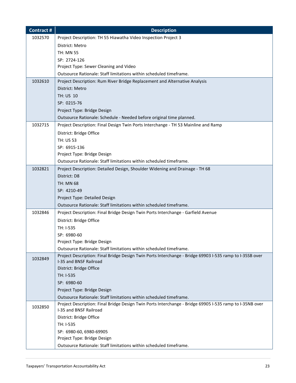| <b>Contract#</b> | <b>Description</b>                                                                                                                 |
|------------------|------------------------------------------------------------------------------------------------------------------------------------|
| 1032570          | Project Description: TH 55 Hiawatha Video Inspection Project 3                                                                     |
|                  | District: Metro                                                                                                                    |
|                  | <b>TH: MN 55</b>                                                                                                                   |
|                  | SP: 2724-126                                                                                                                       |
|                  | Project Type: Sewer Cleaning and Video                                                                                             |
|                  | Outsource Rationale: Staff limitations within scheduled timeframe.                                                                 |
| 1032610          | Project Description: Rum River Bridge Replacement and Alternative Analysis                                                         |
|                  | District: Metro                                                                                                                    |
|                  | TH: US 10                                                                                                                          |
|                  | SP: 0215-76                                                                                                                        |
|                  | Project Type: Bridge Design                                                                                                        |
|                  | Outsource Rationale: Schedule - Needed before original time planned.                                                               |
| 1032715          | Project Description: Final Design Twin Ports Interchange - TH 53 Mainline and Ramp                                                 |
|                  | District: Bridge Office                                                                                                            |
|                  | <b>TH: US 53</b>                                                                                                                   |
|                  | SP: 6915-136                                                                                                                       |
|                  | Project Type: Bridge Design                                                                                                        |
|                  | Outsource Rationale: Staff limitations within scheduled timeframe.                                                                 |
| 1032821          | Project Description: Detailed Design, Shoulder Widening and Drainage - TH 68                                                       |
|                  | District: D8                                                                                                                       |
|                  | <b>TH: MN 68</b>                                                                                                                   |
|                  | SP: 4210-49                                                                                                                        |
|                  | Project Type: Detailed Design                                                                                                      |
|                  | Outsource Rationale: Staff limitations within scheduled timeframe.                                                                 |
| 1032846          | Project Description: Final Bridge Design Twin Ports Interchange - Garfield Avenue                                                  |
|                  | District: Bridge Office                                                                                                            |
|                  | TH: I-535                                                                                                                          |
|                  | SP: 6980-60                                                                                                                        |
|                  | Project Type: Bridge Design                                                                                                        |
|                  | Outsource Rationale: Staff limitations within scheduled timeframe.                                                                 |
| 1032849          | Project Description: Final Bridge Design Twin Ports Interchange - Bridge 69903 I-535 ramp to I-35SB over<br>I-35 and BNSF Railroad |
|                  | District: Bridge Office                                                                                                            |
|                  | TH: I-535                                                                                                                          |
|                  | SP: 6980-60                                                                                                                        |
|                  | Project Type: Bridge Design                                                                                                        |
|                  | Outsource Rationale: Staff limitations within scheduled timeframe.                                                                 |
| 1032850          | Project Description: Final Bridge Design Twin Ports Interchange - Bridge 69905 I-535 ramp to I-35NB over                           |
|                  | I-35 and BNSF Railroad                                                                                                             |
|                  | District: Bridge Office                                                                                                            |
|                  | TH: I-535                                                                                                                          |
|                  | SP: 6980-60, 6980-69905                                                                                                            |
|                  | Project Type: Bridge Design                                                                                                        |
|                  | Outsource Rationale: Staff limitations within scheduled timeframe.                                                                 |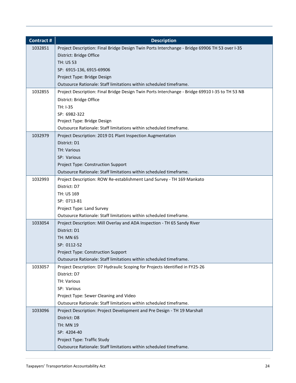| <b>Contract#</b> | <b>Description</b>                                                                              |
|------------------|-------------------------------------------------------------------------------------------------|
| 1032851          | Project Description: Final Bridge Design Twin Ports Interchange - Bridge 69906 TH 53 over I-35  |
|                  | District: Bridge Office                                                                         |
|                  | <b>TH: US 53</b>                                                                                |
|                  | SP: 6915-136, 6915-69906                                                                        |
|                  | Project Type: Bridge Design                                                                     |
|                  | Outsource Rationale: Staff limitations within scheduled timeframe.                              |
| 1032855          | Project Description: Final Bridge Design Twin Ports Interchange - Bridge 69910 I-35 to TH 53 NB |
|                  | District: Bridge Office                                                                         |
|                  | TH: I-35                                                                                        |
|                  | SP: 6982-322                                                                                    |
|                  | Project Type: Bridge Design                                                                     |
|                  | Outsource Rationale: Staff limitations within scheduled timeframe.                              |
| 1032979          | Project Description: 2019 D1 Plant Inspection Augmentation                                      |
|                  | District: D1                                                                                    |
|                  | <b>TH: Various</b>                                                                              |
|                  | SP: Various                                                                                     |
|                  | Project Type: Construction Support                                                              |
|                  | Outsource Rationale: Staff limitations within scheduled timeframe.                              |
| 1032993          | Project Description: ROW Re-establishment Land Survey - TH 169 Mankato                          |
|                  | District: D7                                                                                    |
|                  | TH: US 169                                                                                      |
|                  | SP: 0713-81                                                                                     |
|                  | Project Type: Land Survey                                                                       |
|                  | Outsource Rationale: Staff limitations within scheduled timeframe.                              |
| 1033054          | Project Description: Mill Overlay and ADA Inspection - TH 65 Sandy River                        |
|                  | District: D1                                                                                    |
|                  | TH: MN 65                                                                                       |
|                  | SP: 0112-52                                                                                     |
|                  | Project Type: Construction Support                                                              |
|                  | Outsource Rationale: Staff limitations within scheduled timeframe.                              |
| 1033057          | Project Description: D7 Hydraulic Scoping for Projects Identified in FY25-26                    |
|                  | District: D7                                                                                    |
|                  | TH: Various                                                                                     |
|                  | SP: Various                                                                                     |
|                  | Project Type: Sewer Cleaning and Video                                                          |
|                  | Outsource Rationale: Staff limitations within scheduled timeframe.                              |
| 1033096          | Project Description: Project Development and Pre Design - TH 19 Marshall                        |
|                  | District: D8                                                                                    |
|                  | TH: MN 19                                                                                       |
|                  | SP: 4204-40                                                                                     |
|                  | Project Type: Traffic Study                                                                     |
|                  | Outsource Rationale: Staff limitations within scheduled timeframe.                              |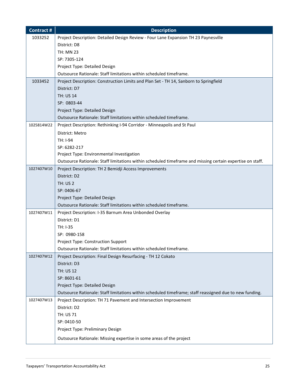| <b>Contract#</b> | <b>Description</b>                                                                                        |
|------------------|-----------------------------------------------------------------------------------------------------------|
| 1033252          | Project Description: Detailed Design Review - Four Lane Expansion TH 23 Paynesville                       |
|                  | District: D8                                                                                              |
|                  | <b>TH: MN 23</b>                                                                                          |
|                  | SP: 7305-124                                                                                              |
|                  | Project Type: Detailed Design                                                                             |
|                  | Outsource Rationale: Staff limitations within scheduled timeframe.                                        |
| 1033452          | Project Description: Construction Limits and Plan Set - TH 14, Sanborn to Springfield                     |
|                  | District: D7                                                                                              |
|                  | <b>TH: US 14</b>                                                                                          |
|                  | SP: 0803-44                                                                                               |
|                  | Project Type: Detailed Design                                                                             |
|                  | Outsource Rationale: Staff limitations within scheduled timeframe.                                        |
| 1025814W22       | Project Description: Rethinking I-94 Corridor - Minneapolis and St Paul                                   |
|                  | District: Metro                                                                                           |
|                  | TH: I-94                                                                                                  |
|                  | SP: 6282-217                                                                                              |
|                  | Project Type: Environmental Investigation                                                                 |
|                  | Outsource Rationale: Staff limitations within scheduled timeframe and missing certain expertise on staff. |
| 1027407W10       | Project Description: TH 2 Bemidji Access Improvements                                                     |
|                  | District: D2                                                                                              |
|                  | <b>TH: US 2</b>                                                                                           |
|                  | SP: 0406-67                                                                                               |
|                  | Project Type: Detailed Design                                                                             |
|                  | Outsource Rationale: Staff limitations within scheduled timeframe.                                        |
| 1027407W11       | Project Description: I-35 Barnum Area Unbonded Overlay                                                    |
|                  | District: D1<br>TH: I-35                                                                                  |
|                  | SP: 0980-158                                                                                              |
|                  | Project Type: Construction Support                                                                        |
|                  | Outsource Rationale: Staff limitations within scheduled timeframe.                                        |
| 1027407W12       | Project Description: Final Design Resurfacing - TH 12 Cokato                                              |
|                  | District: D3                                                                                              |
|                  | <b>TH: US 12</b>                                                                                          |
|                  | SP: 8601-61                                                                                               |
|                  | Project Type: Detailed Design                                                                             |
|                  | Outsource Rationale: Staff limitations within scheduled timeframe; staff reassigned due to new funding.   |
| 1027407W13       | Project Description: TH 71 Pavement and Intersection Improvement                                          |
|                  | District: D2                                                                                              |
|                  | TH: US 71                                                                                                 |
|                  | SP: 0410-50                                                                                               |
|                  | Project Type: Preliminary Design                                                                          |
|                  | Outsource Rationale: Missing expertise in some areas of the project                                       |
|                  |                                                                                                           |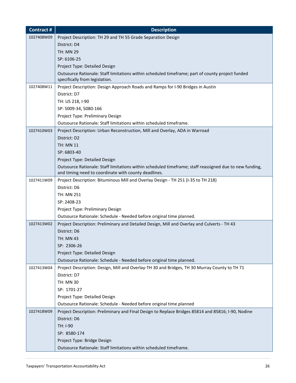| <b>Contract#</b> | <b>Description</b>                                                                                                                                              |
|------------------|-----------------------------------------------------------------------------------------------------------------------------------------------------------------|
| 1027408W09       | Project Description: TH 29 and TH 55 Grade Separation Design                                                                                                    |
|                  | District: D4                                                                                                                                                    |
|                  | <b>TH: MN 29</b>                                                                                                                                                |
|                  | SP: 6106-25                                                                                                                                                     |
|                  | Project Type: Detailed Design                                                                                                                                   |
|                  | Outsource Rationale: Staff limitations within scheduled timeframe; part of county project funded<br>specifically from legislation.                              |
| 1027408W11       | Project Description: Design Approach Roads and Ramps for I-90 Bridges in Austin                                                                                 |
|                  | District: D7                                                                                                                                                    |
|                  | TH: US 218, I-90                                                                                                                                                |
|                  | SP: 5009-34, 5080-166                                                                                                                                           |
|                  | Project Type: Preliminary Design                                                                                                                                |
|                  | Outsource Rationale: Staff limitations within scheduled timeframe.                                                                                              |
| 1027410W03       | Project Description: Urban Reconstruction, Mill and Overlay, ADA in Warroad                                                                                     |
|                  | District: D2                                                                                                                                                    |
|                  | <b>TH: MN 11</b>                                                                                                                                                |
|                  | SP: 6803-40                                                                                                                                                     |
|                  | Project Type: Detailed Design                                                                                                                                   |
|                  | Outsource Rationale: Staff limitations within scheduled timeframe; staff reassigned due to new funding,<br>and timing need to coordinate with county deadlines. |
| 1027411W09       | Project Description: Bituminous Mill and Overlay Design - TH 251 (I-35 to TH 218)                                                                               |
|                  | District: D6                                                                                                                                                    |
|                  | TH: MN 251                                                                                                                                                      |
|                  | SP: 2408-23                                                                                                                                                     |
|                  | Project Type: Preliminary Design                                                                                                                                |
|                  | Outsource Rationale: Schedule - Needed before original time planned.                                                                                            |
| 1027413W02       | Project Description: Preliminary and Detailed Design, Mill and Overlay and Culverts - TH 43                                                                     |
|                  | District: D6                                                                                                                                                    |
|                  | <b>TH: MN 43</b>                                                                                                                                                |
|                  | SP: 2306-26                                                                                                                                                     |
|                  | Project Type: Detailed Design                                                                                                                                   |
|                  | Outsource Rationale: Schedule - Needed before original time planned.                                                                                            |
| 1027413W04       | Project Description: Design, Mill and Overlay-TH 30 and Bridges, TH 30 Murray County to TH 71                                                                   |
|                  | District: D7                                                                                                                                                    |
|                  | TH: MN 30                                                                                                                                                       |
|                  | SP: 1701-27                                                                                                                                                     |
|                  | Project Type: Detailed Design                                                                                                                                   |
|                  | Outsource Rationale: Schedule - Needed before original time planned                                                                                             |
| 1027418W09       | Project Description: Preliminary and Final Design to Replace Bridges 85814 and 85816; I-90, Nodine                                                              |
|                  | District: D6                                                                                                                                                    |
|                  | TH: I-90                                                                                                                                                        |
|                  | SP: 8580-174                                                                                                                                                    |
|                  | Project Type: Bridge Design                                                                                                                                     |
|                  | Outsource Rationale: Staff limitations within scheduled timeframe.                                                                                              |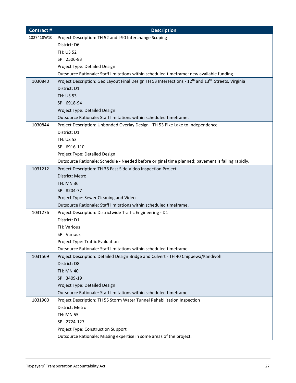| <b>Contract#</b> | <b>Description</b>                                                                                                         |
|------------------|----------------------------------------------------------------------------------------------------------------------------|
| 1027418W10       | Project Description: TH 52 and I-90 Interchange Scoping                                                                    |
|                  | District: D6                                                                                                               |
|                  | <b>TH: US 52</b>                                                                                                           |
|                  | SP: 2506-83                                                                                                                |
|                  | Project Type: Detailed Design                                                                                              |
|                  | Outsource Rationale: Staff limitations within scheduled timeframe; new available funding.                                  |
| 1030840          | Project Description: Geo Layout Final Design TH 53 Intersections - 12 <sup>th</sup> and 13 <sup>th</sup> Streets, Virginia |
|                  | District: D1                                                                                                               |
|                  | TH: US 53                                                                                                                  |
|                  | SP: 6918-94                                                                                                                |
|                  | Project Type: Detailed Design                                                                                              |
|                  | Outsource Rationale: Staff limitations within scheduled timeframe.                                                         |
| 1030844          | Project Description: Unbonded Overlay Design - TH 53 Pike Lake to Independence                                             |
|                  | District: D1                                                                                                               |
|                  | <b>TH: US 53</b>                                                                                                           |
|                  | SP: 6916-110                                                                                                               |
|                  | Project Type: Detailed Design                                                                                              |
|                  | Outsource Rationale: Schedule - Needed before original time planned; pavement is failing rapidly.                          |
| 1031212          | Project Description: TH 36 East Side Video Inspection Project                                                              |
|                  | District: Metro                                                                                                            |
|                  | <b>TH: MN 36</b>                                                                                                           |
|                  | SP: 8204-77                                                                                                                |
|                  | Project Type: Sewer Cleaning and Video                                                                                     |
|                  | Outsource Rationale: Staff limitations within scheduled timeframe.                                                         |
| 1031276          | Project Description: Districtwide Traffic Engineering - D1                                                                 |
|                  | District: D1                                                                                                               |
|                  | TH: Various                                                                                                                |
|                  | SP: Various                                                                                                                |
|                  | <b>Project Type: Traffic Evaluation</b>                                                                                    |
|                  | Outsource Rationale: Staff limitations within scheduled timeframe.                                                         |
| 1031569          | Project Description: Detailed Design Bridge and Culvert - TH 40 Chippewa/Kandiyohi                                         |
|                  | District: D8                                                                                                               |
|                  | <b>TH: MN 40</b><br>SP: 3409-19                                                                                            |
|                  | Project Type: Detailed Design                                                                                              |
|                  | Outsource Rationale: Staff limitations within scheduled timeframe.                                                         |
| 1031900          | Project Description: TH 55 Storm Water Tunnel Rehabilitation Inspection                                                    |
|                  | District: Metro                                                                                                            |
|                  | <b>TH: MN 55</b>                                                                                                           |
|                  | SP: 2724-127                                                                                                               |
|                  | Project Type: Construction Support                                                                                         |
|                  | Outsource Rationale: Missing expertise in some areas of the project.                                                       |
|                  |                                                                                                                            |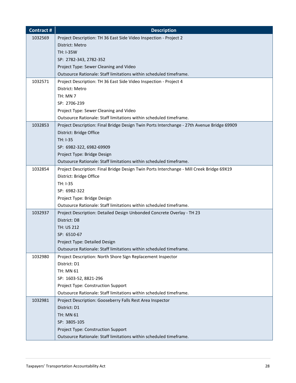| <b>Contract#</b> | <b>Description</b>                                                                         |
|------------------|--------------------------------------------------------------------------------------------|
| 1032569          | Project Description: TH 36 East Side Video Inspection - Project 2                          |
|                  | District: Metro                                                                            |
|                  | <b>TH: I-35W</b>                                                                           |
|                  | SP: 2782-343, 2782-352                                                                     |
|                  | Project Type: Sewer Cleaning and Video                                                     |
|                  | Outsource Rationale: Staff limitations within scheduled timeframe.                         |
| 1032571          | Project Description: TH 36 East Side Video Inspection - Project 4                          |
|                  | District: Metro                                                                            |
|                  | TH: MN 7                                                                                   |
|                  | SP: 2706-239                                                                               |
|                  | Project Type: Sewer Cleaning and Video                                                     |
|                  | Outsource Rationale: Staff limitations within scheduled timeframe.                         |
| 1032853          | Project Description: Final Bridge Design Twin Ports Interchange - 27th Avenue Bridge 69909 |
|                  | District: Bridge Office                                                                    |
|                  | TH: I-35                                                                                   |
|                  | SP: 6982-322, 6982-69909                                                                   |
|                  | Project Type: Bridge Design                                                                |
|                  | Outsource Rationale: Staff limitations within scheduled timeframe.                         |
| 1032854          | Project Description: Final Bridge Design Twin Ports Interchange - Mill Creek Bridge 69X19  |
|                  | District: Bridge Office                                                                    |
|                  | TH: I-35                                                                                   |
|                  | SP: 6982-322                                                                               |
|                  | Project Type: Bridge Design                                                                |
|                  | Outsource Rationale: Staff limitations within scheduled timeframe.                         |
| 1032937          | Project Description: Detailed Design Unbonded Concrete Overlay - TH 23                     |
|                  | District: D8                                                                               |
|                  | TH: US 212                                                                                 |
|                  | SP: 6510-67                                                                                |
|                  | Project Type: Detailed Design                                                              |
|                  | Outsource Rationale: Staff limitations within scheduled timeframe.                         |
| 1032980          | Project Description: North Shore Sign Replacement Inspector                                |
|                  | District: D1                                                                               |
|                  | TH: MN 61                                                                                  |
|                  | SP: 1603-52, 8821-296                                                                      |
|                  | Project Type: Construction Support                                                         |
|                  | Outsource Rationale: Staff limitations within scheduled timeframe.                         |
| 1032981          | Project Description: Gooseberry Falls Rest Area Inspector                                  |
|                  | District: D1                                                                               |
|                  | <b>TH: MN 61</b>                                                                           |
|                  | SP: 3805-105                                                                               |
|                  | Project Type: Construction Support                                                         |
|                  | Outsource Rationale: Staff limitations within scheduled timeframe.                         |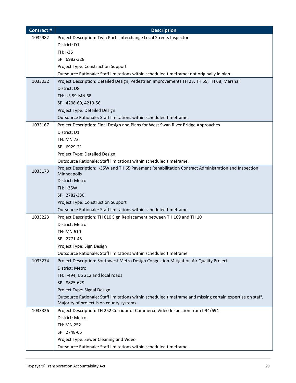| <b>Contract#</b> | <b>Description</b>                                                                                                  |
|------------------|---------------------------------------------------------------------------------------------------------------------|
| 1032982          | Project Description: Twin Ports Interchange Local Streets Inspector                                                 |
|                  | District: D1                                                                                                        |
|                  | TH: I-35                                                                                                            |
|                  | SP: 6982-328                                                                                                        |
|                  | Project Type: Construction Support                                                                                  |
|                  | Outsource Rationale: Staff limitations within scheduled timeframe; not originally in plan.                          |
| 1033032          | Project Description: Detailed Design, Pedestrian Improvements TH 23, TH 59, TH 68; Marshall                         |
|                  | District: D8                                                                                                        |
|                  | TH: US 59-MN 68                                                                                                     |
|                  | SP: 4208-60, 4210-56                                                                                                |
|                  | Project Type: Detailed Design                                                                                       |
|                  | Outsource Rationale: Staff limitations within scheduled timeframe.                                                  |
| 1033167          | Project Description: Final Design and Plans for West Swan River Bridge Approaches                                   |
|                  | District: D1                                                                                                        |
|                  | <b>TH: MN 73</b>                                                                                                    |
|                  | SP: 6929-21                                                                                                         |
|                  | Project Type: Detailed Design                                                                                       |
|                  | Outsource Rationale: Staff limitations within scheduled timeframe.                                                  |
| 1033173          | Project Description: I-35W and TH 65 Pavement Rehabilitation Contract Administration and Inspection;<br>Minneapolis |
|                  | District: Metro                                                                                                     |
|                  | <b>TH: I-35W</b>                                                                                                    |
|                  | SP: 2782-330                                                                                                        |
|                  | Project Type: Construction Support                                                                                  |
|                  | Outsource Rationale: Staff limitations within scheduled timeframe.                                                  |
| 1033223          | Project Description: TH 610 Sign Replacement between TH 169 and TH 10                                               |
|                  | District: Metro                                                                                                     |
|                  | TH: MN 610                                                                                                          |
|                  | SP: 2771-45                                                                                                         |
|                  | Project Type: Sign Design                                                                                           |
|                  | Outsource Rationale: Staff limitations within scheduled timeframe.                                                  |
| 1033274          | Project Description: Southwest Metro Design Congestion Mitigation Air Quality Project                               |
|                  | District: Metro                                                                                                     |
|                  | TH: I-494, US 212 and local roads                                                                                   |
|                  | SP: 8825-629                                                                                                        |
|                  | Project Type: Signal Design                                                                                         |
|                  | Outsource Rationale: Staff limitations within scheduled timeframe and missing certain expertise on staff.           |
|                  | Majority of project is on county systems.                                                                           |
| 1033326          | Project Description: TH 252 Corridor of Commerce Video Inspection from I-94/694                                     |
|                  | District: Metro                                                                                                     |
|                  | TH: MN 252                                                                                                          |
|                  | SP: 2748-65                                                                                                         |
|                  | Project Type: Sewer Cleaning and Video                                                                              |
|                  | Outsource Rationale: Staff limitations within scheduled timeframe.                                                  |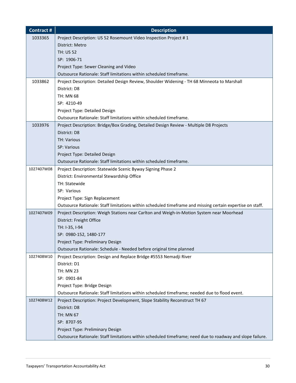| <b>Contract#</b> | <b>Description</b>                                                                                        |
|------------------|-----------------------------------------------------------------------------------------------------------|
| 1033365          | Project Description: US 52 Rosemount Video Inspection Project #1                                          |
|                  | District: Metro                                                                                           |
|                  | <b>TH: US 52</b>                                                                                          |
|                  | SP: 1906-71                                                                                               |
|                  | Project Type: Sewer Cleaning and Video                                                                    |
|                  | Outsource Rationale: Staff limitations within scheduled timeframe.                                        |
| 1033862          | Project Description: Detailed Design Review, Shoulder Widening - TH 68 Minneota to Marshall               |
|                  | District: D8                                                                                              |
|                  | <b>TH: MN 68</b>                                                                                          |
|                  | SP: 4210-49                                                                                               |
|                  | Project Type: Detailed Design                                                                             |
|                  | Outsource Rationale: Staff limitations within scheduled timeframe.                                        |
| 1033976          | Project Description: Bridge/Box Grading, Detailed Design Review - Multiple D8 Projects                    |
|                  | District: D8                                                                                              |
|                  | <b>TH: Various</b>                                                                                        |
|                  | SP: Various                                                                                               |
|                  | Project Type: Detailed Design                                                                             |
|                  | Outsource Rationale: Staff limitations within scheduled timeframe.                                        |
| 1027407W08       | Project Description: Statewide Scenic Byway Signing Phase 2                                               |
|                  | District: Environmental Stewardship Office                                                                |
|                  | TH: Statewide                                                                                             |
|                  | SP: Various                                                                                               |
|                  | Project Type: Sign Replacement                                                                            |
|                  | Outsource Rationale: Staff limitations within scheduled timeframe and missing certain expertise on staff. |
| 1027407W09       | Project Description: Weigh Stations near Carlton and Weigh-in-Motion System near Moorhead                 |
|                  | District: Freight Office                                                                                  |
|                  | TH: I-35, I-94                                                                                            |
|                  | SP: 0980-152, 1480-177                                                                                    |
|                  | Project Type: Preliminary Design                                                                          |
|                  | Outsource Rationale: Schedule - Needed before original time planned                                       |
| 1027408W10       | Project Description: Design and Replace Bridge #5553 Nemadji River                                        |
|                  | District: D1                                                                                              |
|                  | <b>TH: MN 23</b>                                                                                          |
|                  | SP: 0901-84                                                                                               |
|                  | Project Type: Bridge Design                                                                               |
|                  | Outsource Rationale: Staff limitations within scheduled timeframe; needed due to flood event.             |
| 1027408W12       | Project Description: Project Development, Slope Stability Reconstruct TH 67                               |
|                  | District: D8                                                                                              |
|                  | <b>TH: MN 67</b>                                                                                          |
|                  | SP: 8707-95                                                                                               |
|                  | Project Type: Preliminary Design                                                                          |
|                  | Outsource Rationale: Staff limitations within scheduled timeframe; need due to roadway and slope failure. |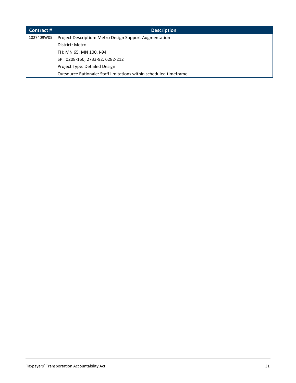| Contract#  | <b>Description</b>                                                 |
|------------|--------------------------------------------------------------------|
| 1027409W05 | Project Description: Metro Design Support Augmentation             |
|            | District: Metro                                                    |
|            | TH: MN 65, MN 100, I-94                                            |
|            | SP: 0208-160, 2733-92, 6282-212                                    |
|            | Project Type: Detailed Design                                      |
|            | Outsource Rationale: Staff limitations within scheduled timeframe. |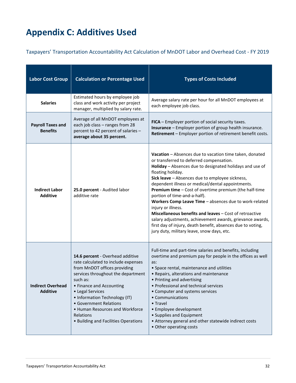# <span id="page-31-0"></span>**Appendix C: Additives Used**

Taxpayers' Transportation Accountability Act Calculation of MnDOT Labor and Overhead Cost - FY 2019

| <b>Labor Cost Group</b>                     | <b>Calculation or Percentage Used</b>                                                                                                                                                                                                                                                                                                                        | <b>Types of Costs Included</b>                                                                                                                                                                                                                                                                                                                                                                                                                                                                                                                                                                                                                                                                              |
|---------------------------------------------|--------------------------------------------------------------------------------------------------------------------------------------------------------------------------------------------------------------------------------------------------------------------------------------------------------------------------------------------------------------|-------------------------------------------------------------------------------------------------------------------------------------------------------------------------------------------------------------------------------------------------------------------------------------------------------------------------------------------------------------------------------------------------------------------------------------------------------------------------------------------------------------------------------------------------------------------------------------------------------------------------------------------------------------------------------------------------------------|
| <b>Salaries</b>                             | Estimated hours by employee job<br>class and work activity per project<br>manager, multiplied by salary rate.                                                                                                                                                                                                                                                | Average salary rate per hour for all MnDOT employees at<br>each employee job class.                                                                                                                                                                                                                                                                                                                                                                                                                                                                                                                                                                                                                         |
| <b>Payroll Taxes and</b><br><b>Benefits</b> | Average of all MnDOT employees at<br>each job class - ranges from 28<br>percent to 42 percent of salaries -<br>average about 35 percent.                                                                                                                                                                                                                     | FICA - Employer portion of social security taxes.<br><b>Insurance</b> - Employer portion of group health insurance.<br>Retirement - Employer portion of retirement benefit costs.                                                                                                                                                                                                                                                                                                                                                                                                                                                                                                                           |
| <b>Indirect Labor</b><br><b>Additive</b>    | 25.0 percent - Audited labor<br>additive rate                                                                                                                                                                                                                                                                                                                | Vacation - Absences due to vacation time taken, donated<br>or transferred to deferred compensation.<br>Holiday - Absences due to designated holidays and use of<br>floating holiday.<br>Sick leave - Absences due to employee sickness,<br>dependent illness or medical/dental appointments.<br>Premium time - Cost of overtime premium (the half-time<br>portion of time-and-a-half).<br>Workers Comp Leave Time - absences due to work-related<br>injury or illness.<br>Miscellaneous benefits and leaves - Cost of retroactive<br>salary adjustments, achievement awards, grievance awards,<br>first day of injury, death benefit, absences due to voting,<br>jury duty, military leave, snow days, etc. |
| <b>Indirect Overhead</b><br><b>Additive</b> | 14.6 percent - Overhead additive<br>rate calculated to include expenses<br>from MnDOT offices providing<br>services throughout the department<br>such as:<br>• Finance and Accounting<br>• Legal Services<br>• Information Technology (IT)<br>• Government Relations<br>• Human Resources and Workforce<br>Relations<br>• Building and Facilities Operations | Full-time and part-time salaries and benefits, including<br>overtime and premium pay for people in the offices as well<br>as:<br>• Space rental, maintenance and utilities<br>• Repairs, alterations and maintenance<br>• Printing and advertising<br>• Professional and technical services<br>• Computer and systems services<br>• Communications<br>• Travel<br>• Employee development<br>• Supplies and Equipment<br>• Attorney general and other statewide indirect costs<br>• Other operating costs                                                                                                                                                                                                    |